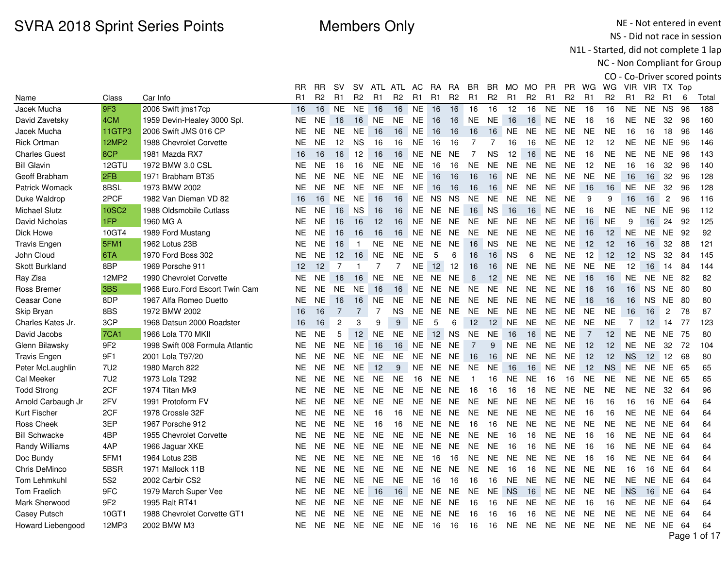$\sim$ 

A<sub>TL</sub>

A<sub>TL</sub>

nn.

**D<sub>R</sub>** 

**RR** 

 $\sim$ 

NE - Not entered in event NS - Did not race in session

N1L - Started, did not complete 1 lap

NC - Non Compliant for Group

CO - Co-Driver scored points PR WG WG VIR VIR TX Top

|                       |                 |                                 | RR        | RR             | sv             | sv             | ATL            | ATL            | AC             | RA.            | RA             | BR.            | BR.            | MO.            | MO             | <b>PR</b>      | PR.            | WG             | WG             | VIR.           | VIR TX Top     |                |      |              |
|-----------------------|-----------------|---------------------------------|-----------|----------------|----------------|----------------|----------------|----------------|----------------|----------------|----------------|----------------|----------------|----------------|----------------|----------------|----------------|----------------|----------------|----------------|----------------|----------------|------|--------------|
| Name                  | Class           | Car Info                        | R1        | R <sub>2</sub> | R <sub>1</sub> | R <sub>2</sub> | R <sub>1</sub> | R <sub>2</sub> | R <sub>1</sub> | R <sub>1</sub> | R <sub>2</sub> | R <sub>1</sub> | R <sub>2</sub> | R <sub>1</sub> | R <sub>2</sub> | R <sub>1</sub> | R <sub>2</sub> | R <sub>1</sub> | R <sub>2</sub> | R1             | R <sub>2</sub> | -R1            | 6    | Total        |
| Jacek Mucha           | 9F3             | 2006 Swift jms17cp              | 16        | 16             | <b>NE</b>      | <b>NE</b>      | 16             | 16             | <b>NE</b>      | 16             | 16             | 16             | 16             | 12             | 16             | <b>NE</b>      | <b>NE</b>      | 16             | 16             | <b>NE</b>      | <b>NE</b>      | <b>NS</b>      | 96   | 188          |
| David Zavetsky        | 4CM             | 1959 Devin-Healey 3000 Spl.     | <b>NE</b> | <b>NE</b>      | 16             | 16             | <b>NE</b>      | <b>NE</b>      | <b>NE</b>      | 16             | 16             | <b>NE</b>      | <b>NE</b>      | 16             | 16             | <b>NE</b>      | <b>NE</b>      | 16             | 16             | <b>NE</b>      | <b>NE</b>      | 32             | 96   | 160          |
| Jacek Mucha           | 11GTP3          | 2006 Swift JMS 016 CP           | <b>NE</b> | <b>NE</b>      | NE.            | <b>NE</b>      | 16             | 16             | <b>NE</b>      | 16             | 16             | 16             | 16             | <b>NE</b>      | <b>NE</b>      | <b>NE</b>      | <b>NE</b>      | <b>NE</b>      | <b>NE</b>      | 16             | 16             | 18             | 96   | 146          |
| <b>Rick Ortman</b>    | <b>12MP2</b>    | 1988 Chevrolet Corvette         | <b>NE</b> | <b>NE</b>      | 12             | <b>NS</b>      | 16             | 16             | <b>NE</b>      | 16             | 16             | $\overline{7}$ | $\overline{7}$ | 16             | 16             | <b>NE</b>      | <b>NE</b>      | 12             | 12             | <b>NE</b>      | <b>NE</b>      | NE 96          |      | 146          |
| <b>Charles Guest</b>  | 8CP             | 1981 Mazda RX7                  | 16        | 16             | 16             | 12             | 16             | 16             | NE.            | NE NE          |                | $\overline{7}$ | <b>NS</b>      | 12             | 16             | <b>NE</b>      | <b>NE</b>      | 16             | <b>NE</b>      | <b>NE</b>      | <b>NE</b>      | <b>NE</b>      | -96  | 143          |
| <b>Bill Glavin</b>    | 12GTU           | 1972 BMW 3.0 CSL                | <b>NE</b> | NE.            | 16             | 16             | NE.            | <b>NE</b>      | NE.            | 16             | 16             | <b>NE</b>      | <b>NE</b>      | <b>NE</b>      | <b>NE</b>      | <b>NE</b>      | <b>NE</b>      | 12             | <b>NE</b>      | 16             | 16             | 32             | 96   | 140          |
| Geoff Brabham         | 2FB             | 1971 Brabham BT35               | <b>NE</b> | <b>NE</b>      | <b>NE</b>      | <b>NE</b>      | <b>NE</b>      | <b>NE</b>      | <b>NE</b>      | 16             | 16             | 16             | 16             | <b>NE</b>      | <b>NE</b>      | <b>NE</b>      | <b>NE</b>      | <b>NE</b>      | <b>NE</b>      | 16             | 16             | 32             | 96   | 128          |
| <b>Patrick Womack</b> | 8BSL            | 1973 BMW 2002                   | <b>NE</b> | <b>NE</b>      | NE.            | <b>NE</b>      | <b>NE</b>      | <b>NE</b>      | <b>NE</b>      | 16             | 16             | 16             | 16             | <b>NE</b>      | <b>NE</b>      | <b>NE</b>      | <b>NE</b>      | 16             | 16             | <b>NE</b>      | NE.            | 32             | 96   | 128          |
| Duke Waldrop          | 2PCF            | 1982 Van Dieman VD 82           | 16        | 16             | NE.            | <b>NE</b>      | 16             | 16             | NE.            | <b>NS</b>      | <b>NS</b>      | <b>NE</b>      | NE.            | <b>NE</b>      | <b>NE</b>      | <b>NE</b>      | <b>NE</b>      | 9              | 9              | 16             | 16             | $\overline{2}$ | 96   | 116          |
| <b>Michael Slutz</b>  | <b>10SC2</b>    | 1988 Oldsmobile Cutlass         | <b>NE</b> | <b>NE</b>      | 16             | <b>NS</b>      | 16             | 16             | <b>NE</b>      | <b>NE</b>      | <b>NE</b>      | 16             | <b>NS</b>      | 16             | 16             | <b>NE</b>      | <b>NE</b>      | 16             | <b>NE</b>      | <b>NE</b>      | <b>NE</b>      | NE.            | 96   | 112          |
| David Nicholas        | 1FP             | 1960 MG A                       | <b>NE</b> | <b>NE</b>      | 16             | 16             | 12             | 16             | NE.            |                | NE NE          | <b>NE</b>      | <b>NE</b>      | <b>NE</b>      | <b>NE</b>      | <b>NE</b>      | <b>NE</b>      | 16             | <b>NE</b>      | 9              | 16             | 24             | 92   | 125          |
| Dick Howe             | 10GT4           | 1989 Ford Mustang               | <b>NE</b> | <b>NE</b>      | 16             | 16             | 16             | 16             | NE.            | NE.            | NE.            | <b>NE</b>      | <b>NE</b>      | <b>NE</b>      | <b>NE</b>      | <b>NE</b>      | <b>NE</b>      | 16             | 12             | <b>NE</b>      | NE.            | <b>NE</b>      | 92   | 92           |
| <b>Travis Engen</b>   | 5FM1            | 1962 Lotus 23B                  | <b>NE</b> | <b>NE</b>      | 16             | $\overline{1}$ | NE.            | <b>NE</b>      | NE.            | NE.            | <b>NE</b>      | 16             | <b>NS</b>      | <b>NE</b>      | <b>NE</b>      | <b>NE</b>      | <b>NE</b>      | 12             | 12             | 16             | 16             | 32             | 88   | 121          |
| John Cloud            | 6TA             | 1970 Ford Boss 302              | <b>NE</b> | NE.            | 12             | 16             | <b>NE</b>      | <b>NE</b>      | <b>NE</b>      | 5              | 6              | 16             | 16             | <b>NS</b>      | 6              | <b>NE</b>      | <b>NE</b>      | 12             | 12             | 12             | <b>NS</b>      | 32             | 84   | 145          |
| <b>Skott Burkland</b> | 8BP             | 1969 Porsche 911                | 12        | 12             | $\overline{7}$ | $\mathbf{1}$   | $\overline{7}$ | $\overline{7}$ | <b>NE</b>      | 12             | 12             | 16             | 16             | <b>NE</b>      | <b>NE</b>      | NE.            | <b>NE</b>      | <b>NE</b>      | <b>NE</b>      | 12             | 16             | 14             | 84   | 144          |
| Ray Zisa              | 12MP2           | 1990 Chevrolet Corvette         | <b>NE</b> | <b>NE</b>      | 16             | 16             | $N\mathsf{E}$  | <b>NE</b>      | NE.            | <b>NE</b>      | <b>NE</b>      | $\,6\,$        | 12             | <b>NE</b>      | <b>NE</b>      | <b>NE</b>      | <b>NE</b>      | 16             | 16             | <b>NE</b>      | <b>NE</b>      | <b>NE</b>      | 82   | 82           |
| Ross Bremer           | 3BS             | 1968 Euro.Ford Escort Twin Cam  | <b>NE</b> | <b>NE</b>      | <b>NE</b>      | <b>NE</b>      | 16             | 16             | NE             |                | NE NE          | <b>NE</b>      | <b>NE</b>      | <b>NE</b>      | <b>NE</b>      | <b>NE</b>      | <b>NE</b>      | 16             | 16             | 16             | NS.            | <b>NE</b>      | 80   | 80           |
| Ceasar Cone           | 8DP             | 1967 Alfa Romeo Duetto          | <b>NE</b> | <b>NE</b>      | 16             | 16             | <b>NE</b>      | <b>NE</b>      | NE.            | NE             | NE             | <b>NE</b>      | <b>NE</b>      | <b>NE</b>      | <b>NE</b>      | <b>NE</b>      | <b>NE</b>      | 16             | 16             | 16             | <b>NS</b>      | <b>NE</b>      | 80   | 80           |
| Skip Bryan            | 8BS             | 1972 BMW 2002                   | 16        | 16             | $\overline{7}$ | $\overline{7}$ | $\overline{7}$ | <b>NS</b>      | NE             | NE.            | NE.            | <b>NE</b>      | <b>NE</b>      | <b>NE</b>      | <b>NE</b>      | <b>NE</b>      | <b>NE</b>      | <b>NE</b>      | <b>NE</b>      | 16             | 16             | $\overline{c}$ | 78   | 87           |
| Charles Kates Jr.     | 3CP             | 1968 Datsun 2000 Roadster       | 16        | 16             | $\overline{c}$ | 3              | 9              | 9              | <b>NE</b>      | 5              | 6              | 12             | 12             | <b>NE</b>      | <b>NE</b>      | <b>NE</b>      | <b>NE</b>      | <b>NE</b>      | <b>NE</b>      | $\overline{7}$ | 12             | 14             | 77   | 123          |
| David Jacobs          | <b>7CA1</b>     | 1966 Lola T70 MKII              | <b>NE</b> | <b>NE</b>      | 5              | 12             | <b>NE</b>      | <b>NE</b>      | <b>NE</b>      | 12             | <b>NS</b>      | <b>NE</b>      | <b>NE</b>      | 16             | 16             | <b>NE</b>      | <b>NE</b>      | $\overline{7}$ | 12             | <b>NE</b>      | <b>NE</b>      | NE.            | 75   | 80           |
| Glenn Bilawsky        | 9F <sub>2</sub> | 1998 Swift 008 Formula Atlantic | <b>NE</b> | <b>NE</b>      | <b>NE</b>      | <b>NE</b>      | 16             | 16             | <b>NE</b>      | <b>NE</b>      | <b>NE</b>      | $\overline{7}$ | 9              | <b>NE</b>      | <b>NE</b>      | <b>NE</b>      | <b>NE</b>      | 12             | 12             | <b>NE</b>      | <b>NE</b>      | 32             | 72   | 104          |
| <b>Travis Engen</b>   | 9F1             | 2001 Lola T97/20                | <b>NE</b> | <b>NE</b>      | <b>NE</b>      | <b>NE</b>      | <b>NE</b>      | <b>NE</b>      | <b>NE</b>      | <b>NE</b>      | <b>NE</b>      | 16             | 16             | <b>NE</b>      | <b>NE</b>      | <b>NE</b>      | <b>NE</b>      | 12             | 12             | <b>NS</b>      | 12             | 12             | 68   | 80           |
| Peter McLaughlin      | 7U2             | 1980 March 822                  | <b>NE</b> | <b>NE</b>      | <b>NE</b>      | <b>NE</b>      | 12             | 9              | <b>NE</b>      |                | NE NE          | NE             | <b>NE</b>      | 16             | 16             | <b>NE</b>      | <b>NE</b>      | 12             | <b>NS</b>      | <b>NE</b>      | <b>NE</b>      | <b>NE</b>      | - 65 | 65           |
| Cal Meeker            | 7U2             | 1973 Lola T292                  | <b>NE</b> | <b>NE</b>      | NE.            | <b>NE</b>      | <b>NE</b>      | <b>NE</b>      | 16             | <b>NE</b>      | <b>NE</b>      | $\mathbf{1}$   | 16             | <b>NE</b>      | <b>NE</b>      | 16             | 16             | <b>NE</b>      | <b>NE</b>      | <b>NE</b>      | <b>NE</b>      | NE             | 65   | 65           |
| <b>Todd Strong</b>    | 2CF             | 1974 Titan Mk9                  | <b>NE</b> | <b>NE</b>      | <b>NE</b>      | <b>NE</b>      | <b>NE</b>      | <b>NE</b>      | <b>NE</b>      | <b>NE</b>      | <b>NE</b>      | 16             | 16             | 16             | 16             | <b>NE</b>      | <b>NE</b>      | <b>NE</b>      | <b>NE</b>      | <b>NE</b>      | <b>NE</b>      | 32             | 64   | 96           |
| Arnold Carbaugh Jr    | 2FV             | 1991 Protoform FV               | <b>NE</b> | <b>NE</b>      | <b>NE</b>      | <b>NE</b>      | <b>NE</b>      | <b>NE</b>      | NE.            | <b>NE</b>      | <b>NE</b>      | <b>NE</b>      | <b>NE</b>      | <b>NE</b>      | <b>NE</b>      | <b>NE</b>      | <b>NE</b>      | 16             | 16             | 16             | 16             | <b>NE</b>      | -64  | 64           |
| Kurt Fischer          | 2CF             | 1978 Crossle 32F                | <b>NE</b> | <b>NE</b>      | <b>NE</b>      | <b>NE</b>      | 16             | 16             | NE.            | NE.            | <b>NE</b>      | <b>NE</b>      | <b>NE</b>      | <b>NE</b>      | <b>NE</b>      | <b>NE</b>      | <b>NE</b>      | 16             | 16             | <b>NE</b>      | <b>NE</b>      | NE.            | -64  | 64           |
| Ross Cheek            | 3EP             | 1967 Porsche 912                | <b>NE</b> | <b>NE</b>      | <b>NE</b>      | <b>NE</b>      | 16             | 16             | <b>NE</b>      | <b>NE</b>      | <b>NE</b>      | 16             | 16             | <b>NE</b>      | <b>NE</b>      | <b>NE</b>      | <b>NE</b>      | <b>NE</b>      | <b>NE</b>      | <b>NE</b>      | NE.            | <b>NE</b>      | 64   | 64           |
| <b>Bill Schwacke</b>  | 4BP             | 1955 Chevrolet Corvette         | <b>NE</b> | <b>NE</b>      | <b>NE</b>      | <b>NE</b>      | <b>NE</b>      | <b>NE</b>      | NE.            | <b>NE</b>      | <b>NE</b>      | <b>NE</b>      | <b>NE</b>      | 16             | 16             | <b>NE</b>      | <b>NE</b>      | 16             | 16             | <b>NE</b>      | <b>NE</b>      | NE.            | -64  | 64           |
| Randy Williams        | 4AP             | 1966 Jaguar XKE                 | <b>NE</b> | <b>NE</b>      | <b>NE</b>      | <b>NE</b>      | <b>NE</b>      | <b>NE</b>      | <b>NE</b>      |                | NE NE          | <b>NE</b>      | <b>NE</b>      | 16             | 16             | <b>NE</b>      | <b>NE</b>      | 16             | 16             | <b>NE</b>      | NE.            | NE 64          |      | 64           |
| Doc Bundy             | 5FM1            | 1964 Lotus 23B                  | <b>NE</b> | <b>NE</b>      | NE.            | <b>NE</b>      | <b>NE</b>      | <b>NE</b>      | <b>NE</b>      | 16             | 16             | NE.            | <b>NE</b>      | <b>NE</b>      | <b>NE</b>      | <b>NE</b>      | <b>NE</b>      | 16             | 16             | <b>NE</b>      | NE.            | <b>NE</b>      | -64  | 64           |
| Chris DeMinco         | 5BSR            | 1971 Mallock 11B                | <b>NE</b> | <b>NE</b>      | NE.            | <b>NE</b>      | <b>NE</b>      | <b>NE</b>      | <b>NE</b>      | <b>NE</b>      | <b>NE</b>      | <b>NE</b>      | <b>NE</b>      | 16             | 16             | <b>NE</b>      | <b>NE</b>      | <b>NE</b>      | <b>NE</b>      | 16             | 16             | <b>NE</b>      | 64   | 64           |
| <b>Tom Lehmkuhl</b>   | 5S <sub>2</sub> | 2002 Carbir CS2                 | <b>NE</b> | <b>NE</b>      | <b>NE</b>      | <b>NE</b>      | <b>NE</b>      | <b>NE</b>      | <b>NE</b>      | 16             | 16             | 16             | 16             | <b>NE</b>      | <b>NE</b>      | <b>NE</b>      | <b>NE</b>      | <b>NE</b>      | <b>NE</b>      | <b>NE</b>      | <b>NE</b>      | <b>NE</b>      | -64  | 64           |
| <b>Tom Fraelich</b>   | 9FC             | 1979 March Super Vee            | <b>NE</b> | <b>NE</b>      | <b>NE</b>      | <b>NE</b>      | 16             | 16             | <b>NE</b>      | <b>NE</b>      | <b>NE</b>      | <b>NE</b>      | <b>NE</b>      | <b>NS</b>      | 16             | <b>NE</b>      | <b>NE</b>      | <b>NE</b>      | <b>NE</b>      | <b>NS</b>      | 16             | NE             | 64   | 64           |
| Mark Sherwood         | 9F2             | 1995 Ralt RT41                  | <b>NE</b> | <b>NE</b>      | <b>NE</b>      | <b>NE</b>      | NE.            | <b>NE</b>      | <b>NE</b>      | <b>NE</b>      | <b>NE</b>      | 16             | 16             | <b>NE</b>      | <b>NE</b>      | <b>NE</b>      | <b>NE</b>      | 16             | 16             | <b>NE</b>      | NE.            | <b>NE</b>      | 64   | 64           |
| Casey Putsch          | 10GT1           | 1988 Chevrolet Corvette GT1     | <b>NE</b> | <b>NE</b>      | <b>NE</b>      | <b>NE</b>      | <b>NE</b>      | <b>NE</b>      | <b>NE</b>      | <b>NE</b>      | <b>NE</b>      | 16             | 16             | 16             | 16             | <b>NE</b>      | <b>NE</b>      | <b>NE</b>      | <b>NE</b>      | <b>NE</b>      | <b>NE</b>      | <b>NE</b>      | -64  | 64           |
| Howard Liebengood     | 12MP3           | 2002 BMW M3                     | NE.       | NE.            | NE.            | NE.            | NE.            | <b>NE</b>      | NE.            | -16            | 16             | 16             | 16             | <b>NE</b>      | <b>NE</b>      | <b>NE</b>      | <b>NE</b>      | NE.            | NE.            | <b>NE</b>      | NE NE          |                | -64  | 64           |
|                       |                 |                                 |           |                |                |                |                |                |                |                |                |                |                |                |                |                |                |                |                |                |                |                |      | Page 1 of 17 |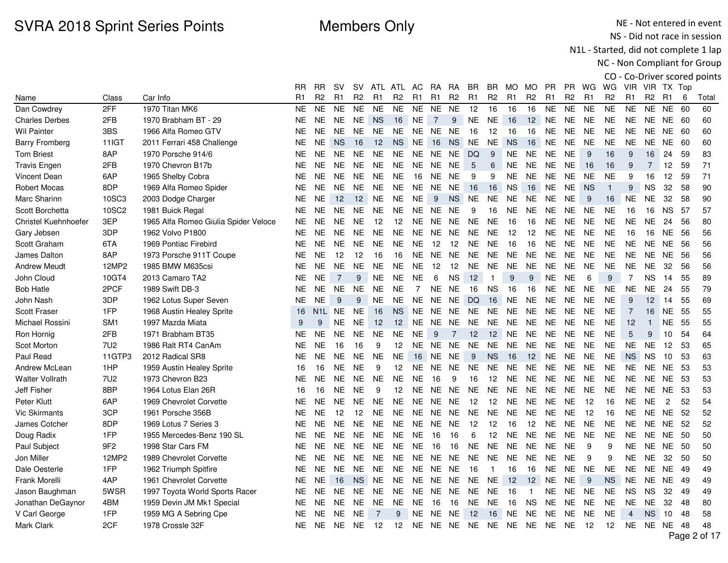NE - Not entered in event NS - Did not race in session

N1L - Started, did not complete 1 lap

|                             |                 |                                      |               |                |                |                |                |                   |                |                |                |                |                |                  |                |                |                |                |                |                |                |                |      | CO - Co-Driver scored points |
|-----------------------------|-----------------|--------------------------------------|---------------|----------------|----------------|----------------|----------------|-------------------|----------------|----------------|----------------|----------------|----------------|------------------|----------------|----------------|----------------|----------------|----------------|----------------|----------------|----------------|------|------------------------------|
|                             |                 |                                      | RR            | RR             | <b>SV</b>      | SV.            |                | ATL ATL AC        |                | <b>RA</b>      | <b>RA</b>      | <b>BR</b>      | BR.            | MO.              | MO.            | PR             | PR.            | WG             | WG             |                | VIR VIR TX Top |                |      |                              |
| Name                        | Class           | Car Info                             | R1            | R <sub>2</sub> | R1             | R <sub>2</sub> | R <sub>1</sub> | R <sub>2</sub>    | R <sub>1</sub> | R <sub>1</sub> | R <sub>2</sub> | R <sub>1</sub> | R <sub>2</sub> | R <sub>1</sub>   | R <sub>2</sub> | R <sub>1</sub> | R <sub>2</sub> | R <sub>1</sub> | R <sub>2</sub> | R <sub>1</sub> | R <sub>2</sub> | R <sub>1</sub> | 6    | Total                        |
| Dan Cowdrey                 | 2FF             | 1970 Titan MK6                       | <b>NE</b>     | NE.            | <b>NE</b>      | <b>NE</b>      | <b>NE</b>      | <b>NE</b>         | <b>NE</b>      | NE.            | <b>NE</b>      | 12             | 16             | 16               | 16             | <b>NE</b>      | <b>NE</b>      | <b>NE</b>      | <b>NE</b>      | <b>NE</b>      | <b>NE</b>      | <b>NE</b>      | 60   | 60                           |
| <b>Charles Derbes</b>       | 2FB             | 1970 Brabham BT - 29                 | <b>NE</b>     | <b>NE</b>      | <b>NE</b>      | <b>NE</b>      | <b>NS</b>      | 16                | <b>NE</b>      | $\overline{7}$ | 9              | <b>NE</b>      | <b>NE</b>      | 16               | 12             | <b>NE</b>      | <b>NE</b>      | <b>NE</b>      | <b>NE</b>      | <b>NE</b>      | NE.            | <b>NE</b>      | - 60 | 60                           |
| <b>Wil Painter</b>          | 3BS             | 1966 Alfa Romeo GTV                  | <b>NE</b>     | <b>NE</b>      | <b>NE</b>      | <b>NE</b>      | <b>NE</b>      | NE.               |                | NE NE NE       |                | 16             | 12             | 16               | 16             | <b>NE</b>      | <b>NE</b>      | <b>NE</b>      | <b>NE</b>      | NE.            | NE.            | NE 60          |      | 60                           |
| <b>Barry Fromberg</b>       | 11IGT           | 2011 Ferrari 458 Challenge           | NE            | <b>NE</b>      | <b>NS</b>      | 16             | 12             | <b>NS</b>         | <b>NE</b>      | 16             | <b>NS</b>      | <b>NE</b>      | <b>NE</b>      | <b>NS</b>        | 16             | <b>NE</b>      | <b>NE</b>      | <b>NE</b>      | <b>NE</b>      | NE.            | NE.            | NE             | -60  | 60                           |
| <b>Tom Briest</b>           | 8AP             | 1970 Porsche 914/6                   | <b>NE</b>     | <b>NE</b>      | <b>NE</b>      | <b>NE</b>      | <b>NE</b>      | NE                | NE             | NE             | <b>NE</b>      | DQ             | 9              | <b>NE</b>        | <b>NE</b>      | <b>NE</b>      | <b>NE</b>      | 9              | 16             | 9              | 16             | 24             | 59   | 83                           |
| <b>Travis Engen</b>         | 2FB             | 1970 Chevron B17b                    | <b>NE</b>     | <b>NE</b>      | <b>NE</b>      | <b>NE</b>      | <b>NE</b>      | NE.               | <b>NE</b>      | NE.            | NE.            | 5              | 6              | NE.              | <b>NE</b>      | <b>NE</b>      | <b>NE</b>      | 16             | 16             | 9              | $\overline{7}$ | 12             | 59   | 71                           |
| <b>Vincent Dean</b>         | 6AP             | 1965 Shelby Cobra                    | <b>NE</b>     | <b>NE</b>      | <b>NE</b>      | <b>NE</b>      | <b>NE</b>      | <b>NE</b>         | 16             | NE.            | <b>NE</b>      | 9              | 9              | <b>NE</b>        | <b>NE</b>      | <b>NE</b>      | <b>NE</b>      | <b>NE</b>      | <b>NE</b>      | 9              | 16             | 12             | 59   | 71                           |
| <b>Robert Mocas</b>         | 8DP             | 1969 Alfa Romeo Spider               | NE            | <b>NE</b>      | <b>NE</b>      | <b>NE</b>      | <b>NE</b>      | <b>NE</b>         | NE.            | NE.            | <b>NE</b>      | 16             | 16             | <b>NS</b>        | 16             | <b>NE</b>      | <b>NE</b>      | <b>NS</b>      | $\mathbf{1}$   | 9              | <b>NS</b>      | 32             | 58   | 90                           |
| Marc Sharinn                | 10SC3           | 2003 Dodge Charger                   | NE.           | <b>NE</b>      | 12             | 12             | <b>NE</b>      | <b>NE</b>         | <b>NE</b>      | 9              | <b>NS</b>      | <b>NE</b>      | NE.            | NE               | NE.            | NE             | <b>NE</b>      | 9              | 16             | <b>NE</b>      | <b>NE</b>      | 32             | 58   | 90                           |
| Scott Borchetta             | 10SC2           | 1981 Buick Regal                     | <b>NE</b>     | <b>NE</b>      | <b>NE</b>      | <b>NE</b>      | <b>NE</b>      | NE                | <b>NE</b>      | NE             | <b>NE</b>      | 9              | 16             | NE               | <b>NE</b>      | NE             | <b>NE</b>      | <b>NE</b>      | <b>NE</b>      | 16             | 16             | <b>NS</b>      | 57   | 57                           |
| <b>Christel Kuehnhoefer</b> | 3EP             | 1965 Alfa Romeo Giulia Spider Veloce | <b>NE</b>     | <b>NE</b>      | <b>NE</b>      | <b>NE</b>      | 12             | 12                | <b>NE</b>      | NE.            | <b>NE</b>      | <b>NE</b>      | <b>NE</b>      | 16               | 16             | <b>NE</b>      | <b>NE</b>      | <b>NE</b>      | <b>NE</b>      | <b>NE</b>      | NE.            | 24             | 56   | 80                           |
| Gary Jebsen                 | 3DP             | 1962 Volvo P1800                     | <b>NE</b>     | <b>NE</b>      | <b>NE</b>      | <b>NE</b>      | <b>NE</b>      | <b>NE</b>         | <b>NE</b>      | <b>NE</b>      | <b>NE</b>      | <b>NE</b>      | <b>NE</b>      | 12               | 12             | <b>NE</b>      | <b>NE</b>      | <b>NE</b>      | <b>NE</b>      | 16             | 16             | NE.            | 56   | 56                           |
| Scott Graham                | 6TA             | 1969 Pontiac Firebird                | <b>NE</b>     | <b>NE</b>      | <b>NE</b>      | <b>NE</b>      | <b>NE</b>      | <b>NE</b>         | <b>NE</b>      | 12             | 12             | <b>NE</b>      | NE.            | 16               | 16             | NE.            | NE.            | <b>NE</b>      | <b>NE</b>      | <b>NE</b>      | NE.            | NE.            | -56  | 56                           |
| James Dalton                | 8AP             | 1973 Porsche 911T Coupe              | <b>NE</b>     | <b>NE</b>      | 12             | 12             | 16             | 16                | NE             | <b>NE</b>      | <b>NE</b>      | <b>NE</b>      | <b>NE</b>      | <b>NE</b>        | <b>NE</b>      | <b>NE</b>      | <b>NE</b>      | <b>NE</b>      | <b>NE</b>      | NE.            | NE.            | NE             | 56   | 56                           |
| <b>Andrew Meudt</b>         | 12MP2           | 1985 BMW M635csi                     | NE            | <b>NE</b>      | <b>NE</b>      | <b>NE</b>      | <b>NE</b>      | <b>NE</b>         | NE             | 12             | 12             | <b>NE</b>      | NE.            | NE.              | <b>NE</b>      | NE             | NE             | <b>NE</b>      | <b>NE</b>      | NE.            | NE.            | 32             | 56   | 56                           |
| John Cloud                  | 10GT4           | 2013 Camaro TA2                      | <b>NE</b>     | <b>NE</b>      | $\overline{7}$ | 9              | <b>NE</b>      | NE                | <b>NE</b>      | 6              | <b>NS</b>      | 12             | $\mathbf{1}$   | $\boldsymbol{9}$ | 9              | <b>NE</b>      | <b>NE</b>      | 6              | 9              | $\overline{7}$ | NS.            | 14             | 55   | 89                           |
| <b>Bob Hatle</b>            | 2PCF            | 1989 Swift DB-3                      | NE            | <b>NE</b>      | <b>NE</b>      | <b>NE</b>      | <b>NE</b>      | <b>NE</b>         | $\overline{7}$ | NE             | <b>NE</b>      | 16             | <b>NS</b>      | 16               | 16             | <b>NE</b>      | <b>NE</b>      | <b>NE</b>      | <b>NE</b>      | <b>NE</b>      | <b>NE</b>      | 24             | 55   | 79                           |
| John Nash                   | 3DP             | 1962 Lotus Super Seven               | NE.           | <b>NE</b>      | 9              | 9              | <b>NE</b>      | <b>NE</b>         | NE.            | NE.            | <b>NE</b>      | DQ             | 16             | <b>NE</b>        | NE.            | <b>NE</b>      | NE.            | <b>NE</b>      | <b>NE</b>      | 9              | 12             | 14             | 55   | 69                           |
| <b>Scott Fraser</b>         | 1FP             | 1968 Austin Healey Sprite            | 16            | N1L            | <b>NE</b>      | <b>NE</b>      | 16             | <b>NS</b>         | <b>NE</b>      | <b>NE</b>      | <b>NE</b>      | NE.            | <b>NE</b>      | <b>NE</b>        | <b>NE</b>      | <b>NE</b>      | <b>NE</b>      | <b>NE</b>      | <b>NE</b>      | $\overline{7}$ | 16             | <b>NE</b>      | 55   | 55                           |
| Michael Rossini             | SM <sub>1</sub> | 1997 Mazda Miata                     | 9             | 9              | <b>NE</b>      | <b>NE</b>      | 12             | 12                | <b>NE</b>      | NE             | <b>NE</b>      | <b>NE</b>      | <b>NE</b>      | <b>NE</b>        | <b>NE</b>      | <b>NE</b>      | <b>NE</b>      | <b>NE</b>      | <b>NE</b>      | 12             | $\mathbf{1}$   | NE.            | 55   | 55                           |
| Ron Hornig                  | 2FB             | 1971 Brabham BT35                    | <b>NE</b>     | <b>NE</b>      | <b>NE</b>      | <b>NE</b>      | <b>NE</b>      | <b>NE</b>         | <b>NE</b>      | 9              | 7              | 12             | 12             | <b>NE</b>        | <b>NE</b>      | <b>NE</b>      | <b>NE</b>      | <b>NE</b>      | <b>NE</b>      | 5              | 9              | 10             | 54   | 64                           |
| Scot Morton                 | 7U2             | 1986 Ralt RT4 CanAm                  | <b>NE</b>     | <b>NE</b>      | 16             | 16             | 9              | 12                | <b>NE</b>      | NE.            | <b>NE</b>      | <b>NE</b>      | <b>NE</b>      | <b>NE</b>        | <b>NE</b>      | <b>NE</b>      | <b>NE</b>      | <b>NE</b>      | <b>NE</b>      | NE.            | <b>NE</b>      | 12             | -53  | 65                           |
| Paul Read                   | 11GTP3          | 2012 Radical SR8                     | NE            | <b>NE</b>      | <b>NE</b>      | <b>NE</b>      | <b>NE</b>      | <b>NE</b>         | 16             | NE             | NE             | 9              | <b>NS</b>      | 16               | 12             | <b>NE</b>      | <b>NE</b>      | <b>NE</b>      | <b>NE</b>      | <b>NS</b>      | <b>NS</b>      | 10             | -53  | 63                           |
| Andrew McLean               | 1HP             | 1959 Austin Healey Sprite            | 16            | 16             | <b>NE</b>      | <b>NE</b>      | 9              | 12                | NE.            | NE.            | <b>NE</b>      | <b>NE</b>      | NE.            | NE               | NE             | <b>NE</b>      | $N\mathsf{E}$  | <b>NE</b>      | <b>NE</b>      | <b>NE</b>      | NE.            | <b>NE</b>      | -53  | 53                           |
| <b>Walter Vollrath</b>      | 7U2             | 1973 Chevron B23                     | <b>NE</b>     | <b>NE</b>      | <b>NE</b>      | <b>NE</b>      | <b>NE</b>      | <b>NE</b>         | <b>NE</b>      | 16             | 9              | 16             | 12             | NE.              | <b>NE</b>      | NE.            | <b>NE</b>      | <b>NE</b>      | <b>NE</b>      | NE.            | NE.            | NE             | - 53 | 53                           |
| <b>Jeff Fisher</b>          | 8BP             | 1964 Lotus Elan 26R                  | 16            | 16             | <b>NE</b>      | <b>NE</b>      | 9              | 12                | <b>NE</b>      | <b>NE</b>      | <b>NE</b>      | <b>NE</b>      | <b>NE</b>      | <b>NE</b>        | <b>NE</b>      | <b>NE</b>      | <b>NE</b>      | <b>NE</b>      | <b>NE</b>      | <b>NE</b>      | <b>NE</b>      | <b>NE</b>      | 53   | 53                           |
| Peter Klutt                 | 6AP             | 1969 Chevrolet Corvette              | <b>NE</b>     | <b>NE</b>      | <b>NE</b>      | <b>NE</b>      | <b>NE</b>      | <b>NE</b>         | <b>NE</b>      | NE.            | <b>NE</b>      | 12             | 12             | <b>NE</b>        | <b>NE</b>      | <b>NE</b>      | <b>NE</b>      | 12             | 16             | <b>NE</b>      | <b>NE</b>      | $\overline{c}$ | 52   | 54                           |
| <b>Vic Skirmants</b>        | 3CP             | 1961 Porsche 356B                    | <b>NE</b>     | <b>NE</b>      | 12             | 12             | <b>NE</b>      | <b>NE</b>         | <b>NE</b>      | <b>NE</b>      | <b>NE</b>      | <b>NE</b>      | NE.            | <b>NE</b>        | <b>NE</b>      | <b>NE</b>      | <b>NE</b>      | 12             | 16             | NE.            | NE.            | NE.            | 52   | 52                           |
| James Cotcher               | 8DP             | 1969 Lotus 7 Series 3                | <b>NE</b>     | NE.            | <b>NE</b>      | <b>NE</b>      | <b>NE</b>      | <b>NE</b>         | <b>NE</b>      | NE.            | <b>NE</b>      | 12             | 12             | 16               | 12             | <b>NE</b>      | <b>NE</b>      | <b>NE</b>      | <b>NE</b>      | NE.            | NE.            | NE             | 52   | 52                           |
| Doug Radix                  | 1FP             | 1955 Mercedes-Benz 190 SL            | <b>NE</b>     | <b>NE</b>      | <b>NE</b>      | <b>NE</b>      | <b>NE</b>      | <b>NE</b>         | <b>NE</b>      | 16             | 16             | 6              | 12             | <b>NE</b>        | <b>NE</b>      | NE.            | <b>NE</b>      | <b>NE</b>      | <b>NE</b>      | <b>NE</b>      | NE.            | NE.            | -50  | 50                           |
| Paul Subject                | 9F <sub>2</sub> | 1998 Star Cars FM                    | <b>NE</b>     | <b>NE</b>      | <b>NE</b>      | <b>NE</b>      | <b>NE</b>      | <b>NE</b>         | <b>NE</b>      | 16             | 16             | <b>NE</b>      | <b>NE</b>      | <b>NE</b>        | <b>NE</b>      | <b>NE</b>      | <b>NE</b>      | 9              | 9              | NE.            | NE.            | NE.            | -50  | 50                           |
| Jon Miller                  | 12MP2           | 1989 Chevrolet Corvette              | <b>NE</b>     | <b>NE</b>      | <b>NE</b>      | <b>NE</b>      | <b>NE</b>      | <b>NE</b>         | <b>NE</b>      | NE.            | <b>NE</b>      | <b>NE</b>      | <b>NE</b>      | <b>NE</b>        | <b>NE</b>      | <b>NE</b>      | <b>NE</b>      | 9              | 9              | NE.            | <b>NE</b>      | 32             | -50  | 50                           |
| Dale Oesterle               | 1FP             | 1962 Triumph Spitfire                | NE            | <b>NE</b>      | <b>NE</b>      | <b>NE</b>      | <b>NE</b>      | NE.               | NE.            | NE NE          |                | 16             | -1             | 16               | 16             | NE.            | <b>NE</b>      | <b>NE</b>      | <b>NE</b>      | <b>NE</b>      |                | NE NE          | - 49 | 49                           |
| Frank Morelli               | 4AP             | 1961 Chevrolet Corvette              | $N\mathsf{E}$ | <b>NE</b>      | 16             | <b>NS</b>      | <b>NE</b>      | <b>NE</b>         | <b>NE</b>      | NE             | <b>NE</b>      | <b>NE</b>      | $N\mathsf{E}$  | 12               | 12             | $N\mathsf{E}$  | $N\mathsf{E}$  | 9              | <b>NS</b>      | <b>NE</b>      | <b>NE</b>      | NE             | -49  | 49                           |
| Jason Baughman              | 5WSR            | 1997 Toyota World Sports Racer       | <b>NE</b>     | <b>NE</b>      | <b>NE</b>      | <b>NE</b>      | <b>NE</b>      | <b>NE</b>         | <b>NE</b>      | NE.            | <b>NE</b>      | <b>NE</b>      | NE             | 16               | $\overline{1}$ | <b>NE</b>      | <b>NE</b>      | <b>NE</b>      | <b>NE</b>      | <b>NS</b>      | <b>NS</b>      | 32             | 49   | 49                           |
| Jonathan DeGaynor           | 4BM             | 1959 Devin JM Mk1 Special            | <b>NE</b>     | NE.            | <b>NE</b>      | <b>NE</b>      | <b>NE</b>      | <b>NE</b>         | <b>NE</b>      | 16             | 16             | <b>NE</b>      | <b>NE</b>      | 16               | <b>NS</b>      | <b>NE</b>      | <b>NE</b>      | <b>NE</b>      | <b>NE</b>      | <b>NE</b>      | <b>NE</b>      | 32             | 48   | 80                           |
| V Carl George               | 1FP             | 1959 MG A Sebring Cpe                | <b>NE</b>     | <b>NE</b>      | <b>NE</b>      | <b>NE</b>      | $\overline{7}$ | 9                 | <b>NE</b>      | <b>NE</b>      | <b>NE</b>      | 12             | 16             | <b>NE</b>        | <b>NE</b>      | <b>NE</b>      | <b>NE</b>      | <b>NE</b>      | <b>NE</b>      | $\overline{4}$ | <b>NS</b>      | 10             | 48   | 58                           |
| Mark Clark                  | 2CF             | 1978 Crossle 32F                     | NE.           | NE.            | NE.            | <b>NE</b>      | -12            | $12 \overline{ }$ |                |                | NE NE NE NE    |                | NE             | NE.              | NE.            | NE.            | <b>NE</b>      | 12             | 12             |                | NE NE NE       |                | 48   | 48                           |
|                             |                 |                                      |               |                |                |                |                |                   |                |                |                |                |                |                  |                |                |                |                |                |                |                |                |      | Page 2 of 17                 |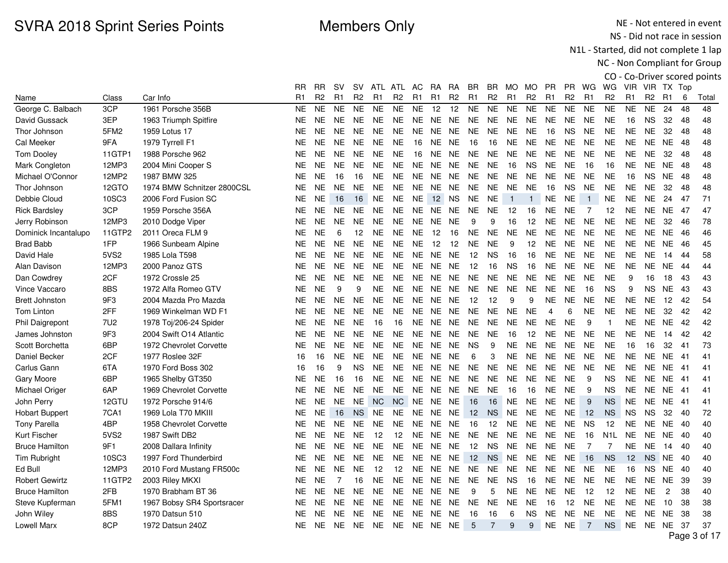NE - Not entered in event NS - Did not race in session

N1L - Started, did not complete 1 lap

|                       |        |                            |                |           |                |                |                |                |                |                |                |                |                |                 |                |                |                |                |                  |                |                |                |      | CO - Co-Driver scored points |
|-----------------------|--------|----------------------------|----------------|-----------|----------------|----------------|----------------|----------------|----------------|----------------|----------------|----------------|----------------|-----------------|----------------|----------------|----------------|----------------|------------------|----------------|----------------|----------------|------|------------------------------|
|                       |        |                            | RR             | <b>RR</b> | <b>SV</b>      | SV.            |                | ATL ATL AC     |                | <b>RA</b>      | RA             | BR             | BR.            | MO MO           |                | <b>PR</b>      | <b>PR</b>      | WG             | WG               |                | VIR VIR TX Top |                |      |                              |
| Name                  | Class  | Car Info                   | R <sub>1</sub> | R2        | R1             | R <sub>2</sub> | R <sub>1</sub> | R <sub>2</sub> | R <sub>1</sub> | R <sub>1</sub> | R <sub>2</sub> | R <sub>1</sub> | R <sub>2</sub> | R <sub>1</sub>  | R <sub>2</sub> | R <sub>1</sub> | R <sub>2</sub> | R <sub>1</sub> | R <sub>2</sub>   | R <sub>1</sub> | R <sub>2</sub> | R <sub>1</sub> | 6    | Total                        |
| George C. Balbach     | 3CP    | 1961 Porsche 356B          | <b>NE</b>      | <b>NE</b> | <b>NE</b>      | <b>NE</b>      | <b>NE</b>      | <b>NE</b>      | <b>NE</b>      | 12             | 12             | <b>NE</b>      | <b>NE</b>      | <b>NE</b>       | <b>NE</b>      | <b>NE</b>      | <b>NE</b>      | <b>NE</b>      | <b>NE</b>        | <b>NE</b>      | <b>NE</b>      | 24             | 48   | 48                           |
| David Gussack         | 3EP    | 1963 Triumph Spitfire      | <b>NE</b>      | <b>NE</b> | <b>NE</b>      | <b>NE</b>      | <b>NE</b>      | <b>NE</b>      | <b>NE</b>      | NE.            | <b>NE</b>      | <b>NE</b>      | <b>NE</b>      | <b>NE</b>       | <b>NE</b>      | <b>NE</b>      | <b>NE</b>      | <b>NE</b>      | <b>NE</b>        | 16             | <b>NS</b>      | 32             | 48   | 48                           |
| Thor Johnson          | 5FM2   | 1959 Lotus 17              | NE.            | <b>NE</b> | <b>NE</b>      | <b>NE</b>      | <b>NE</b>      | <b>NE</b>      | <b>NE</b>      | NE             | NE             | <b>NE</b>      | <b>NE</b>      | NE.             | <b>NE</b>      | 16             | <b>NS</b>      | <b>NE</b>      | <b>NE</b>        | NE.            | <b>NE</b>      | 32             | 48   | 48                           |
| Cal Meeker            | 9FA    | 1979 Tyrrell F1            | NE.            | <b>NE</b> | <b>NE</b>      | <b>NE</b>      | <b>NE</b>      | <b>NE</b>      | 16             | <b>NE</b>      | <b>NE</b>      | 16             | 16             | NE.             | <b>NE</b>      | $N\mathsf{E}$  | <b>NE</b>      | <b>NE</b>      | <b>NE</b>        | <b>NE</b>      | <b>NE</b>      | <b>NE</b>      | 48   | 48                           |
| <b>Tom Dooley</b>     | 11GTP1 | 1988 Porsche 962           | NE             | <b>NE</b> | <b>NE</b>      | <b>NE</b>      | <b>NE</b>      | <b>NE</b>      | 16             | NE             | <b>NE</b>      | <b>NE</b>      | NE.            | <b>NE</b>       | <b>NE</b>      | <b>NE</b>      | <b>NE</b>      | <b>NE</b>      | <b>NE</b>        | <b>NE</b>      | <b>NE</b>      | 32             | 48   | 48                           |
| Mark Congleton        | 12MP3  | 2004 Mini Cooper S         | NE             | <b>NE</b> | <b>NE</b>      | <b>NE</b>      | <b>NE</b>      | <b>NE</b>      | <b>NE</b>      | <b>NE</b>      | <b>NE</b>      | <b>NE</b>      | <b>NE</b>      | 16              | <b>NS</b>      | <b>NE</b>      | <b>NE</b>      | 16             | 16               | <b>NE</b>      | NE.            | <b>NE</b>      | 48   | 48                           |
| Michael O'Connor      | 12MP2  | 1987 BMW 325               | <b>NE</b>      | <b>NE</b> | 16             | 16             | <b>NE</b>      | <b>NE</b>      | <b>NE</b>      | <b>NE</b>      | <b>NE</b>      | <b>NE</b>      | <b>NE</b>      | <b>NE</b>       | <b>NE</b>      | <b>NE</b>      | <b>NE</b>      | <b>NE</b>      | <b>NE</b>        | 16             | <b>NS</b>      | <b>NE</b>      | 48   | 48                           |
| Thor Johnson          | 12GTO  | 1974 BMW Schnitzer 2800CSL | NE.            | <b>NE</b> | <b>NE</b>      | <b>NE</b>      | <b>NE</b>      | <b>NE</b>      | <b>NE</b>      | NE.            | <b>NE</b>      | NE.            | <b>NE</b>      | <b>NE</b>       | <b>NE</b>      | 16             | <b>NS</b>      | <b>NE</b>      | <b>NE</b>        | NE.            | <b>NE</b>      | 32             | 48   | 48                           |
| Debbie Cloud          | 10SC3  | 2006 Ford Fusion SC        | NE             | NE.       | 16             | 16             | <b>NE</b>      | <b>NE</b>      | <b>NE</b>      |                | 12 NS          | NE.            | <b>NE</b>      | $\overline{1}$  | $\overline{1}$ | <b>NE</b>      | <b>NE</b>      | $\overline{1}$ | <b>NE</b>        | <b>NE</b>      | <b>NE</b>      | 24             | 47   | 71                           |
| <b>Rick Bardsley</b>  | 3CP    | 1959 Porsche 356A          | <b>NE</b>      | <b>NE</b> | <b>NE</b>      | <b>NE</b>      | <b>NE</b>      | <b>NE</b>      | NE.            | NE             | <b>NE</b>      | <b>NE</b>      | <b>NE</b>      | 12              | 16             | <b>NE</b>      | <b>NE</b>      | $\overline{7}$ | 12               | <b>NE</b>      | <b>NE</b>      | NE.            | 47   | 47                           |
| Jerry Robinson        | 12MP3  | 2010 Dodge Viper           | NE.            | <b>NE</b> | <b>NE</b>      | <b>NE</b>      | <b>NE</b>      | <b>NE</b>      | NE.            | NE.            | <b>NE</b>      | 9              | 9              | 16              | 12             | <b>NE</b>      | <b>NE</b>      | <b>NE</b>      | <b>NE</b>        | <b>NE</b>      | NE.            | 32             | 46   | 78                           |
| Dominick Incantalupo  | 11GTP2 | 2011 Oreca FLM 9           | <b>NE</b>      | <b>NE</b> | 6              | 12             | <b>NE</b>      | <b>NE</b>      | <b>NE</b>      | 12             | 16             | NE             | <b>NE</b>      | <b>NE</b>       | <b>NE</b>      | <b>NE</b>      | <b>NE</b>      | <b>NE</b>      | <b>NE</b>        | <b>NE</b>      | <b>NE</b>      | NE.            | 46   | 46                           |
| <b>Brad Babb</b>      | 1FP    | 1966 Sunbeam Alpine        | NE.            | <b>NE</b> | <b>NE</b>      | <b>NE</b>      | <b>NE</b>      | <b>NE</b>      | <b>NE</b>      | 12             | 12             | <b>NE</b>      | <b>NE</b>      | 9               | 12             | <b>NE</b>      | <b>NE</b>      | <b>NE</b>      | <b>NE</b>        | <b>NE</b>      | <b>NE</b>      | <b>NE</b>      | -46  | 45                           |
| David Hale            | 5VS2   | 1985 Lola T598             | NE.            | NE.       | <b>NE</b>      | <b>NE</b>      | <b>NE</b>      | <b>NE</b>      | <b>NE</b>      | NE.            | <b>NE</b>      | 12             | <b>NS</b>      | 16              | 16             | <b>NE</b>      | <b>NE</b>      | <b>NE</b>      | <b>NE</b>        | <b>NE</b>      | <b>NE</b>      | 14             | 44   | 58                           |
| Alan Davison          | 12MP3  | 2000 Panoz GTS             | <b>NE</b>      | <b>NE</b> | <b>NE</b>      | <b>NE</b>      | <b>NE</b>      | <b>NE</b>      | <b>NE</b>      | <b>NE</b>      | <b>NE</b>      | 12             | 16             | <b>NS</b>       | 16             | <b>NE</b>      | <b>NE</b>      | <b>NE</b>      | <b>NE</b>        | <b>NE</b>      | <b>NE</b>      | <b>NE</b>      | 44   | 44                           |
| Dan Cowdrey           | 2CF    | 1972 Crossle 25            | NE.            | <b>NE</b> | <b>NE</b>      | <b>NE</b>      | NE.            | <b>NE</b>      | <b>NE</b>      | <b>NE</b>      | <b>NE</b>      | NE.            | <b>NE</b>      | <b>NE</b>       | <b>NE</b>      | <b>NE</b>      | <b>NE</b>      | <b>NE</b>      | <b>NE</b>        | 9              | 16             | 18             | 43   | 43                           |
| Vince Vaccaro         | 8BS    | 1972 Alfa Romeo GTV        | <b>NE</b>      | <b>NE</b> | 9              | 9              | <b>NE</b>      | <b>NE</b>      | <b>NE</b>      | NE             | NE.            | <b>NE</b>      | <b>NE</b>      | <b>NE</b>       | <b>NE</b>      | <b>NE</b>      | <b>NE</b>      | 16             | <b>NS</b>        | 9              | <b>NS</b>      | <b>NE</b>      | 43   | 43                           |
| <b>Brett Johnston</b> | 9F3    | 2004 Mazda Pro Mazda       | NE             | <b>NE</b> | <b>NE</b>      | <b>NE</b>      | <b>NE</b>      | <b>NE</b>      | <b>NE</b>      | NE NE          |                | 12             | 12             | 9               | 9              | <b>NE</b>      | <b>NE</b>      | <b>NE</b>      | <b>NE</b>        | NE             | <b>NE</b>      | 12             | 42   | 54                           |
| <b>Tom Linton</b>     | 2FF    | 1969 Winkelman WD F1       | NE.            | NE.       | <b>NE</b>      | <b>NE</b>      | <b>NE</b>      | <b>NE</b>      | <b>NE</b>      | NE.            | <b>NE</b>      | <b>NE</b>      | <b>NE</b>      | <b>NE</b>       | <b>NE</b>      | $\overline{4}$ | 6              | <b>NE</b>      | <b>NE</b>        | <b>NE</b>      | <b>NE</b>      | 32             | 42   | 42                           |
| Phil Daigrepont       | 7U2    | 1978 Toj/206-24 Spider     | <b>NE</b>      | <b>NE</b> | <b>NE</b>      | <b>NE</b>      | 16             | 16             | <b>NE</b>      | <b>NE</b>      | <b>NE</b>      | <b>NE</b>      | <b>NE</b>      | <b>NE</b>       | <b>NE</b>      | <b>NE</b>      | <b>NE</b>      | 9              | $\overline{1}$   | <b>NE</b>      | <b>NE</b>      | <b>NE</b>      | 42   | 42                           |
| James Johnston        | 9F3    | 2004 Swift O14 Atlantic    | NE.            | <b>NE</b> | <b>NE</b>      | <b>NE</b>      | <b>NE</b>      | <b>NE</b>      | <b>NE</b>      | NE.            | <b>NE</b>      | <b>NE</b>      | <b>NE</b>      | 16              | 12             | <b>NE</b>      | <b>NE</b>      | <b>NE</b>      | <b>NE</b>        | <b>NE</b>      | <b>NE</b>      | 14             | 42   | 42                           |
| Scott Borchetta       | 6BP    | 1972 Chevrolet Corvette    | <b>NE</b>      | <b>NE</b> | <b>NE</b>      | <b>NE</b>      | <b>NE</b>      | <b>NE</b>      | <b>NE</b>      | <b>NE</b>      | <b>NE</b>      | <b>NS</b>      | 9              | <b>NE</b>       | <b>NE</b>      | <b>NE</b>      | <b>NE</b>      | <b>NE</b>      | <b>NE</b>        | 16             | 16             | 32             | 41   | 73                           |
| Daniel Becker         | 2CF    | 1977 Roslee 32F            | 16             | 16        | <b>NE</b>      | <b>NE</b>      | <b>NE</b>      | <b>NE</b>      |                | NE NE NE       |                | 6              | 3              | NE.             | <b>NE</b>      | <b>NE</b>      | <b>NE</b>      | <b>NE</b>      | <b>NE</b>        | NE.            | <b>NE</b>      | NE 41          |      | 41                           |
| Carlus Gann           | 6TA    | 1970 Ford Boss 302         | 16             | 16        | 9              | <b>NS</b>      | <b>NE</b>      | NE             | NE.            | NE             | <b>NE</b>      | <b>NE</b>      | <b>NE</b>      | NE.             | NE.            | NE             | NE.            | <b>NE</b>      | <b>NE</b>        | NE             | NE.            | NE.            | -41  | 41                           |
| Gary Moore            | 6BP    | 1965 Shelby GT350          | <b>NE</b>      | <b>NE</b> | 16             | 16             | <b>NE</b>      | <b>NE</b>      | <b>NE</b>      | NE             | <b>NE</b>      | <b>NE</b>      | <b>NE</b>      | <b>NE</b>       | <b>NE</b>      | <b>NE</b>      | <b>NE</b>      | 9              | <b>NS</b>        | <b>NE</b>      | <b>NE</b>      | <b>NE</b>      | -41  | 41                           |
| Michael Origer        | 6AP    | 1969 Chevrolet Corvette    | NE.            | <b>NE</b> | <b>NE</b>      | <b>NE</b>      | <b>NE</b>      | <b>NE</b>      | <b>NE</b>      | NE.            | <b>NE</b>      | <b>NE</b>      | <b>NE</b>      | 16              | 16             | <b>NE</b>      | <b>NE</b>      | 9              | <b>NS</b>        | <b>NE</b>      | NE.            | NE.            | -41  | 41                           |
| John Perry            | 12GTU  | 1972 Porsche 914/6         | <b>NE</b>      | <b>NE</b> | <b>NE</b>      | <b>NE</b>      | <b>NC</b>      | <b>NC</b>      | <b>NE</b>      | <b>NE</b>      | <b>NE</b>      | 16             | 16             | <b>NE</b>       | <b>NE</b>      | <b>NE</b>      | <b>NE</b>      | 9              | <b>NS</b>        | <b>NE</b>      | <b>NE</b>      | NE.            | - 41 | 41                           |
| <b>Hobart Buppert</b> | 7CA1   | 1969 Lola T70 MKIII        | NE.            | <b>NE</b> | 16             | <b>NS</b>      | <b>NE</b>      | <b>NE</b>      | <b>NE</b>      | <b>NE</b>      | <b>NE</b>      | 12             | <b>NS</b>      | <b>NE</b>       | <b>NE</b>      | <b>NE</b>      | <b>NE</b>      | 12             | <b>NS</b>        | <b>NS</b>      | <b>NS</b>      | 32             | 40   | 72                           |
| <b>Tony Parella</b>   | 4BP    | 1958 Chevrolet Corvette    | NE.            | NE.       | <b>NE</b>      | <b>NE</b>      | <b>NE</b>      | <b>NE</b>      | <b>NE</b>      | NE.            | <b>NE</b>      | 16             | 12             | <b>NE</b>       | <b>NE</b>      | $N\mathsf{E}$  | <b>NE</b>      | <b>NS</b>      | 12               | <b>NE</b>      | <b>NE</b>      | NE             | 40   | 40                           |
| <b>Kurt Fischer</b>   | 5VS2   | 1987 Swift DB2             | <b>NE</b>      | <b>NE</b> | <b>NE</b>      | <b>NE</b>      | 12             | 12             | NE.            | NE.            | <b>NE</b>      | <b>NE</b>      | <b>NE</b>      | NE              | <b>NE</b>      | NE             | <b>NE</b>      | 16             | N <sub>1</sub> L | <b>NE</b>      | <b>NE</b>      | NE.            | 40   | 40                           |
| <b>Bruce Hamilton</b> | 9F1    | 2008 Dallara Infinity      | NE             | <b>NE</b> | <b>NE</b>      | <b>NE</b>      | <b>NE</b>      | <b>NE</b>      | <b>NE</b>      | NE             | <b>NE</b>      | 12             | <b>NS</b>      | <b>NE</b>       | <b>NE</b>      | <b>NE</b>      | <b>NE</b>      | $\overline{7}$ | $\overline{7}$   | <b>NE</b>      | <b>NE</b>      | 14             | 40   | 40                           |
| Tim Rubright          | 10SC3  | 1997 Ford Thunderbird      | <b>NE</b>      | <b>NE</b> | <b>NE</b>      | <b>NE</b>      | <b>NE</b>      | <b>NE</b>      | <b>NE</b>      | <b>NE</b>      | <b>NE</b>      | 12             | <b>NS</b>      | <b>NE</b>       | <b>NE</b>      | <b>NE</b>      | <b>NE</b>      | 16             | <b>NS</b>        | 12             | <b>NS</b>      | NE             | 40   | 40                           |
| Ed Bull               | 12MP3  | 2010 Ford Mustang FR500c   | NE.            | <b>NE</b> | <b>NE</b>      | <b>NE</b>      | 12             | 12             | <b>NE</b>      | <b>NE</b>      | <b>NE</b>      | NE.            | <b>NE</b>      | <b>NE</b>       | <b>NE</b>      | <b>NE</b>      | <b>NE</b>      | <b>NE</b>      | <b>NE</b>        | 16             | <b>NS</b>      | NE             | -40  | 40                           |
| <b>Robert Gewirtz</b> | 11GTP2 | 2003 Riley MKXI            | NE.            | <b>NE</b> | $\overline{7}$ | 16             | <b>NE</b>      | <b>NE</b>      | <b>NE</b>      | NE             | <b>NE</b>      | <b>NE</b>      | <b>NE</b>      | <b>NS</b>       | 16             | <b>NE</b>      | <b>NE</b>      | <b>NE</b>      | <b>NE</b>        | <b>NE</b>      | <b>NE</b>      | <b>NE</b>      | 39   | 39                           |
| <b>Bruce Hamilton</b> | 2FB    | 1970 Brabham BT 36         | <b>NE</b>      | <b>NE</b> | <b>NE</b>      | <b>NE</b>      | <b>NE</b>      | <b>NE</b>      | NE.            | NE             | <b>NE</b>      | 9              | 5              | <b>NE</b>       | <b>NE</b>      | <b>NE</b>      | <b>NE</b>      | 12             | 12               | <b>NE</b>      | <b>NE</b>      | $\overline{c}$ | 38   | 40                           |
| Steve Kupferman       | 5FM1   | 1967 Bobsy SR4 Sportsracer | NE.            | <b>NE</b> | <b>NE</b>      | <b>NE</b>      | NE.            | <b>NE</b>      | <b>NE</b>      | NE             | NE.            | <b>NE</b>      | NE.            | <b>NE</b>       | <b>NE</b>      | 16             | 12             | <b>NE</b>      | <b>NE</b>        | <b>NE</b>      | <b>NE</b>      | 10             | 38   | 38                           |
| John Wiley            | 8BS    | 1970 Datsun 510            | NE             | <b>NE</b> | <b>NE</b>      | <b>NE</b>      | <b>NE</b>      | <b>NE</b>      | NE.            | NE             | <b>NE</b>      | 16             | 16             | $6\phantom{1}6$ | <b>NS</b>      | <b>NE</b>      | <b>NE</b>      | <b>NE</b>      | <b>NE</b>        | <b>NE</b>      | NE.            | NE.            | 38   | 38                           |
| <b>Lowell Marx</b>    | 8CP    | 1972 Datsun 240Z           | <b>NE</b>      | <b>NE</b> | <b>NE</b>      | <b>NE</b>      | <b>NE</b>      | <b>NE</b>      | NE NE NE       |                |                | 5              | 7              | 9               | 9              | <b>NE</b>      | <b>NE</b>      | $\overline{7}$ | <b>NS</b>        |                | NE NE NE       |                | 37   | 37                           |
|                       |        |                            |                |           |                |                |                |                |                |                |                |                |                |                 |                |                |                |                |                  |                |                |                |      | Page 3 of 17                 |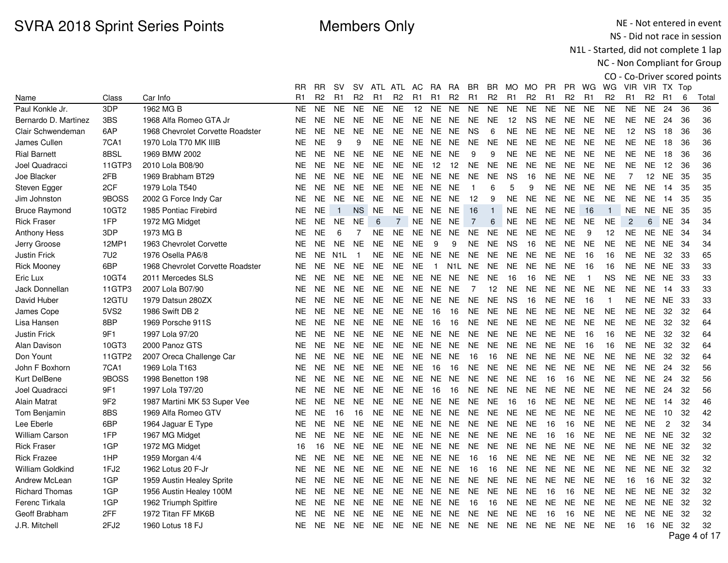NE - Not entered in event NS - Did not race in session

N1L - Started, did not complete 1 lap

|                         |                  |                                  |                |           |                |                |                 |                |                |                |                |                |                |                |                |                |                |                |                |                 |                 |                |     | CO - Co-Driver scored points |
|-------------------------|------------------|----------------------------------|----------------|-----------|----------------|----------------|-----------------|----------------|----------------|----------------|----------------|----------------|----------------|----------------|----------------|----------------|----------------|----------------|----------------|-----------------|-----------------|----------------|-----|------------------------------|
|                         |                  |                                  | RR             | <b>RR</b> | <b>SV</b>      | SV.            |                 | ATL ATL AC     |                | RA             | <b>RA</b>      | BR.            | BR.            | MO MO          |                | <b>PR</b>      |                | PR WG          | WG             |                 | VIR VIR TX Top  |                |     |                              |
| Name                    | Class            | Car Info                         | R <sub>1</sub> | R2        | R1             | R <sub>2</sub> | R1              | R <sub>2</sub> | R <sub>1</sub> | R <sub>1</sub> | R <sub>2</sub> | R <sub>1</sub> | R <sub>2</sub> | R <sub>1</sub> | R <sub>2</sub> | R <sub>1</sub> | R <sub>2</sub> | R <sub>1</sub> | R <sub>2</sub> | R <sub>1</sub>  | R <sub>2</sub>  | R <sub>1</sub> | 6   | Total                        |
| Paul Konkle Jr.         | 3DP              | 1962 MG B                        | <b>NE</b>      | <b>NE</b> | <b>NE</b>      | <b>NE</b>      | <b>NE</b>       | <b>NE</b>      | 12             | <b>NE</b>      | <b>NE</b>      | <b>NE</b>      | <b>NE</b>      | <b>NE</b>      | <b>NE</b>      | <b>NE</b>      | <b>NE</b>      | <b>NE</b>      | <b>NE</b>      | <b>NE</b>       | <b>NE</b>       | 24             | 36  | 36                           |
| Bernardo D. Martinez    | 3BS              | 1968 Alfa Romeo GTA Jr           | <b>NE</b>      | <b>NE</b> | <b>NE</b>      | <b>NE</b>      | <b>NE</b>       | <b>NE</b>      | NE.            | <b>NE</b>      | <b>NE</b>      | <b>NE</b>      | <b>NE</b>      | 12             | <b>NS</b>      | <b>NE</b>      | <b>NE</b>      | <b>NE</b>      | <b>NE</b>      | <b>NE</b>       | <b>NE</b>       | 24             | 36  | 36                           |
| Clair Schwendeman       | 6AP              | 1968 Chevrolet Corvette Roadster | <b>NE</b>      | <b>NE</b> | <b>NE</b>      | <b>NE</b>      | <b>NE</b>       | <b>NE</b>      | NE.            | NE             | <b>NE</b>      | <b>NS</b>      | 6              | <b>NE</b>      | <b>NE</b>      | <b>NE</b>      | <b>NE</b>      | <b>NE</b>      | <b>NE</b>      | 12 <sup>°</sup> | <b>NS</b>       | 18             | 36  | 36                           |
| James Cullen            | 7CA1             | 1970 Lola T70 MK IIIB            | <b>NE</b>      | <b>NE</b> | 9              | 9              | <b>NE</b>       | <b>NE</b>      | <b>NE</b>      | <b>NE</b>      | <b>NE</b>      | <b>NE</b>      | <b>NE</b>      | <b>NE</b>      | <b>NE</b>      | <b>NE</b>      | <b>NE</b>      | <b>NE</b>      | <b>NE</b>      | <b>NE</b>       | <b>NE</b>       | 18             | 36  | 36                           |
| <b>Rial Barnett</b>     | 8BSL             | 1969 BMW 2002                    | <b>NE</b>      | <b>NE</b> | <b>NE</b>      | <b>NE</b>      | <b>NE</b>       | <b>NE</b>      | <b>NE</b>      | <b>NE</b>      | <b>NE</b>      | 9              | 9              | <b>NE</b>      | <b>NE</b>      | <b>NE</b>      | <b>NE</b>      | <b>NE</b>      | <b>NE</b>      | <b>NE</b>       | <b>NE</b>       | 18             | 36  | 36                           |
| Joel Quadracci          | 11GTP3           | 2010 Lola B08/90                 | <b>NE</b>      | <b>NE</b> | <b>NE</b>      | <b>NE</b>      | <b>NE</b>       | <b>NE</b>      | <b>NE</b>      | 12             | 12             | <b>NE</b>      | <b>NE</b>      | <b>NE</b>      | <b>NE</b>      | <b>NE</b>      | <b>NE</b>      | <b>NE</b>      | <b>NE</b>      | <b>NE</b>       | NE.             | 12             | 36  | 36                           |
| Joe Blacker             | 2FB              | 1969 Brabham BT29                | <b>NE</b>      | <b>NE</b> | <b>NE</b>      | <b>NE</b>      | <b>NE</b>       | <b>NE</b>      | <b>NE</b>      | <b>NE</b>      | <b>NE</b>      | <b>NE</b>      | <b>NE</b>      | <b>NS</b>      | 16             | <b>NE</b>      | <b>NE</b>      | <b>NE</b>      | <b>NE</b>      | $\overline{7}$  | 12 <sup>2</sup> | <b>NE</b>      | 35  | 35                           |
| Steven Egger            | 2CF              | 1979 Lola T540                   | <b>NE</b>      | <b>NE</b> | <b>NE</b>      | <b>NE</b>      | <b>NE</b>       | <b>NE</b>      |                | NE NE NE       |                | $\overline{1}$ | 6              | 5              | 9              | <b>NE</b>      | <b>NE</b>      | <b>NE</b>      | <b>NE</b>      | <b>NE</b>       | <b>NE</b>       | 14             | 35  | 35                           |
| Jim Johnston            | 9BOSS            | 2002 G Force Indy Car            | <b>NE</b>      | <b>NE</b> | <b>NE</b>      | <b>NE</b>      | <b>NE</b>       | <b>NE</b>      | NE             | NE.            | <b>NE</b>      | 12             | 9              | <b>NE</b>      | <b>NE</b>      | <b>NE</b>      | <b>NE</b>      | <b>NE</b>      | <b>NE</b>      | NE.             | <b>NE</b>       | 14             | 35  | 35                           |
| <b>Bruce Raymond</b>    | 10GT2            | 1985 Pontiac Firebird            | <b>NE</b>      | <b>NE</b> | $\overline{1}$ | <b>NS</b>      | <b>NE</b>       | <b>NE</b>      | NE.            | NE             | <b>NE</b>      | 16             | $\overline{1}$ | <b>NE</b>      | <b>NE</b>      | <b>NE</b>      | <b>NE</b>      | 16             | $\mathbf{1}$   | <b>NE</b>       | <b>NE</b>       | <b>NE</b>      | 35  | 35                           |
| <b>Rick Fraser</b>      | 1FP              | 1972 MG Midget                   | <b>NE</b>      | <b>NE</b> | <b>NE</b>      | <b>NE</b>      | $6\phantom{1}6$ | 7              | NE.            | <b>NE</b>      | <b>NE</b>      | $\overline{7}$ | 6              | <b>NE</b>      | <b>NE</b>      | <b>NE</b>      | <b>NE</b>      | <b>NE</b>      | <b>NE</b>      | $\overline{2}$  | 6               | NE.            | -34 | 34                           |
| <b>Anthony Hess</b>     | 3DP              | 1973 MG B                        | <b>NE</b>      | <b>NE</b> | 6              | 7              | <b>NE</b>       | <b>NE</b>      | <b>NE</b>      | <b>NE</b>      | <b>NE</b>      | <b>NE</b>      | <b>NE</b>      | <b>NE</b>      | <b>NE</b>      | <b>NE</b>      | <b>NE</b>      | 9              | 12             | <b>NE</b>       | NE.             | <b>NE</b>      | -34 | 34                           |
| Jerry Groose            | 12MP1            | 1963 Chevrolet Corvette          | <b>NE</b>      | <b>NE</b> | <b>NE</b>      | <b>NE</b>      | <b>NE</b>       | <b>NE</b>      | <b>NE</b>      | 9              | 9              | <b>NE</b>      | <b>NE</b>      | <b>NS</b>      | 16             | <b>NE</b>      | <b>NE</b>      | <b>NE</b>      | <b>NE</b>      | NE.             | <b>NE</b>       | NE 34          |     | 34                           |
| <b>Justin Frick</b>     | 7U <sub>2</sub>  | 1976 Osella PA6/8                | <b>NE</b>      | <b>NE</b> | N1L            | $\overline{1}$ | NE.             | <b>NE</b>      | NE.            | NE.            | <b>NE</b>      | <b>NE</b>      | <b>NE</b>      | <b>NE</b>      | <b>NE</b>      | <b>NE</b>      | <b>NE</b>      | 16             | 16             | NE.             | <b>NE</b>       | 32             | 33  | 65                           |
| <b>Rick Mooney</b>      | 6BP              | 1968 Chevrolet Corvette Roadster | <b>NE</b>      | <b>NE</b> | <b>NE</b>      | <b>NE</b>      | <b>NE</b>       | <b>NE</b>      | <b>NE</b>      | $\mathbf{1}$   | N1L            | <b>NE</b>      | <b>NE</b>      | <b>NE</b>      | <b>NE</b>      | <b>NE</b>      | <b>NE</b>      | 16             | 16             | <b>NE</b>       | <b>NE</b>       | <b>NE</b>      | -33 | 33                           |
| Eric Lux                | 10GT4            | 2011 Mercedes SLS                | <b>NE</b>      | <b>NE</b> | <b>NE</b>      | <b>NE</b>      | <b>NE</b>       | NE.            | <b>NE</b>      | <b>NE</b>      | NE.            | NE.            | <b>NE</b>      | 16             | 16             | <b>NE</b>      | <b>NE</b>      | $\overline{1}$ | <b>NS</b>      | <b>NE</b>       | NE.             | NE.            | -33 | 33                           |
| Jack Donnellan          | 11GTP3           | 2007 Lola B07/90                 | <b>NE</b>      | <b>NE</b> | <b>NE</b>      | <b>NE</b>      | <b>NE</b>       | <b>NE</b>      | <b>NE</b>      | <b>NE</b>      | <b>NE</b>      | $\overline{7}$ | 12             | <b>NE</b>      | <b>NE</b>      | <b>NE</b>      | <b>NE</b>      | <b>NE</b>      | <b>NE</b>      | <b>NE</b>       | <b>NE</b>       | 14             | 33  | 33                           |
| David Huber             | 12GTU            | 1979 Datsun 280ZX                | <b>NE</b>      | <b>NE</b> | <b>NE</b>      | <b>NE</b>      | <b>NE</b>       | <b>NE</b>      | <b>NE</b>      | <b>NE</b>      | <b>NE</b>      | <b>NE</b>      | <b>NE</b>      | <b>NS</b>      | 16             | <b>NE</b>      | <b>NE</b>      | 16             | $\overline{1}$ | <b>NE</b>       | <b>NE</b>       | <b>NE</b>      | 33  | 33                           |
| James Cope              | 5VS <sub>2</sub> | 1986 Swift DB 2                  | <b>NE</b>      | <b>NE</b> | <b>NE</b>      | <b>NE</b>      | <b>NE</b>       | <b>NE</b>      | <b>NE</b>      | 16             | 16             | NE             | <b>NE</b>      | NE             | <b>NE</b>      | <b>NE</b>      | NE             | <b>NE</b>      | <b>NE</b>      | <b>NE</b>       | <b>NE</b>       | 32             | 32  | 64                           |
| Lisa Hansen             | 8BP              | 1969 Porsche 911S                | <b>NE</b>      | <b>NE</b> | <b>NE</b>      | <b>NE</b>      | <b>NE</b>       | <b>NE</b>      | <b>NE</b>      | 16             | 16             | <b>NE</b>      | <b>NE</b>      | <b>NE</b>      | <b>NE</b>      | <b>NE</b>      | <b>NE</b>      | <b>NE</b>      | <b>NE</b>      | <b>NE</b>       | <b>NE</b>       | 32             | 32  | 64                           |
| <b>Justin Frick</b>     | 9F1              | 1997 Lola 97/20                  | <b>NE</b>      | <b>NE</b> | <b>NE</b>      | <b>NE</b>      | <b>NE</b>       | <b>NE</b>      | <b>NE</b>      | NE.            | <b>NE</b>      | <b>NE</b>      | <b>NE</b>      | <b>NE</b>      | <b>NE</b>      | <b>NE</b>      | <b>NE</b>      | 16             | 16             | NE.             | <b>NE</b>       | 32             | 32  | 64                           |
| Alan Davison            | 10GT3            | 2000 Panoz GTS                   | <b>NE</b>      | <b>NE</b> | <b>NE</b>      | <b>NE</b>      | <b>NE</b>       | <b>NE</b>      | NE.            | <b>NE</b>      | <b>NE</b>      | <b>NE</b>      | <b>NE</b>      | <b>NE</b>      | <b>NE</b>      | <b>NE</b>      | <b>NE</b>      | 16             | 16             | <b>NE</b>       | <b>NE</b>       | 32             | 32  | 64                           |
| Don Yount               | 11GTP2           | 2007 Oreca Challenge Car         | <b>NE</b>      | <b>NE</b> | <b>NE</b>      | <b>NE</b>      | <b>NE</b>       | <b>NE</b>      | NE             | NE.            | <b>NE</b>      | 16             | 16             | <b>NE</b>      | <b>NE</b>      | <b>NE</b>      | <b>NE</b>      | <b>NE</b>      | <b>NE</b>      | <b>NE</b>       | NE.             | 32             | 32  | 64                           |
| John F Boxhorn          | 7CA1             | 1969 Lola T163                   | <b>NE</b>      | NE.       | <b>NE</b>      | NE.            | <b>NE</b>       | <b>NE</b>      | <b>NE</b>      | 16             | 16             | NE.            | <b>NE</b>      | <b>NE</b>      | <b>NE</b>      | <b>NE</b>      | <b>NE</b>      | <b>NE</b>      | <b>NE</b>      | <b>NE</b>       | <b>NE</b>       | 24             | 32  | 56                           |
| Kurt DelBene            | 9BOSS            | 1998 Benetton 198                | <b>NE</b>      | <b>NE</b> | <b>NE</b>      | <b>NE</b>      | <b>NE</b>       | <b>NE</b>      | <b>NE</b>      | <b>NE</b>      | <b>NE</b>      | <b>NE</b>      | <b>NE</b>      | <b>NE</b>      | <b>NE</b>      | 16             | 16             | <b>NE</b>      | <b>NE</b>      | <b>NE</b>       | <b>NE</b>       | 24             | 32  | 56                           |
| Joel Quadracci          | 9F1              | 1997 Lola T97/20                 | <b>NE</b>      | <b>NE</b> | <b>NE</b>      | <b>NE</b>      | <b>NE</b>       | <b>NE</b>      | <b>NE</b>      | 16             | 16             | <b>NE</b>      | <b>NE</b>      | <b>NE</b>      | <b>NE</b>      | <b>NE</b>      | <b>NE</b>      | <b>NE</b>      | <b>NE</b>      | <b>NE</b>       | <b>NE</b>       | 24             | 32  | 56                           |
| <b>Alain Matrat</b>     | 9F <sub>2</sub>  | 1987 Martini MK 53 Super Vee     | <b>NE</b>      | <b>NE</b> | <b>NE</b>      | <b>NE</b>      | <b>NE</b>       | <b>NE</b>      | <b>NE</b>      | <b>NE</b>      | <b>NE</b>      | <b>NE</b>      | <b>NE</b>      | 16             | 16             | <b>NE</b>      | <b>NE</b>      | <b>NE</b>      | <b>NE</b>      | <b>NE</b>       | <b>NE</b>       | 14             | 32  | 46                           |
| Tom Benjamin            | 8BS              | 1969 Alfa Romeo GTV              | <b>NE</b>      | <b>NE</b> | 16             | 16             | <b>NE</b>       | <b>NE</b>      |                | NE NE          | <b>NE</b>      | <b>NE</b>      | <b>NE</b>      | <b>NE</b>      | <b>NE</b>      | <b>NE</b>      | <b>NE</b>      | <b>NE</b>      | <b>NE</b>      | NE.             | <b>NE</b>       | 10             | 32  | 42                           |
| Lee Eberle              | 6BP              | 1964 Jaguar E Type               | <b>NE</b>      | <b>NE</b> | <b>NE</b>      | <b>NE</b>      | NE.             | <b>NE</b>      | NE             | NE.            | NE.            | NE.            | NE.            | NE             | $N\mathsf{E}$  | 16             | 16             | <b>NE</b>      | <b>NE</b>      | <b>NE</b>       | <b>NE</b>       | $\overline{c}$ | 32  | 34                           |
| <b>William Carson</b>   | 1FP              | 1967 MG Midget                   | <b>NE</b>      | <b>NE</b> | <b>NE</b>      | <b>NE</b>      | NE.             | <b>NE</b>      | <b>NE</b>      | NE             | <b>NE</b>      | NE.            | <b>NE</b>      | <b>NE</b>      | <b>NE</b>      | 16             | 16             | <b>NE</b>      | <b>NE</b>      | <b>NE</b>       | NE.             | <b>NE</b>      | 32  | 32                           |
| <b>Rick Fraser</b>      | 1GP              | 1972 MG Midget                   | 16             | 16        | <b>NE</b>      | <b>NE</b>      | <b>NE</b>       | <b>NE</b>      | <b>NE</b>      | <b>NE</b>      | <b>NE</b>      | <b>NE</b>      | <b>NE</b>      | <b>NE</b>      | <b>NE</b>      | <b>NE</b>      | <b>NE</b>      | <b>NE</b>      | <b>NE</b>      | <b>NE</b>       | NE.             | <b>NE</b>      | 32  | 32                           |
| <b>Rick Frazee</b>      | 1HP              | 1959 Morgan 4/4                  | <b>NE</b>      | <b>NE</b> | <b>NE</b>      | NE.            | <b>NE</b>       | <b>NE</b>      | <b>NE</b>      | <b>NE</b>      | <b>NE</b>      | 16             | 16             | <b>NE</b>      | <b>NE</b>      | <b>NE</b>      | <b>NE</b>      | <b>NE</b>      | <b>NE</b>      | <b>NE</b>       | <b>NE</b>       | <b>NE</b>      | -32 | 32                           |
| <b>William Goldkind</b> | 1FJ <sub>2</sub> | 1962 Lotus 20 F-Jr               | <b>NE</b>      | <b>NE</b> | <b>NE</b>      | <b>NE</b>      | <b>NE</b>       | <b>NE</b>      | NE.            | NE             | <b>NE</b>      | 16             | 16             | <b>NE</b>      | <b>NE</b>      | <b>NE</b>      | <b>NE</b>      | <b>NE</b>      | <b>NE</b>      | <b>NE</b>       | NE.             | NE             | -32 | 32                           |
| <b>Andrew McLean</b>    | 1GP              | 1959 Austin Healey Sprite        | <b>NE</b>      | <b>NE</b> | <b>NE</b>      | <b>NE</b>      | NE.             | <b>NE</b>      | <b>NE</b>      | NE.            | NE.            | NE.            | <b>NE</b>      | <b>NE</b>      | <b>NE</b>      | <b>NE</b>      | <b>NE</b>      | <b>NE</b>      | <b>NE</b>      | 16              | 16              | <b>NE</b>      | 32  | 32                           |
| <b>Richard Thomas</b>   | 1GP              | 1956 Austin Healey 100M          | <b>NE</b>      | <b>NE</b> | <b>NE</b>      | <b>NE</b>      | NE.             | <b>NE</b>      | <b>NE</b>      | NE.            | <b>NE</b>      | <b>NE</b>      | <b>NE</b>      | <b>NE</b>      | <b>NE</b>      | 16             | 16             | <b>NE</b>      | <b>NE</b>      | <b>NE</b>       | NE.             | <b>NE</b>      | 32  | 32                           |
| Ferenc Tirkala          | 1GP              | 1962 Triumph Spitfire            | <b>NE</b>      | <b>NE</b> | <b>NE</b>      | <b>NE</b>      | <b>NE</b>       | <b>NE</b>      | <b>NE</b>      | <b>NE</b>      | <b>NE</b>      | 16             | 16             | NE.            | <b>NE</b>      | <b>NE</b>      | <b>NE</b>      | <b>NE</b>      | <b>NE</b>      | <b>NE</b>       | NE.             | NE.            | 32  | 32                           |
| Geoff Brabham           | 2FF              | 1972 Titan FF MK6B               | <b>NE</b>      | <b>NE</b> | <b>NE</b>      | NE.            | NE.             | <b>NE</b>      | NE             | NE             | <b>NE</b>      | NE.            | <b>NE</b>      | <b>NE</b>      | <b>NE</b>      | 16             | 16             | <b>NE</b>      | <b>NE</b>      | <b>NE</b>       | <b>NE</b>       | NE.            | 32  | 32                           |
| J.R. Mitchell           | 2FJ <sub>2</sub> | 1960 Lotus 18 FJ                 | <b>NE</b>      | <b>NE</b> | <b>NE</b>      | <b>NE</b>      | <b>NE</b>       | <b>NE</b>      |                | NE NE NE       |                | NE.            | NE.            | NE.            | <b>NE</b>      | <b>NE</b>      | NE.            | <b>NE</b>      | <b>NE</b>      | 16              | 16              | <b>NE</b>      | 32  | 32                           |
|                         |                  |                                  |                |           |                |                |                 |                |                |                |                |                |                |                |                |                |                |                |                |                 |                 |                |     | Page 4 of 17                 |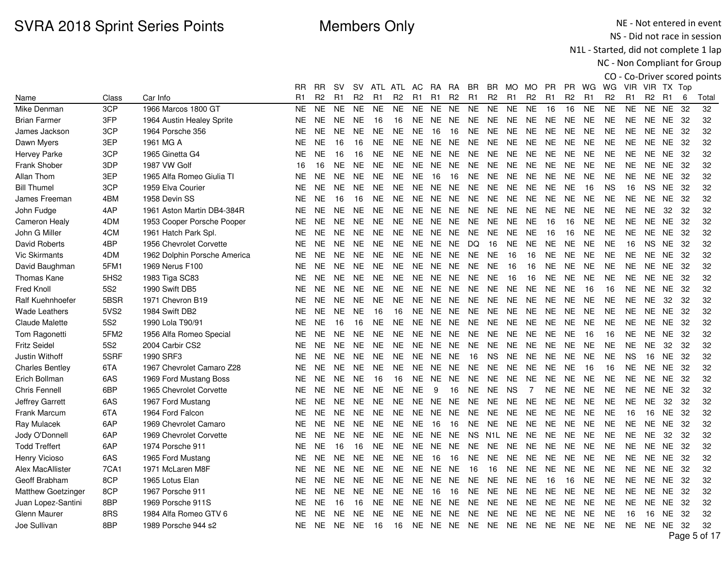NE - Not entered in event NS - Did not race in session

N1L - Started, did not complete 1 lap

|                         |                  |                              |                |           |           |                |               |                |                |                |                |                   |                  |                |                |                |                |                |                |                |                |                 |     | CO - Co-Driver scored points |
|-------------------------|------------------|------------------------------|----------------|-----------|-----------|----------------|---------------|----------------|----------------|----------------|----------------|-------------------|------------------|----------------|----------------|----------------|----------------|----------------|----------------|----------------|----------------|-----------------|-----|------------------------------|
|                         |                  |                              | RR             | <b>RR</b> | <b>SV</b> |                | SV ATL ATL AC |                |                |                | RA RA          | BR.               | BR.              | MO MO          |                | <b>PR</b>      | PR.            | WG             | WG             |                | VIR VIR TX Top |                 |     |                              |
| Name                    | Class            | Car Info                     | R <sub>1</sub> | R2        | R1        | R <sub>2</sub> | R1            | R <sub>2</sub> | R <sub>1</sub> | R <sub>1</sub> | R <sub>2</sub> | R <sub>1</sub>    | R <sub>2</sub>   | R <sub>1</sub> | R <sub>2</sub> | R <sub>1</sub> | R <sub>2</sub> | R <sub>1</sub> | R <sub>2</sub> | R <sub>1</sub> | R <sub>2</sub> | R <sub>1</sub>  | 6   | Total                        |
| Mike Denman             | 3CP              | 1966 Marcos 1800 GT          | <b>NE</b>      | <b>NE</b> | <b>NE</b> | <b>NE</b>      | <b>NE</b>     | <b>NE</b>      | NE.            | <b>NE</b>      | <b>NE</b>      | <b>NE</b>         | <b>NE</b>        | <b>NE</b>      | <b>NE</b>      | 16             | 16             | <b>NE</b>      | <b>NE</b>      | <b>NE</b>      | <b>NE</b>      | <b>NE</b>       | 32  | 32                           |
| <b>Brian Farmer</b>     | 3FP              | 1964 Austin Healey Sprite    | <b>NE</b>      | <b>NE</b> | <b>NE</b> | <b>NE</b>      | 16            | 16             | NE.            | NE.            | <b>NE</b>      | <b>NE</b>         | <b>NE</b>        | NE.            | <b>NE</b>      | <b>NE</b>      | <b>NE</b>      | <b>NE</b>      | <b>NE</b>      | <b>NE</b>      | NE.            | NE 32           |     | 32                           |
| James Jackson           | 3CP              | 1964 Porsche 356             | <b>NE</b>      | <b>NE</b> | <b>NE</b> | <b>NE</b>      | <b>NE</b>     | <b>NE</b>      | <b>NE</b>      | 16             | 16             | <b>NE</b>         | <b>NE</b>        | <b>NE</b>      | <b>NE</b>      | <b>NE</b>      | <b>NE</b>      | <b>NE</b>      | <b>NE</b>      | NE.            |                | <b>NE NE 32</b> |     | 32                           |
| Dawn Myers              | 3EP              | 1961 MG A                    | <b>NE</b>      | <b>NE</b> | 16        | 16             | <b>NE</b>     | <b>NE</b>      | <b>NE</b>      | <b>NE</b>      | <b>NE</b>      | <b>NE</b>         | <b>NE</b>        | <b>NE</b>      | <b>NE</b>      | <b>NE</b>      | <b>NE</b>      | <b>NE</b>      | <b>NE</b>      | <b>NE</b>      | NE.            | <b>NE</b>       | 32  | 32                           |
| <b>Hervey Parke</b>     | 3CP              | 1965 Ginetta G4              | <b>NE</b>      | <b>NE</b> | 16        | 16             | <b>NE</b>     | <b>NE</b>      | NE.            |                | NE NE          | <b>NE</b>         | <b>NE</b>        | <b>NE</b>      | <b>NE</b>      | <b>NE</b>      | <b>NE</b>      | <b>NE</b>      | <b>NE</b>      | NE.            | NE.            | <b>NE</b>       | -32 | 32                           |
| Frank Shober            | 3DP              | 1987 VW Golf                 | 16             | 16        | <b>NE</b> | NE.            | NE.           | <b>NE</b>      | NE.            | NE.            | <b>NE</b>      | <b>NE</b>         | <b>NE</b>        | <b>NE</b>      | <b>NE</b>      | <b>NE</b>      | <b>NE</b>      | <b>NE</b>      | <b>NE</b>      | <b>NE</b>      | NE.            | <b>NE</b>       | -32 | 32                           |
| Allan Thom              | 3EP              | 1965 Alfa Romeo Giulia TI    | <b>NE</b>      | <b>NE</b> | <b>NE</b> | <b>NE</b>      | <b>NE</b>     | <b>NE</b>      | <b>NE</b>      | 16             | 16             | <b>NE</b>         | <b>NE</b>        | <b>NE</b>      | <b>NE</b>      | <b>NE</b>      | <b>NE</b>      | <b>NE</b>      | <b>NE</b>      | <b>NE</b>      | <b>NE</b>      | <b>NE</b>       | 32  | 32                           |
| <b>Bill Thumel</b>      | 3CP              | 1959 Elva Courier            | <b>NE</b>      | <b>NE</b> | <b>NE</b> | <b>NE</b>      | <b>NE</b>     | <b>NE</b>      | <b>NE</b>      | NE NE          |                | <b>NE</b>         | <b>NE</b>        | <b>NE</b>      | <b>NE</b>      | <b>NE</b>      | <b>NE</b>      | 16             | <b>NS</b>      | 16             | <b>NS</b>      | NE 32           |     | 32                           |
| James Freeman           | 4BM              | 1958 Devin SS                | <b>NE</b>      | <b>NE</b> | 16        | 16             | <b>NE</b>     | <b>NE</b>      | NE.            | NE.            | <b>NE</b>      | <b>NE</b>         | <b>NE</b>        | <b>NE</b>      | <b>NE</b>      | <b>NE</b>      | <b>NE</b>      | <b>NE</b>      | <b>NE</b>      | ΝE             | <b>NE</b>      | <b>NE</b>       | 32  | 32                           |
| John Fudge              | 4AP              | 1961 Aston Martin DB4-384R   | <b>NE</b>      | <b>NE</b> | <b>NE</b> | <b>NE</b>      | NE.           | <b>NE</b>      | NE.            |                | NE NE          | <b>NE</b>         | <b>NE</b>        | <b>NE</b>      | <b>NE</b>      | <b>NE</b>      | <b>NE</b>      | <b>NE</b>      | <b>NE</b>      | <b>NE</b>      | <b>NE</b>      | 32              | 32  | 32                           |
| <b>Cameron Healy</b>    | 4DM              | 1953 Cooper Porsche Pooper   | <b>NE</b>      | <b>NE</b> | <b>NE</b> | NE.            | NE.           | <b>NE</b>      | NE.            | NE.            | <b>NE</b>      | <b>NE</b>         | <b>NE</b>        | <b>NE</b>      | <b>NE</b>      | 16             | 16             | <b>NE</b>      | <b>NE</b>      | <b>NE</b>      | NE.            | <b>NE</b>       | 32  | 32                           |
| John G Miller           | 4CM              | 1961 Hatch Park Spl.         | <b>NE</b>      | <b>NE</b> | <b>NE</b> | NE.            | <b>NE</b>     | <b>NE</b>      | NE.            | <b>NE</b>      | <b>NE</b>      | <b>NE</b>         | <b>NE</b>        | <b>NE</b>      | NE.            | 16             | 16             | <b>NE</b>      | <b>NE</b>      | <b>NE</b>      | <b>NE</b>      | <b>NE</b>       | 32  | 32                           |
| David Roberts           | 4BP              | 1956 Chevrolet Corvette      | <b>NE</b>      | <b>NE</b> | NE.       | <b>NE</b>      | <b>NE</b>     | NE.            |                | NE NE NE       |                | DQ                | 16               | NE.            | <b>NE</b>      | <b>NE</b>      | <b>NE</b>      | <b>NE</b>      | <b>NE</b>      | 16             | <b>NS</b>      | NE 32           |     | 32                           |
| <b>Vic Skirmants</b>    | 4DM              | 1962 Dolphin Porsche America | <b>NE</b>      | <b>NE</b> | <b>NE</b> | NE.            | <b>NE</b>     | <b>NE</b>      | NE.            |                | NE NE          | <b>NE</b>         | <b>NE</b>        | 16             | 16             | <b>NE</b>      | <b>NE</b>      | <b>NE</b>      | <b>NE</b>      | NE             | <b>NE</b>      | <b>NE</b>       | 32  | 32                           |
| David Baughman          | 5FM1             | 1969 Nerus F100              | <b>NE</b>      | <b>NE</b> | <b>NE</b> | <b>NE</b>      | NE.           | <b>NE</b>      | NE.            | NE             | NE.            | NE.               | <b>NE</b>        | 16             | 16             | <b>NE</b>      | <b>NE</b>      | <b>NE</b>      | <b>NE</b>      | <b>NE</b>      | NE.            | NE.             | 32  | 32                           |
| Thomas Kane             | 5HS <sub>2</sub> | 1983 Tiga SC83               | <b>NE</b>      | <b>NE</b> | <b>NE</b> | <b>NE</b>      | <b>NE</b>     | <b>NE</b>      | NE.            | <b>NE</b>      | <b>NE</b>      | <b>NE</b>         | <b>NE</b>        | 16             | 16             | <b>NE</b>      | <b>NE</b>      | <b>NE</b>      | <b>NE</b>      | <b>NE</b>      | NE.            | NE.             | 32  | 32                           |
| <b>Fred Knoll</b>       | 5S <sub>2</sub>  | 1990 Swift DB5               | <b>NE</b>      | <b>NE</b> | <b>NE</b> | <b>NE</b>      | <b>NE</b>     | <b>NE</b>      | <b>NE</b>      | <b>NE</b>      | <b>NE</b>      | <b>NE</b>         | <b>NE</b>        | <b>NE</b>      | <b>NE</b>      | <b>NE</b>      | <b>NE</b>      | 16             | 16             | <b>NE</b>      | <b>NE</b>      | <b>NE</b>       | 32  | 32                           |
| <b>Ralf Kuehnhoefer</b> | 5BSR             | 1971 Chevron B19             | <b>NE</b>      | <b>NE</b> | NE.       | <b>NE</b>      | NE.           | <b>NE</b>      | NE.            | NE NE          |                | <b>NE</b>         | NE.              | <b>NE</b>      | <b>NE</b>      | NE.            | <b>NE</b>      | <b>NE</b>      | <b>NE</b>      | <b>NE</b>      | <b>NE</b>      | 32              | 32  | 32                           |
| <b>Wade Leathers</b>    | 5VS2             | 1984 Swift DB2               | <b>NE</b>      | <b>NE</b> | <b>NE</b> | <b>NE</b>      | 16            | 16             | NE.            |                | NE NE          | <b>NE</b>         | <b>NE</b>        | <b>NE</b>      | <b>NE</b>      | <b>NE</b>      | <b>NE</b>      | <b>NE</b>      | <b>NE</b>      | NE.            | <b>NE</b>      | <b>NE</b>       | 32  | 32                           |
| <b>Claude Malette</b>   | 5S2              | 1990 Lola T90/91             | <b>NE</b>      | <b>NE</b> | 16        | 16             | <b>NE</b>     | <b>NE</b>      | NE.            | NE NE          |                | <b>NE</b>         | <b>NE</b>        | <b>NE</b>      | <b>NE</b>      | <b>NE</b>      | <b>NE</b>      | <b>NE</b>      | <b>NE</b>      | <b>NE</b>      | NE.            | <b>NE</b>       | 32  | 32                           |
| Tom Ragonetti           | 5FM2             | 1956 Alfa Romeo Special      | <b>NE</b>      | <b>NE</b> | <b>NE</b> | <b>NE</b>      | <b>NE</b>     | <b>NE</b>      | NE.            | NE             | <b>NE</b>      | <b>NE</b>         | <b>NE</b>        | <b>NE</b>      | NE.            | <b>NE</b>      | <b>NE</b>      | 16             | 16             | <b>NE</b>      | <b>NE</b>      | <b>NE</b>       | 32  | 32                           |
| <b>Fritz Seidel</b>     | 5S <sub>2</sub>  | 2004 Carbir CS2              | <b>NE</b>      | <b>NE</b> | <b>NE</b> | <b>NE</b>      | NE.           | <b>NE</b>      | NE.            | <b>NE</b>      | <b>NE</b>      | <b>NE</b>         | <b>NE</b>        | <b>NE</b>      | NE.            | <b>NE</b>      | <b>NE</b>      | <b>NE</b>      | <b>NE</b>      | <b>NE</b>      | <b>NE</b>      | 32              | 32  | 32                           |
| Justin Withoff          | 5SRF             | 1990 SRF3                    | <b>NE</b>      | <b>NE</b> | NE.       | NE.            | <b>NE</b>     | <b>NE</b>      |                | NE NE NE       |                | 16                | <b>NS</b>        | <b>NE</b>      | <b>NE</b>      | NE.            | <b>NE</b>      | <b>NE</b>      | <b>NE</b>      | ΝS             | 16             | NE 32           |     | 32                           |
| <b>Charles Bentley</b>  | 6TA              | 1967 Chevrolet Camaro Z28    | <b>NE</b>      | <b>NE</b> | <b>NE</b> | NE.            | <b>NE</b>     | <b>NE</b>      | NE.            | <b>NE</b>      | <b>NE</b>      | <b>NE</b>         | <b>NE</b>        | <b>NE</b>      | <b>NE</b>      | <b>NE</b>      | <b>NE</b>      | 16             | 16             | NE             | <b>NE</b>      | <b>NE</b>       | 32  | 32                           |
| Erich Bollman           | 6AS              | 1969 Ford Mustang Boss       | <b>NE</b>      | <b>NE</b> | <b>NE</b> | <b>NE</b>      | 16            | 16             | NE.            | NE.            | NE.            | NE.               | <b>NE</b>        | <b>NE</b>      | <b>NE</b>      | <b>NE</b>      | <b>NE</b>      | <b>NE</b>      | <b>NE</b>      | <b>NE</b>      | NE.            | NE.             | 32  | 32                           |
| <b>Chris Fennell</b>    | 6BP              | 1965 Chevrolet Corvette      | <b>NE</b>      | <b>NE</b> | <b>NE</b> | <b>NE</b>      | <b>NE</b>     | <b>NE</b>      | <b>NE</b>      | 9              | 16             | <b>NE</b>         | <b>NE</b>        | <b>NS</b>      | $\overline{7}$ | <b>NE</b>      | <b>NE</b>      | <b>NE</b>      | <b>NE</b>      | <b>NE</b>      | NE.            | <b>NE</b>       | 32  | 32                           |
| Jeffrey Garrett         | 6AS              | 1967 Ford Mustang            | <b>NE</b>      | <b>NE</b> | <b>NE</b> | <b>NE</b>      | <b>NE</b>     | <b>NE</b>      | <b>NE</b>      | <b>NE</b>      | <b>NE</b>      | <b>NE</b>         | <b>NE</b>        | <b>NE</b>      | <b>NE</b>      | <b>NE</b>      | <b>NE</b>      | <b>NE</b>      | <b>NE</b>      | <b>NE</b>      | <b>NE</b>      | 32              | 32  | 32                           |
| <b>Frank Marcum</b>     | 6TA              | 1964 Ford Falcon             | <b>NE</b>      | <b>NE</b> | <b>NE</b> | NE.            | <b>NE</b>     | <b>NE</b>      | NE.            | NE NE          |                | <b>NE</b>         | <b>NE</b>        | <b>NE</b>      | <b>NE</b>      | NE.            | <b>NE</b>      | <b>NE</b>      | <b>NE</b>      | 16             | 16             | NE 32           |     | 32                           |
| Ray Mulacek             | 6AP              | 1969 Chevrolet Camaro        | <b>NE</b>      | <b>NE</b> | <b>NE</b> | NE.            | <b>NE</b>     | <b>NE</b>      | <b>NE</b>      | 16             | 16             | NE.               | <b>NE</b>        | <b>NE</b>      | <b>NE</b>      | <b>NE</b>      | <b>NE</b>      | <b>NE</b>      | <b>NE</b>      | <b>NE</b>      | <b>NE</b>      | <b>NE</b>       | 32  | 32                           |
| Jody O'Donnell          | 6AP              | 1969 Chevrolet Corvette      | <b>NE</b>      | <b>NE</b> | <b>NE</b> | NE.            | <b>NE</b>     | <b>NE</b>      | NE.            | NE NE          |                | <b>NS</b>         | N <sub>1</sub> L | <b>NE</b>      | <b>NE</b>      | <b>NE</b>      | <b>NE</b>      | <b>NE</b>      | <b>NE</b>      | <b>NE</b>      | <b>NE</b>      | 32              | 32  | 32                           |
| <b>Todd Treffert</b>    | 6AP              | 1974 Porsche 911             | <b>NE</b>      | <b>NE</b> | 16        | 16             | <b>NE</b>     | <b>NE</b>      | NE.            | <b>NE</b>      | <b>NE</b>      | <b>NE</b>         | <b>NE</b>        | <b>NE</b>      | NE.            | <b>NE</b>      | <b>NE</b>      | <b>NE</b>      | <b>NE</b>      | <b>NE</b>      | NE.            | <b>NE</b>       | 32  | 32                           |
| Henry Vicioso           | 6AS              | 1965 Ford Mustang            | <b>NE</b>      | <b>NE</b> | <b>NE</b> | <b>NE</b>      | <b>NE</b>     | <b>NE</b>      | <b>NE</b>      | 16             | 16             | <b>NE</b>         | <b>NE</b>        | <b>NE</b>      | <b>NE</b>      | <b>NE</b>      | <b>NE</b>      | <b>NE</b>      | <b>NE</b>      | NE.            | <b>NE</b>      | <b>NE</b>       | -32 | 32                           |
| Alex MacAllister        | 7CA1             | 1971 McLaren M8F             | <b>NE</b>      | <b>NE</b> | <b>NE</b> | NE.            | <b>NE</b>     | <b>NE</b>      | <b>NE</b>      | NE NE          |                | 16                | 16               | <b>NE</b>      | <b>NE</b>      | NE.            | <b>NE</b>      | <b>NE</b>      | <b>NE</b>      | <b>NE</b>      |                | NE NE 32        |     | 32                           |
| Geoff Brabham           | 8CP              | 1965 Lotus Elan              | <b>NE</b>      | <b>NE</b> | <b>NE</b> | <b>NE</b>      | <b>NE</b>     | <b>NE</b>      | <b>NE</b>      | <b>NE</b>      | <b>NE</b>      | <b>NE</b>         | <b>NE</b>        | <b>NE</b>      | <b>NE</b>      | 16             | 16             | <b>NE</b>      | <b>NE</b>      | NE             | <b>NE</b>      | <b>NE</b>       | 32  | 32                           |
| Matthew Goetzinger      | 8CP              | 1967 Porsche 911             | <b>NE</b>      | <b>NE</b> | <b>NE</b> | NE.            | <b>NE</b>     | <b>NE</b>      | NE.            | 16             | 16             | <b>NE</b>         | <b>NE</b>        | <b>NE</b>      | <b>NE</b>      | <b>NE</b>      | <b>NE</b>      | <b>NE</b>      | <b>NE</b>      | <b>NE</b>      | NE.            | <b>NE</b>       | 32  | 32                           |
| Juan Lopez-Santini      | 8BP              | 1969 Porsche 911S            | <b>NE</b>      | <b>NE</b> | 16        | 16             | <b>NE</b>     | <b>NE</b>      | NE.            | <b>NE</b>      | <b>NE</b>      | <b>NE</b>         | <b>NE</b>        | <b>NE</b>      | NE.            | <b>NE</b>      | <b>NE</b>      | <b>NE</b>      | <b>NE</b>      | NE.            | NE.            | <b>NE</b>       | 32  | 32                           |
| <b>Glenn Maurer</b>     | 8RS              | 1984 Alfa Romeo GTV 6        | <b>NE</b>      | <b>NE</b> | <b>NE</b> | <b>NE</b>      | <b>NE</b>     | <b>NE</b>      | <b>NE</b>      | <b>NE</b>      | <b>NE</b>      | <b>NE</b>         | <b>NE</b>        | <b>NE</b>      | <b>NE</b>      | <b>NE</b>      | <b>NE</b>      | <b>NE</b>      | <b>NE</b>      | 16             | 16             | <b>NE</b>       | 32  | 32                           |
| Joe Sullivan            | 8BP              | 1989 Porsche 944 s2          | <b>NE</b>      | NE.       | NE.       | NE.            | 16            | 16             |                |                |                | NE NE NE NE NE NE |                  |                | NE.            | NE.            | <b>NE</b>      | <b>NE</b>      | <b>NE</b>      | NE.            |                | NE NE           | -32 | 32                           |
|                         |                  |                              |                |           |           |                |               |                |                |                |                |                   |                  |                |                |                |                |                |                |                |                |                 |     | Page 5 of 17                 |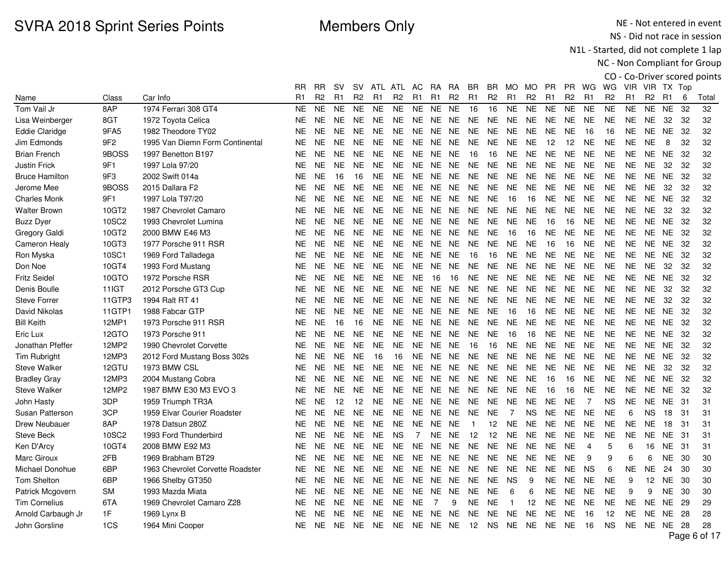NE - Not entered in event NS - Did not race in session

N1L - Started, did not complete 1 lap

|                       |           |                                  |           |                |                |                |                |                |                |                |                |                |                |                |                |                |                |                |                |                |                |                |     | CO - Co-Driver scored points |
|-----------------------|-----------|----------------------------------|-----------|----------------|----------------|----------------|----------------|----------------|----------------|----------------|----------------|----------------|----------------|----------------|----------------|----------------|----------------|----------------|----------------|----------------|----------------|----------------|-----|------------------------------|
|                       |           |                                  | RR        | <b>RR</b>      | <b>SV</b>      |                | SV ATL ATL AC  |                |                | <b>RA</b>      | RA             | BR.            | BR.            | MO MO          |                | <b>PR</b>      | PR.            | WG             | WG             |                | VIR VIR TX Top |                |     |                              |
| Name                  | Class     | Car Info                         | R1        | R <sub>2</sub> | R <sub>1</sub> | R <sub>2</sub> | R <sub>1</sub> | R <sub>2</sub> | R <sub>1</sub> | R <sub>1</sub> | R <sub>2</sub> | R <sub>1</sub> | R <sub>2</sub> | R1             | R <sub>2</sub> | R <sub>1</sub> | R <sub>2</sub> | R1             | R <sub>2</sub> | R <sub>1</sub> | R <sub>2</sub> | R <sub>1</sub> | 6   | Total                        |
| Tom Vail Jr           | 8AP       | 1974 Ferrari 308 GT4             | <b>NE</b> | <b>NE</b>      | <b>NE</b>      | <b>NE</b>      | <b>NE</b>      | <b>NE</b>      | NE.            | NE.            | <b>NE</b>      | 16             | 16             | <b>NE</b>      | <b>NE</b>      | NE.            | <b>NE</b>      | <b>NE</b>      | <b>NE</b>      | <b>NE</b>      | <b>NE</b>      | <b>NE</b>      | 32  | 32                           |
| Lisa Weinberger       | 8GT       | 1972 Toyota Celica               | <b>NE</b> | <b>NE</b>      | <b>NE</b>      | <b>NE</b>      | <b>NE</b>      | <b>NE</b>      | NE.            | NE             | <b>NE</b>      | <b>NE</b>      | <b>NE</b>      | <b>NE</b>      | <b>NE</b>      | <b>NE</b>      | <b>NE</b>      | <b>NE</b>      | <b>NE</b>      | <b>NE</b>      | NE.            | 32             | 32  | 32                           |
| <b>Eddie Claridge</b> | 9FA5      | 1982 Theodore TY02               | <b>NE</b> | <b>NE</b>      | NE.            | <b>NE</b>      | <b>NE</b>      | <b>NE</b>      | NE.            | NE NE          |                | <b>NE</b>      | <b>NE</b>      | <b>NE</b>      | <b>NE</b>      | <b>NE</b>      | <b>NE</b>      | 16             | 16             | NE.            | NE.            | NE 32          |     | 32                           |
| Jim Edmonds           | 9F2       | 1995 Van Diemn Form Continental  | <b>NE</b> | <b>NE</b>      | NE.            | NE.            | <b>NE</b>      | <b>NE</b>      | NE.            | <b>NE</b>      | NE.            | <b>NE</b>      | <b>NE</b>      | <b>NE</b>      | <b>NE</b>      | 12             | 12             | <b>NE</b>      | <b>NE</b>      | <b>NE</b>      | <b>NE</b>      | 8              | 32  | 32                           |
| <b>Brian French</b>   | 9BOSS     | 1997 Benetton B197               | <b>NE</b> | <b>NE</b>      | <b>NE</b>      | NE.            | <b>NE</b>      | <b>NE</b>      | <b>NE</b>      | <b>NE</b>      | <b>NE</b>      | 16             | 16             | <b>NE</b>      | <b>NE</b>      | <b>NE</b>      | <b>NE</b>      | <b>NE</b>      | <b>NE</b>      | <b>NE</b>      | NE             | <b>NE</b>      | 32  | 32                           |
| <b>Justin Frick</b>   | 9F1       | 1997 Lola 97/20                  | <b>NE</b> | <b>NE</b>      | <b>NE</b>      | <b>NE</b>      | <b>NE</b>      | <b>NE</b>      | NE.            | NE.            | NE.            | <b>NE</b>      | <b>NE</b>      | <b>NE</b>      | <b>NE</b>      | <b>NE</b>      | <b>NE</b>      | <b>NE</b>      | <b>NE</b>      | <b>NE</b>      | <b>NE</b>      | 32             | 32  | 32                           |
| <b>Bruce Hamilton</b> | 9F3       | 2002 Swift 014a                  | <b>NE</b> | <b>NE</b>      | 16             | 16             | <b>NE</b>      | <b>NE</b>      | <b>NE</b>      | <b>NE</b>      | <b>NE</b>      | <b>NE</b>      | <b>NE</b>      | <b>NE</b>      | <b>NE</b>      | <b>NE</b>      | <b>NE</b>      | <b>NE</b>      | <b>NE</b>      | <b>NE</b>      | <b>NE</b>      | <b>NE</b>      | 32  | 32                           |
| Jerome Mee            | 9BOSS     | 2015 Dallara F2                  | <b>NE</b> | <b>NE</b>      | <b>NE</b>      | <b>NE</b>      | <b>NE</b>      | <b>NE</b>      | <b>NE</b>      | NE NE          |                | <b>NE</b>      | <b>NE</b>      | <b>NE</b>      | <b>NE</b>      | <b>NE</b>      | <b>NE</b>      | <b>NE</b>      | <b>NE</b>      | <b>NE</b>      | <b>NE</b>      | 32             | 32  | 32                           |
| <b>Charles Monk</b>   | 9F1       | 1997 Lola T97/20                 | <b>NE</b> | <b>NE</b>      | NE.            | <b>NE</b>      | <b>NE</b>      | <b>NE</b>      | NE             | NE.            | <b>NE</b>      | <b>NE</b>      | <b>NE</b>      | 16             | 16             | <b>NE</b>      | <b>NE</b>      | <b>NE</b>      | <b>NE</b>      | <b>NE</b>      | <b>NE</b>      | <b>NE</b>      | 32  | 32                           |
| <b>Walter Brown</b>   | 10GT2     | 1987 Chevrolet Camaro            | <b>NE</b> | <b>NE</b>      | <b>NE</b>      | NE.            | <b>NE</b>      | <b>NE</b>      | NE.            |                | NE NE          | <b>NE</b>      | <b>NE</b>      | <b>NE</b>      | <b>NE</b>      | <b>NE</b>      | <b>NE</b>      | <b>NE</b>      | <b>NE</b>      | <b>NE</b>      | <b>NE</b>      | 32             | 32  | 32                           |
| <b>Buzz Dyer</b>      | 10SC2     | 1993 Chevrolet Lumina            | <b>NE</b> | <b>NE</b>      | <b>NE</b>      | NE.            | <b>NE</b>      | <b>NE</b>      | NE.            | NE.            | NE.            | <b>NE</b>      | <b>NE</b>      | <b>NE</b>      | <b>NE</b>      | 16             | 16             | <b>NE</b>      | <b>NE</b>      | <b>NE</b>      | NE.            | <b>NE</b>      | 32  | 32                           |
| Gregory Galdi         | 10GT2     | 2000 BMW E46 M3                  | <b>NE</b> | <b>NE</b>      | <b>NE</b>      | NE.            | <b>NE</b>      | <b>NE</b>      | NE.            | <b>NE</b>      | <b>NE</b>      | <b>NE</b>      | <b>NE</b>      | 16             | 16             | <b>NE</b>      | <b>NE</b>      | <b>NE</b>      | <b>NE</b>      | <b>NE</b>      | <b>NE</b>      | <b>NE</b>      | 32  | 32                           |
| <b>Cameron Healy</b>  | 10GT3     | 1977 Porsche 911 RSR             | <b>NE</b> | <b>NE</b>      | NE.            | NE.            | NE.            | <b>NE</b>      | NE.            | NE NE          |                | <b>NE</b>      | <b>NE</b>      | NE.            | <b>NE</b>      | 16             | 16             | <b>NE</b>      | <b>NE</b>      | NE.            | NE.            | NE 32          |     | 32                           |
| Ron Myska             | 10SC1     | 1969 Ford Talladega              | <b>NE</b> | <b>NE</b>      | <b>NE</b>      | NE.            | <b>NE</b>      | <b>NE</b>      | NE.            | <b>NE</b>      | <b>NE</b>      | 16             | 16             | <b>NE</b>      | <b>NE</b>      | <b>NE</b>      | <b>NE</b>      | <b>NE</b>      | <b>NE</b>      | <b>NE</b>      | <b>NE</b>      | <b>NE</b>      | 32  | 32                           |
| Don Noe               | 10GT4     | 1993 Ford Mustang                | NE        | <b>NE</b>      | <b>NE</b>      | NE.            | <b>NE</b>      | <b>NE</b>      | NE.            | NE.            | <b>NE</b>      | NE.            | <b>NE</b>      | <b>NE</b>      | <b>NE</b>      | <b>NE</b>      | <b>NE</b>      | <b>NE</b>      | <b>NE</b>      | <b>NE</b>      | <b>NE</b>      | 32             | 32  | 32                           |
| <b>Fritz Seidel</b>   | 10GTO     | 1972 Porsche RSR                 | <b>NE</b> | <b>NE</b>      | <b>NE</b>      | NE.            | <b>NE</b>      | <b>NE</b>      | <b>NE</b>      | 16             | 16             | <b>NE</b>      | <b>NE</b>      | <b>NE</b>      | <b>NE</b>      | <b>NE</b>      | <b>NE</b>      | <b>NE</b>      | <b>NE</b>      | <b>NE</b>      | NE.            | <b>NE</b>      | 32  | 32                           |
| Denis Boulle          | 11IGT     | 2012 Porsche GT3 Cup             | <b>NE</b> | <b>NE</b>      | <b>NE</b>      | <b>NE</b>      | <b>NE</b>      | <b>NE</b>      | <b>NE</b>      | <b>NE</b>      | <b>NE</b>      | <b>NE</b>      | <b>NE</b>      | <b>NE</b>      | <b>NE</b>      | <b>NE</b>      | <b>NE</b>      | <b>NE</b>      | <b>NE</b>      | <b>NE</b>      | <b>NE</b>      | 32             | 32  | 32                           |
| <b>Steve Forrer</b>   | 11GTP3    | 1994 Ralt RT 41                  | <b>NE</b> | <b>NE</b>      | <b>NE</b>      | NE.            | NE.            | <b>NE</b>      | NE.            | NE NE          |                | <b>NE</b>      | <b>NE</b>      | NE.            | <b>NE</b>      | NE.            | <b>NE</b>      | <b>NE</b>      | <b>NE</b>      | <b>NE</b>      | <b>NE</b>      | 32             | 32  | 32                           |
| David Nikolas         | 11GTP1    | 1988 Fabcar GTP                  | <b>NE</b> | <b>NE</b>      | <b>NE</b>      | NE.            | <b>NE</b>      | <b>NE</b>      | NE.            | NE             | <b>NE</b>      | <b>NE</b>      | <b>NE</b>      | 16             | 16             | <b>NE</b>      | <b>NE</b>      | <b>NE</b>      | <b>NE</b>      | NE.            | <b>NE</b>      | <b>NE</b>      | 32  | 32                           |
| <b>Bill Keith</b>     | 12MP1     | 1973 Porsche 911 RSR             | <b>NE</b> | <b>NE</b>      | 16             | 16             | <b>NE</b>      | <b>NE</b>      | NE.            | NE NE          |                | <b>NE</b>      | <b>NE</b>      | <b>NE</b>      | <b>NE</b>      | <b>NE</b>      | <b>NE</b>      | <b>NE</b>      | <b>NE</b>      | <b>NE</b>      | NE.            | <b>NE</b>      | 32  | 32                           |
| Eric Lux              | 12GTO     | 1973 Porsche 911                 | <b>NE</b> | <b>NE</b>      | <b>NE</b>      | <b>NE</b>      | <b>NE</b>      | <b>NE</b>      | NE.            | <b>NE</b>      | <b>NE</b>      | <b>NE</b>      | <b>NE</b>      | 16             | 16             | <b>NE</b>      | <b>NE</b>      | <b>NE</b>      | <b>NE</b>      | <b>NE</b>      | NE.            | <b>NE</b>      | 32  | 32                           |
| Jonathan Pfeffer      | 12MP2     | 1990 Chevrolet Corvette          | <b>NE</b> | <b>NE</b>      | <b>NE</b>      | <b>NE</b>      | <b>NE</b>      | <b>NE</b>      | NE.            | <b>NE</b>      | <b>NE</b>      | 16             | 16             | <b>NE</b>      | <b>NE</b>      | <b>NE</b>      | <b>NE</b>      | <b>NE</b>      | <b>NE</b>      | <b>NE</b>      | NE.            | <b>NE</b>      | 32  | 32                           |
| <b>Tim Rubright</b>   | 12MP3     | 2012 Ford Mustang Boss 302s      | <b>NE</b> | <b>NE</b>      | NE.            | <b>NE</b>      | 16             | 16             | NE.            | NE NE          |                | <b>NE</b>      | <b>NE</b>      | NE.            | <b>NE</b>      | NE.            | <b>NE</b>      | <b>NE</b>      | <b>NE</b>      | NE.            | NE.            | NE .           | 32  | 32                           |
| <b>Steve Walker</b>   | 12GTU     | 1973 BMW CSL                     | <b>NE</b> | <b>NE</b>      | <b>NE</b>      | NE.            | <b>NE</b>      | <b>NE</b>      | NE.            | <b>NE</b>      | <b>NE</b>      | <b>NE</b>      | <b>NE</b>      | <b>NE</b>      | <b>NE</b>      | <b>NE</b>      | <b>NE</b>      | <b>NE</b>      | <b>NE</b>      | <b>NE</b>      | <b>NE</b>      | 32             | 32  | 32                           |
| <b>Bradley Gray</b>   | 12MP3     | 2004 Mustang Cobra               | <b>NE</b> | <b>NE</b>      | <b>NE</b>      | NE.            | <b>NE</b>      | <b>NE</b>      | <b>NE</b>      |                | NE NE          | NE.            | <b>NE</b>      | <b>NE</b>      | <b>NE</b>      | 16             | 16             | <b>NE</b>      | <b>NE</b>      | <b>NE</b>      | <b>NE</b>      | NE.            | 32  | 32                           |
| <b>Steve Walker</b>   | 12MP2     | 1987 BMW E30 M3 EVO 3            | <b>NE</b> | <b>NE</b>      | <b>NE</b>      | <b>NE</b>      | <b>NE</b>      | <b>NE</b>      | NE.            | NE.            | NE.            | <b>NE</b>      | <b>NE</b>      | <b>NE</b>      | <b>NE</b>      | 16             | 16             | <b>NE</b>      | <b>NE</b>      | <b>NE</b>      | NE.            | <b>NE</b>      | 32  | 32                           |
| John Hasty            | 3DP       | 1959 Triumph TR3A                | <b>NE</b> | <b>NE</b>      | 12             | 12             | <b>NE</b>      | <b>NE</b>      | NE.            | <b>NE</b>      | <b>NE</b>      | <b>NE</b>      | <b>NE</b>      | <b>NE</b>      | <b>NE</b>      | <b>NE</b>      | <b>NE</b>      | $\overline{7}$ | <b>NS</b>      | <b>NE</b>      | <b>NE</b>      | <b>NE</b>      | 31  | 31                           |
| Susan Patterson       | 3CP       | 1959 Elvar Courier Roadster      | <b>NE</b> | <b>NE</b>      | NE.            | NE.            | NE.            | <b>NE</b>      | NE.            | NE NE          |                | <b>NE</b>      | <b>NE</b>      | $\overline{7}$ | <b>NS</b>      | <b>NE</b>      | <b>NE</b>      | <b>NE</b>      | <b>NE</b>      | 6              | <b>NS</b>      | 18             | -31 | 31                           |
| <b>Drew Neubauer</b>  | 8AP       | 1978 Datsun 280Z                 | <b>NE</b> | <b>NE</b>      | <b>NE</b>      | NE.            | <b>NE</b>      | <b>NE</b>      | <b>NE</b>      | NE.            | <b>NE</b>      | $\overline{1}$ | 12             | <b>NE</b>      | <b>NE</b>      | <b>NE</b>      | <b>NE</b>      | <b>NE</b>      | <b>NE</b>      | <b>NE</b>      | <b>NE</b>      | 18             | 31  | 31                           |
| <b>Steve Beck</b>     | 10SC2     | 1993 Ford Thunderbird            | <b>NE</b> | <b>NE</b>      | NE.            | NE.            | <b>NE</b>      | <b>NS</b>      | $\overline{7}$ |                | NE NE          | 12             | 12             | <b>NE</b>      | <b>NE</b>      | <b>NE</b>      | <b>NE</b>      | <b>NE</b>      | <b>NE</b>      | <b>NE</b>      | NE.            | NE.            | -31 | 31                           |
| Ken D'Arcy            | 10GT4     | 2008 BMW E92 M3                  | <b>NE</b> | <b>NE</b>      | <b>NE</b>      | NE.            | <b>NE</b>      | <b>NE</b>      | NE.            | NE.            | NE.            | <b>NE</b>      | <b>NE</b>      | NE.            | <b>NE</b>      | <b>NE</b>      | <b>NE</b>      | $\overline{4}$ | 5              | 6              | 16             | <b>NE</b>      | -31 | 31                           |
| Marc Giroux           | 2FB       | 1969 Brabham BT29                | <b>NE</b> | <b>NE</b>      | <b>NE</b>      | NE.            | <b>NE</b>      | <b>NE</b>      | <b>NE</b>      |                | NE NE          | <b>NE</b>      | <b>NE</b>      | NE.            | <b>NE</b>      | <b>NE</b>      | <b>NE</b>      | 9              | 9              | 6              | 6              | <b>NE</b>      | -30 | 30                           |
| Michael Donohue       | 6BP       | 1963 Chevrolet Corvette Roadster | NE.       | <b>NE</b>      | <b>NE</b>      | NE.            | <b>NE</b>      | <b>NE</b>      | NE.            | NE NE          |                | NE.            | NE.            | <b>NE</b>      | <b>NE</b>      | <b>NE</b>      | <b>NE</b>      | <b>NS</b>      | 6              | NE             | NE.            | 24             | 30  | 30                           |
| Tom Shelton           | 6BP       | 1966 Shelby GT350                | <b>NE</b> | <b>NE</b>      | <b>NE</b>      | <b>NE</b>      | <b>NE</b>      | <b>NE</b>      | <b>NE</b>      | <b>NE</b>      | <b>NE</b>      | <b>NE</b>      | $N\mathsf{E}$  | <b>NS</b>      | 9              | <b>NE</b>      | <b>NE</b>      | <b>NE</b>      | <b>NE</b>      | 9              | 12             | <b>NE</b>      | 30  | 30                           |
| Patrick Mcgovern      | <b>SM</b> | 1993 Mazda Miata                 | <b>NE</b> | <b>NE</b>      | <b>NE</b>      | NE.            | <b>NE</b>      | <b>NE</b>      | NE.            | NE NE          |                | <b>NE</b>      | <b>NE</b>      | 6              | 6              | <b>NE</b>      | <b>NE</b>      | <b>NE</b>      | <b>NE</b>      | 9              | 9              | <b>NE</b>      | 30  | 30                           |
| <b>Tim Cornelius</b>  | 6TA       | 1969 Chevrolet Camaro Z28        | <b>NE</b> | <b>NE</b>      | <b>NE</b>      | <b>NE</b>      | <b>NE</b>      | <b>NE</b>      | <b>NE</b>      | $\overline{7}$ | 9              | <b>NE</b>      | <b>NE</b>      | $\overline{1}$ | 12             | NE.            | <b>NE</b>      | <b>NE</b>      | <b>NE</b>      | <b>NE</b>      | <b>NE</b>      | <b>NE</b>      | 29  | 29                           |
| Arnold Carbaugh Jr    | 1F        | 1969 Lynx B                      | <b>NE</b> | <b>NE</b>      | <b>NE</b>      | <b>NE</b>      | <b>NE</b>      | <b>NE</b>      | <b>NE</b>      | <b>NE</b>      | <b>NE</b>      | <b>NE</b>      | <b>NE</b>      | <b>NE</b>      | <b>NE</b>      | <b>NE</b>      | <b>NE</b>      | 16             | 12             | <b>NE</b>      | <b>NE</b>      | <b>NE</b>      | 28  | 28                           |
| John Gorsline         | 1CS       | 1964 Mini Cooper                 | NE.       | <b>NE</b>      | <b>NE</b>      | NE             | NE             | <b>NE</b>      |                | NE NE NE       |                | 12             | <b>NS</b>      | <b>NE</b>      | NE.            | NE.            | NE.            | 16             | <b>NS</b>      | NE.            |                | NE NE          | -28 | 28                           |
|                       |           |                                  |           |                |                |                |                |                |                |                |                |                |                |                |                |                |                |                |                |                |                |                |     | Page 6 of 17                 |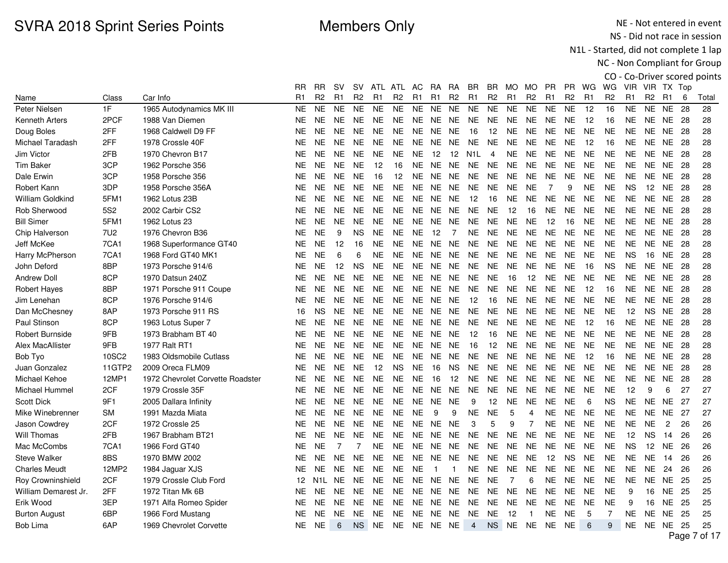NE - Not entered in event NS - Did not race in session

N1L - Started, did not complete 1 lap

|                         |                 |                                  |           |                  |                |                |                |                |                |                   |                |                |                |                |                |                |                |                |                |                |                |                 |      | CO - Co-Driver scored points |
|-------------------------|-----------------|----------------------------------|-----------|------------------|----------------|----------------|----------------|----------------|----------------|-------------------|----------------|----------------|----------------|----------------|----------------|----------------|----------------|----------------|----------------|----------------|----------------|-----------------|------|------------------------------|
|                         |                 |                                  | RR        | <b>RR</b>        | .SV            | SV.            |                | ATL ATL        | AC.            | RA.               | RA.            | BR             | BR.            |                | MO MO          | <b>PR</b>      | <b>PR</b>      | WG             | WG             | VIR VIR TX Top |                |                 |      |                              |
| Name                    | Class           | Car Info                         | R1        | R2               | R1             | R <sub>2</sub> | R <sub>1</sub> | R <sub>2</sub> | R <sub>1</sub> | R <sub>1</sub>    | R <sub>2</sub> | R <sub>1</sub> | R <sub>2</sub> | R <sub>1</sub> | R <sub>2</sub> | R <sub>1</sub> | R <sub>2</sub> | R <sub>1</sub> | R <sub>2</sub> | R1             | R <sub>2</sub> | R1              | 6    | Total                        |
| Peter Nielsen           | 1F              | 1965 Autodynamics MK III         | <b>NE</b> | <b>NE</b>        | <b>NE</b>      | <b>NE</b>      | <b>NE</b>      | <b>NE</b>      | <b>NE</b>      | <b>NE</b>         | <b>NE</b>      | <b>NE</b>      | <b>NE</b>      | <b>NE</b>      | <b>NE</b>      | <b>NE</b>      | <b>NE</b>      | 12             | 16             | <b>NE</b>      | <b>NE</b>      | <b>NE</b>       | 28   | 28                           |
| <b>Kenneth Arters</b>   | 2PCF            | 1988 Van Diemen                  | NE.       | <b>NE</b>        | <b>NE</b>      | <b>NE</b>      | NE.            | NE.            | NE.            | NE.               | NE.            | NE.            | NE.            | NE             | NE.            | NE             | NE.            | -12            | 16             | NE.            |                | NE NE           | -28  | 28                           |
| Doug Boles              | 2FF             | 1968 Caldwell D9 FF              | <b>NE</b> | <b>NE</b>        | <b>NE</b>      | <b>NE</b>      | <b>NE</b>      | <b>NE</b>      | <b>NE</b>      | <b>NE</b>         | <b>NE</b>      | 16             | 12             | <b>NE</b>      | <b>NE</b>      | <b>NE</b>      | <b>NE</b>      | <b>NE</b>      | <b>NE</b>      | <b>NE</b>      | <b>NE</b>      | <b>NE</b>       | - 28 | 28                           |
| Michael Taradash        | 2FF             | 1978 Crossle 40F                 | NE.       | <b>NE</b>        | <b>NE</b>      | <b>NE</b>      | NE.            | NE.            |                | NE NE NE          |                | <b>NE</b>      | <b>NE</b>      | <b>NE</b>      | <b>NE</b>      | <b>NE</b>      | NE.            | 12             | 16             | NE.            |                | <b>NE NE 28</b> |      | 28                           |
| Jim Victor              | 2FB             | 1970 Chevron B17                 | NE.       | NE.              | <b>NE</b>      | <b>NE</b>      | NE.            | <b>NE</b>      | <b>NE</b>      | $12 \overline{ }$ | 12             | N1L            | $\overline{4}$ | <b>NE</b>      | <b>NE</b>      | <b>NE</b>      | <b>NE</b>      | <b>NE</b>      | <b>NE</b>      | NE.            |                | NE NE           | -28  | 28                           |
| <b>Tim Baker</b>        | 3CP             | 1962 Porsche 356                 | <b>NE</b> | <b>NE</b>        | <b>NE</b>      | <b>NE</b>      | 12             | 16             | <b>NE</b>      | <b>NE</b>         | NE.            | <b>NE</b>      | <b>NE</b>      | <b>NE</b>      | <b>NE</b>      | <b>NE</b>      | <b>NE</b>      | <b>NE</b>      | <b>NE</b>      | <b>NE</b>      | NE.            | NE.             | -28  | 28                           |
| Dale Erwin              | 3CP             | 1958 Porsche 356                 | NE.       | <b>NE</b>        | <b>NE</b>      | <b>NE</b>      | 16             | 12             | <b>NE</b>      | <b>NE</b>         | <b>NE</b>      | NE.            | <b>NE</b>      | <b>NE</b>      | <b>NE</b>      | <b>NE</b>      | <b>NE</b>      | <b>NE</b>      | NE.            | <b>NE</b>      | NE.            | NE.             | -28  | 28                           |
| Robert Kann             | 3DP             | 1958 Porsche 356A                | <b>NE</b> | <b>NE</b>        | <b>NE</b>      | <b>NE</b>      | <b>NE</b>      | <b>NE</b>      | <b>NE</b>      | <b>NE</b>         | <b>NE</b>      | <b>NE</b>      | <b>NE</b>      | <b>NE</b>      | <b>NE</b>      | $\overline{7}$ | 9              | <b>NE</b>      | <b>NE</b>      | <b>NS</b>      | 12             | <b>NE</b>       | 28   | 28                           |
| <b>William Goldkind</b> | 5FM1            | 1962 Lotus 23B                   | <b>NE</b> | <b>NE</b>        | <b>NE</b>      | <b>NE</b>      | <b>NE</b>      | <b>NE</b>      | NE.            | <b>NE</b>         | <b>NE</b>      | 12             | 16             | <b>NE</b>      | <b>NE</b>      | <b>NE</b>      | <b>NE</b>      | <b>NE</b>      | <b>NE</b>      | <b>NE</b>      | NE             | <b>NE</b>       | -28  | 28                           |
| Rob Sherwood            | <b>5S2</b>      | 2002 Carbir CS2                  | NE.       | <b>NE</b>        | <b>NE</b>      | <b>NE</b>      | <b>NE</b>      | <b>NE</b>      | NE.            | NE.               | <b>NE</b>      | NE.            | <b>NE</b>      | 12             | 16             | <b>NE</b>      | NE.            | <b>NE</b>      | <b>NE</b>      | <b>NE</b>      | <b>NE</b>      | <b>NE</b>       | - 28 | 28                           |
| <b>Bill Simer</b>       | 5FM1            | 1962 Lotus 23                    | NE.       | <b>NE</b>        | <b>NE</b>      | <b>NE</b>      | <b>NE</b>      | <b>NE</b>      | <b>NE</b>      | <b>NE</b>         | <b>NE</b>      | <b>NE</b>      | <b>NE</b>      | <b>NE</b>      | <b>NE</b>      | 12             | 16             | <b>NE</b>      | <b>NE</b>      | <b>NE</b>      | NE             | <b>NE</b>       | 28   | 28                           |
| Chip Halverson          | 7U <sub>2</sub> | 1976 Chevron B36                 | <b>NE</b> | <b>NE</b>        | 9              | <b>NS</b>      | <b>NE</b>      | <b>NE</b>      | <b>NE</b>      | 12                | $\overline{7}$ | <b>NE</b>      | <b>NE</b>      | <b>NE</b>      | <b>NE</b>      | <b>NE</b>      | <b>NE</b>      | <b>NE</b>      | <b>NE</b>      | <b>NE</b>      | NE.            | <b>NE</b>       | -28  | 28                           |
| Jeff McKee              | <b>7CA1</b>     | 1968 Superformance GT40          | NE.       | <b>NE</b>        | 12             | 16             | NE.            | <b>NE</b>      | <b>NE</b>      | <b>NE</b>         | NE.            | <b>NE</b>      | <b>NE</b>      | <b>NE</b>      | <b>NE</b>      | <b>NE</b>      | <b>NE</b>      | <b>NE</b>      | <b>NE</b>      | NE.            | NE.            | NE.             | -28  | 28                           |
| Harry McPherson         | <b>7CA1</b>     | 1968 Ford GT40 MK1               | <b>NE</b> | <b>NE</b>        | 6              | 6              | NE.            | <b>NE</b>      | NE.            | <b>NE</b>         | <b>NE</b>      | <b>NE</b>      | <b>NE</b>      | <b>NE</b>      | <b>NE</b>      | <b>NE</b>      | <b>NE</b>      | <b>NE</b>      | <b>NE</b>      | <b>NS</b>      | 16             | <b>NE</b>       | 28   | 28                           |
| John Deford             | 8BP             | 1973 Porsche 914/6               | NE.       | <b>NE</b>        | 12             | <b>NS</b>      | NE.            | <b>NE</b>      |                | NE NE NE          |                | <b>NE</b>      | <b>NE</b>      | <b>NE</b>      | <b>NE</b>      | <b>NE</b>      | <b>NE</b>      | 16             | <b>NS</b>      | NE.            | NE             | NE 28           |      | 28                           |
| <b>Andrew Doll</b>      | 8CP             | 1970 Datsun 240Z                 | NE.       | NE.              | <b>NE</b>      | <b>NE</b>      | <b>NE</b>      | <b>NE</b>      | NE.            | NE.               | NE.            | <b>NE</b>      | <b>NE</b>      | 16             | 12             | <b>NE</b>      | NE.            | <b>NE</b>      | <b>NE</b>      | <b>NE</b>      | NE             | <b>NE</b>       | -28  | 28                           |
| <b>Robert Hayes</b>     | 8BP             | 1971 Porsche 911 Coupe           | NE.       | NE.              | <b>NE</b>      | <b>NE</b>      | NE.            | <b>NE</b>      | <b>NE</b>      | NE.               | <b>NE</b>      | <b>NE</b>      | <b>NE</b>      | <b>NE</b>      | <b>NE</b>      | <b>NE</b>      | <b>NE</b>      | 12             | 16             | NE.            | NE             | NE.             | 28   | 28                           |
| Jim Lenehan             | 8CP             | 1976 Porsche 914/6               | NE.       | <b>NE</b>        | <b>NE</b>      | <b>NE</b>      | <b>NE</b>      | <b>NE</b>      | NE.            | <b>NE</b>         | <b>NE</b>      | 12             | 16             | <b>NE</b>      | <b>NE</b>      | <b>NE</b>      | NE.            | <b>NE</b>      | <b>NE</b>      | <b>NE</b>      | NE.            | NE.             | 28   | 28                           |
| Dan McChesney           | 8AP             | 1973 Porsche 911 RS              | 16        | <b>NS</b>        | <b>NE</b>      | <b>NE</b>      | <b>NE</b>      | <b>NE</b>      | <b>NE</b>      | NE.               | <b>NE</b>      | <b>NE</b>      | NE.            | <b>NE</b>      | <b>NE</b>      | <b>NE</b>      | <b>NE</b>      | <b>NE</b>      | <b>NE</b>      | 12             | NS.            | NE.             | 28   | 28                           |
| Paul Stinson            | 8CP             | 1963 Lotus Super 7               | NE        | <b>NE</b>        | <b>NE</b>      | <b>NE</b>      | <b>NE</b>      | <b>NE</b>      | <b>NE</b>      | <b>NE</b>         | <b>NE</b>      | <b>NE</b>      | <b>NE</b>      | <b>NE</b>      | <b>NE</b>      | <b>NE</b>      | <b>NE</b>      | 12             | 16             | <b>NE</b>      | <b>NE</b>      | <b>NE</b>       | -28  | 28                           |
| <b>Robert Burnside</b>  | 9FB             | 1973 Brabham BT 40               | NE.       | <b>NE</b>        | <b>NE</b>      | <b>NE</b>      | NE.            | NE.            | <b>NE</b>      | NE.               | NE.            | 12             | 16             | <b>NE</b>      | <b>NE</b>      | NE.            | <b>NE</b>      | <b>NE</b>      | <b>NE</b>      | <b>NE</b>      | NE.            | NE 28           |      | 28                           |
| Alex MacAllister        | 9FB             | 1977 Ralt RT1                    | NE.       | NE.              | <b>NE</b>      | <b>NE</b>      | <b>NE</b>      | <b>NE</b>      | <b>NE</b>      | NE.               | <b>NE</b>      | 16             | 12             | <b>NE</b>      | <b>NE</b>      | <b>NE</b>      | <b>NE</b>      | <b>NE</b>      | <b>NE</b>      | NE.            | NE             | NE.             | 28   | 28                           |
| Bob Tyo                 | 10SC2           | 1983 Oldsmobile Cutlass          | NE        | <b>NE</b>        | <b>NE</b>      | <b>NE</b>      | <b>NE</b>      | <b>NE</b>      | <b>NE</b>      | NE.               | <b>NE</b>      | <b>NE</b>      | <b>NE</b>      | <b>NE</b>      | <b>NE</b>      | NE             | <b>NE</b>      | 12             | 16             | <b>NE</b>      | NE.            | NE.             | 28   | 28                           |
| Juan Gonzalez           | 11GTP2          | 2009 Oreca FLM09                 | NE.       | NE.              | <b>NE</b>      | <b>NE</b>      | 12             | <b>NS</b>      | <b>NE</b>      | 16                | <b>NS</b>      | <b>NE</b>      | NE.            | <b>NE</b>      | <b>NE</b>      | <b>NE</b>      | <b>NE</b>      | <b>NE</b>      | <b>NE</b>      | <b>NE</b>      | NE.            | NE.             | 28   | 28                           |
| Michael Kehoe           | 12MP1           | 1972 Chevrolet Corvette Roadster | <b>NE</b> | <b>NE</b>        | <b>NE</b>      | <b>NE</b>      | <b>NE</b>      | <b>NE</b>      | <b>NE</b>      | 16                | -12            | <b>NE</b>      | <b>NE</b>      | NE             | <b>NE</b>      | NE.            | <b>NE</b>      | <b>NE</b>      | <b>NE</b>      | <b>NE</b>      | NE.            | NE.             | 28   | 28                           |
| Michael Hummel          | 2CF             | 1979 Crossle 35F                 | NE        | <b>NE</b>        | <b>NE</b>      | <b>NE</b>      | <b>NE</b>      | <b>NE</b>      | NE             | <b>NE</b>         | <b>NE</b>      | <b>NE</b>      | <b>NE</b>      | <b>NE</b>      | <b>NE</b>      | <b>NE</b>      | <b>NE</b>      | <b>NE</b>      | <b>NE</b>      | 12             | 9              | 6               | 27   | 27                           |
| <b>Scott Dick</b>       | 9F1             | 2005 Dallara Infinity            | NE.       | <b>NE</b>        | <b>NE</b>      | <b>NE</b>      | NE.            | <b>NE</b>      | NE.            | <b>NE</b>         | <b>NE</b>      | 9              | 12             | <b>NE</b>      | <b>NE</b>      | <b>NE</b>      | <b>NE</b>      | 6              | <b>NS</b>      | <b>NE</b>      | NE.            | <b>NE</b>       | 27   | 27                           |
| Mike Winebrenner        | <b>SM</b>       | 1991 Mazda Miata                 | NE.       | NE.              | <b>NE</b>      | <b>NE</b>      | <b>NE</b>      | <b>NE</b>      | <b>NE</b>      | 9                 | 9              | <b>NE</b>      | <b>NE</b>      | 5              | 4              | <b>NE</b>      | <b>NE</b>      | <b>NE</b>      | <b>NE</b>      | NE.            | NE.            | <b>NE</b>       | 27   | 27                           |
| Jason Cowdrey           | 2CF             | 1972 Crossle 25                  | NE.       | <b>NE</b>        | <b>NE</b>      | <b>NE</b>      | NE.            | <b>NE</b>      | <b>NE</b>      | <b>NE</b>         | <b>NE</b>      | 3              | 5              | 9              | $\overline{7}$ | <b>NE</b>      | <b>NE</b>      | <b>NE</b>      | <b>NE</b>      | <b>NE</b>      | <b>NE</b>      | $\overline{c}$  | 26   | 26                           |
| Will Thomas             | 2FB             | 1967 Brabham BT21                | NE.       | <b>NE</b>        | <b>NE</b>      | <b>NE</b>      | NE.            | <b>NE</b>      | NE.            | <b>NE</b>         | NE.            | <b>NE</b>      | <b>NE</b>      | <b>NE</b>      | <b>NE</b>      | <b>NE</b>      | <b>NE</b>      | <b>NE</b>      | <b>NE</b>      | 12             | NS.            | 14              | 26   | 26                           |
| Mac McCombs             | 7CA1            | 1966 Ford GT40                   | <b>NE</b> | <b>NE</b>        | $\overline{7}$ | $\overline{7}$ | <b>NE</b>      | <b>NE</b>      | <b>NE</b>      | <b>NE</b>         | <b>NE</b>      | <b>NE</b>      | <b>NE</b>      | <b>NE</b>      | <b>NE</b>      | <b>NE</b>      | <b>NE</b>      | <b>NE</b>      | <b>NE</b>      | <b>NS</b>      | 12             | <b>NE</b>       | 26   | 26                           |
| <b>Steve Walker</b>     | 8BS             | 1970 BMW 2002                    | NE.       | <b>NE</b>        | <b>NE</b>      | <b>NE</b>      | NE.            | <b>NE</b>      | NE.            | NE                | NE.            | <b>NE</b>      | <b>NE</b>      | <b>NE</b>      | <b>NE</b>      | 12             | <b>NS</b>      | <b>NE</b>      | <b>NE</b>      | NE.            | <b>NE</b>      | 14              | 26   | 26                           |
| <b>Charles Meudt</b>    | 12MP2           | 1984 Jaguar XJS                  | NE.       | NE.              | <b>NE</b>      | <b>NE</b>      | NE.            | <b>NE</b>      | <b>NE</b>      | -1                | 1              | NE.            | <b>NE</b>      | <b>NE</b>      | <b>NE</b>      | <b>NE</b>      | <b>NE</b>      | <b>NE</b>      | <b>NE</b>      | <b>NE</b>      | <b>NE</b>      | 24              | 26   | 26                           |
| Roy Crowninshield       | 2CF             | 1979 Crossle Club Ford           | 12        | N <sub>1</sub> L | <b>NE</b>      | <b>NE</b>      | <b>NE</b>      | <b>NE</b>      | <b>NE</b>      | <b>NE</b>         | <b>NE</b>      | <b>NE</b>      | <b>NE</b>      | $\overline{7}$ | 6              | <b>NE</b>      | <b>NE</b>      | <b>NE</b>      | <b>NE</b>      | <b>NE</b>      | <b>NE</b>      | NE.             | 25   | 25                           |
| William Demarest Jr.    | 2FF             | 1972 Titan Mk 6B                 | <b>NE</b> | <b>NE</b>        | <b>NE</b>      | <b>NE</b>      | NE.            | <b>NE</b>      | NE.            | NE.               | <b>NE</b>      | NE.            | <b>NE</b>      | <b>NE</b>      | <b>NE</b>      | <b>NE</b>      | <b>NE</b>      | <b>NE</b>      | <b>NE</b>      | 9              | 16             | <b>NE</b>       | 25   | 25                           |
| Erik Wood               | 3EP             | 1971 Alfa Romeo Spider           | NE.       | NE.              | <b>NE</b>      | <b>NE</b>      | <b>NE</b>      | NE             | NE.            | <b>NE</b>         | <b>NE</b>      | NE.            | NE.            | <b>NE</b>      | NE.            | NE.            | NE.            | NE.            | <b>NE</b>      | 9              | 16             | NE.             | 25   | 25                           |
| <b>Burton August</b>    | 6BP             | 1966 Ford Mustang                | <b>NE</b> | <b>NE</b>        | <b>NE</b>      | <b>NE</b>      | <b>NE</b>      | <b>NE</b>      | NE.            | <b>NE</b>         | <b>NE</b>      | <b>NE</b>      | <b>NE</b>      | 12             | $\overline{1}$ | <b>NE</b>      | <b>NE</b>      | 5              | $\overline{7}$ | <b>NE</b>      | NE.            | <b>NE</b>       | 25   | 25                           |
| Bob Lima                | 6AP             | 1969 Chevrolet Corvette          | NE        | <b>NE</b>        | 6              | <b>NS</b>      |                | NE NE NE NE NE |                |                   |                | 4              |                | NS NE NE NE    |                |                | NE             | 6              | 9              | NE.            |                | <b>NE NE 25</b> |      | 25                           |
|                         |                 |                                  |           |                  |                |                |                |                |                |                   |                |                |                |                |                |                |                |                |                |                |                |                 |      | $ -$                         |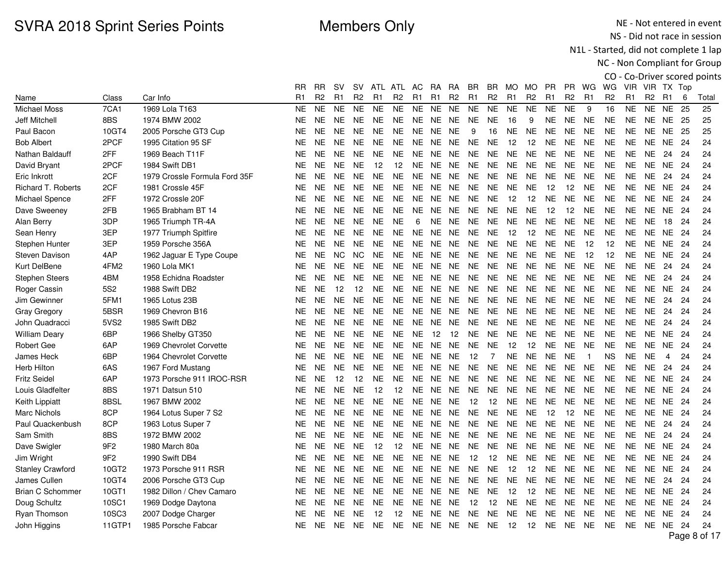NE - Not entered in event NS - Did not race in session

N1L - Started, did not complete 1 lap

|                           |                 |                               |                |           |                |                |                     |                |                |           |                |                |                |                |                |                |                |                |                |           |                |                |      | CO - Co-Driver scored points |
|---------------------------|-----------------|-------------------------------|----------------|-----------|----------------|----------------|---------------------|----------------|----------------|-----------|----------------|----------------|----------------|----------------|----------------|----------------|----------------|----------------|----------------|-----------|----------------|----------------|------|------------------------------|
|                           |                 |                               | RR.            | <b>RR</b> | <b>SV</b>      |                | SV ATL ATL AC RA RA |                |                |           |                | BR.            | BR.            | MO MO          |                | <b>PR</b>      | PR.            | WG WG          |                |           | VIR VIR TX Top |                |      |                              |
| Name                      | Class           | Car Info                      | R <sub>1</sub> | R2        | R <sub>1</sub> | R <sub>2</sub> | R <sub>1</sub>      | R <sub>2</sub> | R <sub>1</sub> | R1        | R <sub>2</sub> | R <sub>1</sub> | R <sub>2</sub> | R <sub>1</sub> | R <sub>2</sub> | R <sub>1</sub> | R <sub>2</sub> | R <sub>1</sub> | R <sub>2</sub> | R1        | R <sub>2</sub> | - R1           | 6    | Total                        |
| Michael Moss              | 7CA1            | 1969 Lola T163                | <b>NE</b>      | <b>NE</b> | <b>NE</b>      | <b>NE</b>      | <b>NE</b>           | <b>NE</b>      | <b>NE</b>      | <b>NE</b> | <b>NE</b>      | <b>NE</b>      | <b>NE</b>      | <b>NE</b>      | <b>NE</b>      | <b>NE</b>      | <b>NE</b>      | 9              | 16             | <b>NE</b> | <b>NE</b>      | <b>NE</b>      | 25   | 25                           |
| Jeff Mitchell             | 8BS             | 1974 BMW 2002                 | NE.            | <b>NE</b> | <b>NE</b>      | NE.            | <b>NE</b>           | <b>NE</b>      | NE             |           | NE NE          | NE.            | <b>NE</b>      | 16             | 9              | <b>NE</b>      | <b>NE</b>      | <b>NE</b>      | <b>NE</b>      | NE        | NE.            | NE             | -25  | 25                           |
| Paul Bacon                | 10GT4           | 2005 Porsche GT3 Cup          | NE.            | <b>NE</b> | <b>NE</b>      | <b>NE</b>      | <b>NE</b>           | <b>NE</b>      | <b>NE</b>      | <b>NE</b> | <b>NE</b>      | 9              | 16             | <b>NE</b>      | <b>NE</b>      | <b>NE</b>      | <b>NE</b>      | <b>NE</b>      | <b>NE</b>      | <b>NE</b> | <b>NE</b>      | <b>NE</b>      | -25  | 25                           |
| <b>Bob Albert</b>         | 2PCF            | 1995 Citation 95 SF           | NE.            | <b>NE</b> | <b>NE</b>      | <b>NE</b>      | <b>NE</b>           | <b>NE</b>      | NE.            |           | NE NE          | <b>NE</b>      | <b>NE</b>      | 12             | 12             | <b>NE</b>      | <b>NE</b>      | <b>NE</b>      | <b>NE</b>      | NE.       | NE             | NE 24          |      | 24                           |
| Nathan Baldauff           | 2FF             | 1969 Beach T11F               | <b>NE</b>      | <b>NE</b> | <b>NE</b>      | <b>NE</b>      | <b>NE</b>           | <b>NE</b>      | <b>NE</b>      |           | NE NE          | NE             | <b>NE</b>      | <b>NE</b>      | <b>NE</b>      | <b>NE</b>      | <b>NE</b>      | <b>NE</b>      | <b>NE</b>      | NE.       | NE.            | 24             | 24   | 24                           |
| David Bryant              | 2PCF            | 1984 Swift DB1                | NE.            | <b>NE</b> | <b>NE</b>      | <b>NE</b>      | 12                  | 12             | NE.            |           | NE NE          | NE.            | <b>NE</b>      | <b>NE</b>      | <b>NE</b>      | <b>NE</b>      | <b>NE</b>      | <b>NE</b>      | <b>NE</b>      | NE.       | NE.            | NE.            | -24  | 24                           |
| Eric Inkrott              | 2CF             | 1979 Crossle Formula Ford 35F | <b>NE</b>      | <b>NE</b> | <b>NE</b>      | <b>NE</b>      | <b>NE</b>           | <b>NE</b>      | <b>NE</b>      | NE.       | <b>NE</b>      | <b>NE</b>      | <b>NE</b>      | <b>NE</b>      | <b>NE</b>      | <b>NE</b>      | <b>NE</b>      | <b>NE</b>      | <b>NE</b>      | <b>NE</b> | <b>NE</b>      | 24             | 24   | 24                           |
| <b>Richard T. Roberts</b> | 2CF             | 1981 Crossle 45F              | <b>NE</b>      | <b>NE</b> | <b>NE</b>      | <b>NE</b>      | <b>NE</b>           | <b>NE</b>      | <b>NE</b>      | <b>NE</b> | <b>NE</b>      | <b>NE</b>      | <b>NE</b>      | <b>NE</b>      | <b>NE</b>      | 12             | 12             | <b>NE</b>      | <b>NE</b>      | <b>NE</b> | NE.            | <b>NE</b>      | 24   | 24                           |
| Michael Spence            | 2FF             | 1972 Crossle 20F              | NE.            | <b>NE</b> | <b>NE</b>      | <b>NE</b>      | <b>NE</b>           | <b>NE</b>      |                |           | NE NE NE       | NE             | <b>NE</b>      | 12             | 12             | <b>NE</b>      | <b>NE</b>      | <b>NE</b>      | <b>NE</b>      | <b>NE</b> | NE.            | NE 24          |      | 24                           |
| Dave Sweeney              | 2FB             | 1965 Brabham BT 14            | NE.            | <b>NE</b> | <b>NE</b>      | <b>NE</b>      | NE.                 | <b>NE</b>      | NE.            |           | NE NE          | NE.            | <b>NE</b>      | <b>NE</b>      | <b>NE</b>      | 12             | 12             | <b>NE</b>      | <b>NE</b>      | NE.       | NE             | <b>NE</b>      | -24  | 24                           |
| Alan Berry                | 3DP             | 1965 Triumph TR-4A            | <b>NE</b>      | <b>NE</b> | <b>NE</b>      | <b>NE</b>      | <b>NE</b>           | <b>NE</b>      | 6              | <b>NE</b> | <b>NE</b>      | <b>NE</b>      | <b>NE</b>      | <b>NE</b>      | <b>NE</b>      | <b>NE</b>      | <b>NE</b>      | <b>NE</b>      | <b>NE</b>      | NE.       | <b>NE</b>      | 18             | 24   | 24                           |
| Sean Henry                | 3EP             | 1977 Triumph Spitfire         | <b>NE</b>      | <b>NE</b> | <b>NE</b>      | <b>NE</b>      | <b>NE</b>           | <b>NE</b>      | <b>NE</b>      |           | NE NE          | NE.            | <b>NE</b>      | 12             | 12             | <b>NE</b>      | <b>NE</b>      | <b>NE</b>      | <b>NE</b>      | <b>NE</b> | NE.            | NE.            | 24   | 24                           |
| Stephen Hunter            | 3EP             | 1959 Porsche 356A             | NE.            | <b>NE</b> | <b>NE</b>      | <b>NE</b>      | <b>NE</b>           | <b>NE</b>      | <b>NE</b>      | <b>NE</b> | NE             | <b>NE</b>      | <b>NE</b>      | <b>NE</b>      | <b>NE</b>      | <b>NE</b>      | <b>NE</b>      | 12             | 12             | <b>NE</b> | NE.            | <b>NE</b>      | 24   | 24                           |
| <b>Steven Davison</b>     | 4AP             | 1962 Jaguar E Type Coupe      | <b>NE</b>      | <b>NE</b> | <b>NC</b>      | <b>NC</b>      | <b>NE</b>           | <b>NE</b>      | NE.            | NE.       | <b>NE</b>      | <b>NE</b>      | <b>NE</b>      | <b>NE</b>      | <b>NE</b>      | <b>NE</b>      | <b>NE</b>      | 12             | 12             | <b>NE</b> | NE.            | <b>NE</b>      | -24  | 24                           |
| Kurt DelBene              | 4FM2            | 1960 Lola MK1                 | NE.            | <b>NE</b> | <b>NE</b>      | <b>NE</b>      | <b>NE</b>           | <b>NE</b>      | NE.            |           | NE NE          | <b>NE</b>      | <b>NE</b>      | <b>NE</b>      | <b>NE</b>      | <b>NE</b>      | <b>NE</b>      | <b>NE</b>      | <b>NE</b>      | NE.       | NE.            | 24             | 24   | 24                           |
| <b>Stephen Steers</b>     | 4BM             | 1958 Echidna Roadster         | <b>NE</b>      | <b>NE</b> | <b>NE</b>      | <b>NE</b>      | <b>NE</b>           | <b>NE</b>      | NE.            |           | NE NE          | <b>NE</b>      | <b>NE</b>      | <b>NE</b>      | <b>NE</b>      | <b>NE</b>      | <b>NE</b>      | <b>NE</b>      | <b>NE</b>      | NE.       | <b>NE</b>      | 24             | 24   | 24                           |
| Roger Cassin              | 5S <sub>2</sub> | 1988 Swift DB2                | NE.            | <b>NE</b> | 12             | 12             | <b>NE</b>           | <b>NE</b>      | NE.            |           | NE NE          | <b>NE</b>      | <b>NE</b>      | <b>NE</b>      | <b>NE</b>      | <b>NE</b>      | <b>NE</b>      | <b>NE</b>      | <b>NE</b>      | NE.       | NE             | NE.            | -24  | 24                           |
| Jim Gewinner              | 5FM1            | 1965 Lotus 23B                | <b>NE</b>      | <b>NE</b> | <b>NE</b>      | <b>NE</b>      | NE.                 | <b>NE</b>      | NE.            | NE.       | <b>NE</b>      | <b>NE</b>      | <b>NE</b>      | <b>NE</b>      | <b>NE</b>      | <b>NE</b>      | <b>NE</b>      | <b>NE</b>      | <b>NE</b>      | <b>NE</b> | <b>NE</b>      | 24             | 24   | 24                           |
| <b>Gray Gregory</b>       | 5BSR            | 1969 Chevron B16              | <b>NE</b>      | <b>NE</b> | <b>NE</b>      | <b>NE</b>      | <b>NE</b>           | <b>NE</b>      | NE.            | <b>NE</b> | <b>NE</b>      | <b>NE</b>      | <b>NE</b>      | <b>NE</b>      | <b>NE</b>      | <b>NE</b>      | <b>NE</b>      | <b>NE</b>      | <b>NE</b>      | <b>NE</b> | <b>NE</b>      | 24             | 24   | 24                           |
| John Quadracci            | 5VS2            | 1985 Swift DB2                | NE.            | <b>NE</b> | <b>NE</b>      | <b>NE</b>      | <b>NE</b>           | <b>NE</b>      | <b>NE</b>      |           | NE NE          | <b>NE</b>      | <b>NE</b>      | <b>NE</b>      | <b>NE</b>      | <b>NE</b>      | <b>NE</b>      | <b>NE</b>      | <b>NE</b>      | ΝE        | <b>NE</b>      | 24             | 24   | 24                           |
| <b>William Deary</b>      | 6BP             | 1966 Shelby GT350             | NE.            | <b>NE</b> | <b>NE</b>      | <b>NE</b>      | NE.                 | <b>NE</b>      | <b>NE</b>      | 12        | 12             | <b>NE</b>      | <b>NE</b>      | <b>NE</b>      | <b>NE</b>      | <b>NE</b>      | <b>NE</b>      | <b>NE</b>      | <b>NE</b>      | NE.       | NE             | <b>NE</b>      | -24  | 24                           |
| Robert Gee                | 6AP             | 1969 Chevrolet Corvette       | <b>NE</b>      | <b>NE</b> | <b>NE</b>      | <b>NE</b>      | <b>NE</b>           | <b>NE</b>      | NE.            | <b>NE</b> | <b>NE</b>      | <b>NE</b>      | <b>NE</b>      | 12             | 12             | <b>NE</b>      | <b>NE</b>      | <b>NE</b>      | <b>NE</b>      | NE.       | <b>NE</b>      | <b>NE</b>      | -24  | 24                           |
| <b>James Heck</b>         | 6BP             | 1964 Chevrolet Corvette       | <b>NE</b>      | <b>NE</b> | <b>NE</b>      | <b>NE</b>      | <b>NE</b>           | <b>NE</b>      | NE.            |           | NE NE          | 12             | $\overline{7}$ | <b>NE</b>      | <b>NE</b>      | <b>NE</b>      | <b>NE</b>      | $\overline{1}$ | <b>NS</b>      | <b>NE</b> | <b>NE</b>      | $\overline{4}$ | 24   | 24                           |
| <b>Herb Hilton</b>        | 6AS             | 1967 Ford Mustang             | NE.            | <b>NE</b> | <b>NE</b>      | <b>NE</b>      | <b>NE</b>           | <b>NE</b>      | <b>NE</b>      | <b>NE</b> | NE             | <b>NE</b>      | <b>NE</b>      | <b>NE</b>      | <b>NE</b>      | <b>NE</b>      | <b>NE</b>      | <b>NE</b>      | <b>NE</b>      | <b>NE</b> | <b>NE</b>      | 24             | 24   | 24                           |
| <b>Fritz Seidel</b>       | 6AP             | 1973 Porsche 911 IROC-RSR     | NE.            | <b>NE</b> | 12             | 12             | <b>NE</b>           | <b>NE</b>      | NE.            | <b>NE</b> | <b>NE</b>      | <b>NE</b>      | <b>NE</b>      | <b>NE</b>      | <b>NE</b>      | <b>NE</b>      | <b>NE</b>      | <b>NE</b>      | <b>NE</b>      | <b>NE</b> | NE.            | <b>NE</b>      | -24  | 24                           |
| Louis Gladfelter          | 8BS             | 1971 Datsun 510               | NE.            | <b>NE</b> | <b>NE</b>      | <b>NE</b>      | 12                  | 12             | NE.            |           | NE NE          | <b>NE</b>      | <b>NE</b>      | <b>NE</b>      | <b>NE</b>      | <b>NE</b>      | <b>NE</b>      | <b>NE</b>      | <b>NE</b>      | NE.       | NE.            | NE 24          |      | 24                           |
| Keith Lippiatt            | 8BSL            | 1967 BMW 2002                 | <b>NE</b>      | <b>NE</b> | <b>NE</b>      | <b>NE</b>      | <b>NE</b>           | <b>NE</b>      | NE.            |           | NE NE          | 12             | 12             | <b>NE</b>      | <b>NE</b>      | <b>NE</b>      | <b>NE</b>      | <b>NE</b>      | <b>NE</b>      | NE.       | <b>NE</b>      | <b>NE</b>      | -24  | 24                           |
| <b>Marc Nichols</b>       | 8CP             | 1964 Lotus Super 7 S2         | NE.            | <b>NE</b> | <b>NE</b>      | <b>NE</b>      | <b>NE</b>           | <b>NE</b>      | <b>NE</b>      | <b>NE</b> | <b>NE</b>      | <b>NE</b>      | <b>NE</b>      | <b>NE</b>      | <b>NE</b>      | 12             | 12             | <b>NE</b>      | <b>NE</b>      | <b>NE</b> | NE.            | NE.            | -24  | 24                           |
| Paul Quackenbush          | 8CP             | 1963 Lotus Super 7            | <b>NE</b>      | <b>NE</b> | <b>NE</b>      | <b>NE</b>      | NE.                 | <b>NE</b>      | NE.            | <b>NE</b> | <b>NE</b>      | <b>NE</b>      | <b>NE</b>      | <b>NE</b>      | <b>NE</b>      | <b>NE</b>      | <b>NE</b>      | <b>NE</b>      | <b>NE</b>      | <b>NE</b> | <b>NE</b>      | 24             | 24   | 24                           |
| Sam Smith                 | 8BS             | 1972 BMW 2002                 | <b>NE</b>      | <b>NE</b> | <b>NE</b>      | <b>NE</b>      | <b>NE</b>           | <b>NE</b>      | NE.            | <b>NE</b> | <b>NE</b>      | <b>NE</b>      | <b>NE</b>      | <b>NE</b>      | <b>NE</b>      | <b>NE</b>      | <b>NE</b>      | <b>NE</b>      | <b>NE</b>      | NE.       | <b>NE</b>      | 24             | 24   | 24                           |
| Dave Swigler              | 9F <sub>2</sub> | 1980 March 80a                | NE.            | <b>NE</b> | <b>NE</b>      | <b>NE</b>      | 12                  | 12             | <b>NE</b>      |           | NE NE          | NE.            | <b>NE</b>      | <b>NE</b>      | <b>NE</b>      | <b>NE</b>      | <b>NE</b>      | <b>NE</b>      | <b>NE</b>      | NE        | <b>NE</b>      | NE 24          |      | 24                           |
| Jim Wright                | 9F <sub>2</sub> | 1990 Swift DB4                | NE.            | <b>NE</b> | <b>NE</b>      | <b>NE</b>      | NE.                 | <b>NE</b>      | <b>NE</b>      |           | NE NE          | 12             | 12             | <b>NE</b>      | <b>NE</b>      | <b>NE</b>      | <b>NE</b>      | <b>NE</b>      | <b>NE</b>      | <b>NE</b> | NE             | NE             | - 24 | 24                           |
| <b>Stanley Crawford</b>   | 10GT2           | 1973 Porsche 911 RSR          | <b>NE</b>      | <b>NE</b> | <b>NE</b>      | <b>NE</b>      | <b>NE</b>           | <b>NE</b>      | <b>NE</b>      | <b>NE</b> | <b>NE</b>      | <b>NE</b>      | <b>NE</b>      | 12             | 12             | <b>NE</b>      | <b>NE</b>      | <b>NE</b>      | <b>NE</b>      | NE        | <b>NE</b>      | <b>NE</b>      | -24  | 24                           |
| James Cullen              | 10GT4           | 2006 Porsche GT3 Cup          | NE.            | <b>NE</b> | <b>NE</b>      | <b>NE</b>      | <b>NE</b>           | <b>NE</b>      | NE.            | <b>NE</b> | <b>NE</b>      | <b>NE</b>      | <b>NE</b>      | <b>NE</b>      | <b>NE</b>      | <b>NE</b>      | <b>NE</b>      | <b>NE</b>      | <b>NE</b>      | <b>NE</b> | <b>NE</b>      | 24             | 24   | 24                           |
| <b>Brian C Schommer</b>   | 10GT1           | 1982 Dillon / Chev Camaro     | NE.            | <b>NE</b> | <b>NE</b>      | NE.            | <b>NE</b>           | <b>NE</b>      | <b>NE</b>      | <b>NE</b> | <b>NE</b>      | <b>NE</b>      | <b>NE</b>      | 12             | 12             | <b>NE</b>      | <b>NE</b>      | <b>NE</b>      | <b>NE</b>      | <b>NE</b> | <b>NE</b>      | <b>NE</b>      | 24   | 24                           |
| Doug Schultz              | 10SC1           | 1969 Dodge Daytona            | NE.            | <b>NE</b> | <b>NE</b>      | <b>NE</b>      | <b>NE</b>           | <b>NE</b>      | NE.            | <b>NE</b> | <b>NE</b>      | 12             | 12             | <b>NE</b>      | <b>NE</b>      | <b>NE</b>      | <b>NE</b>      | <b>NE</b>      | <b>NE</b>      | <b>NE</b> | NE.            | <b>NE</b>      | 24   | 24                           |
| Ryan Thomson              | 10SC3           | 2007 Dodge Charger            | NE.            | <b>NE</b> | <b>NE</b>      | <b>NE</b>      | 12                  | 12             | NE             |           | NE NE          | NE.            | <b>NE</b>      | <b>NE</b>      | <b>NE</b>      | <b>NE</b>      | <b>NE</b>      | <b>NE</b>      | NE             | NE.       | NE.            | <b>NE</b>      | 24   | 24                           |
| John Higgins              | 11GTP1          | 1985 Porsche Fabcar           | NE.            | <b>NE</b> | <b>NE</b>      | NE.            | <b>NE</b>           | <b>NE</b>      |                |           | NE NE NE NE    |                | <b>NE</b>      | -12            | 12             | <b>NE</b>      | <b>NE</b>      | <b>NE</b>      | <b>NE</b>      | <b>NE</b> |                | NE NE 24       |      | 24                           |
|                           |                 |                               |                |           |                |                |                     |                |                |           |                |                |                |                |                |                |                |                |                |           |                |                |      | $D = 0$ $A7$                 |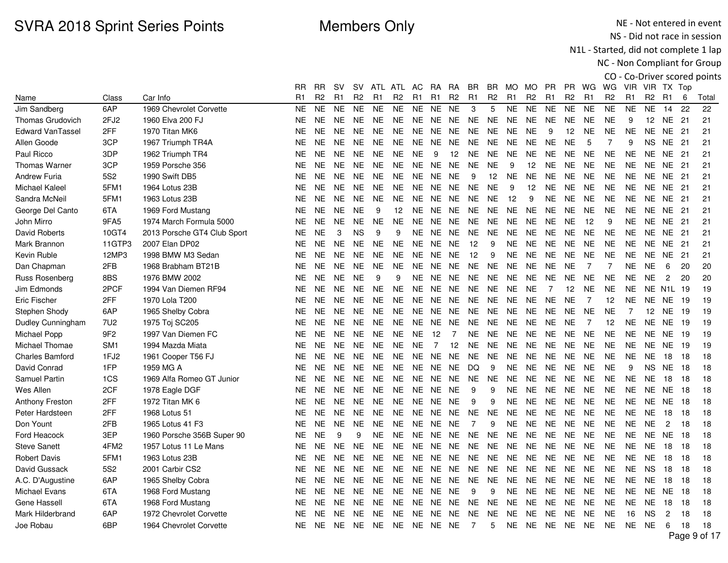NE - Not entered in event NS - Did not race in session

N1L - Started, did not complete 1 lap

|                         |                 |                             |                |                |           |                |                |                |                |                |                |                |                |                |                |                |                |                |                |                |                 |                |      | CO - Co-Driver scored points |
|-------------------------|-----------------|-----------------------------|----------------|----------------|-----------|----------------|----------------|----------------|----------------|----------------|----------------|----------------|----------------|----------------|----------------|----------------|----------------|----------------|----------------|----------------|-----------------|----------------|------|------------------------------|
|                         |                 |                             | RR             | <b>RR</b>      | <b>SV</b> | SV.            |                | ATL ATL AC     |                | <b>RA</b>      | RA             | ΒR             | BR.            | MO MO          |                | PR.            | <b>PR</b>      | WG             | WG             | VIR VIR TX Top |                 |                |      |                              |
| Name                    | Class           | Car Info                    | R <sub>1</sub> | R <sub>2</sub> | R1        | R <sub>2</sub> | R <sub>1</sub> | R <sub>2</sub> | R <sub>1</sub> | R <sub>1</sub> | R <sub>2</sub> | R <sub>1</sub> | R <sub>2</sub> | R <sub>1</sub> | R <sub>2</sub> | R <sub>1</sub> | R <sub>2</sub> | R <sub>1</sub> | R <sub>2</sub> | R <sub>1</sub> | R <sub>2</sub>  | R <sub>1</sub> | 6    | Total                        |
| Jim Sandberg            | 6AP             | 1969 Chevrolet Corvette     | <b>NE</b>      | <b>NE</b>      | <b>NE</b> | <b>NE</b>      | <b>NE</b>      | <b>NE</b>      | <b>NE</b>      | <b>NE</b>      | <b>NE</b>      | 3              | 5              | <b>NE</b>      | <b>NE</b>      | <b>NE</b>      | <b>NE</b>      | <b>NE</b>      | <b>NE</b>      | <b>NE</b>      | <b>NE</b>       | 14             | 22   | 22                           |
| <b>Thomas Grudovich</b> | 2FJ2            | 1960 Elva 200 FJ            | <b>NE</b>      | <b>NE</b>      | <b>NE</b> | <b>NE</b>      | <b>NE</b>      | <b>NE</b>      | <b>NE</b>      | NE             | <b>NE</b>      | <b>NE</b>      | <b>NE</b>      | <b>NE</b>      | <b>NE</b>      | <b>NE</b>      | <b>NE</b>      | <b>NE</b>      | <b>NE</b>      | 9              | 12              | NE             | 21   | 21                           |
| <b>Edward VanTassel</b> | 2FF             | 1970 Titan MK6              | NE             | <b>NE</b>      | <b>NE</b> | <b>NE</b>      | <b>NE</b>      | <b>NE</b>      | <b>NE</b>      | NE             | NE             | <b>NE</b>      | <b>NE</b>      | NE.            | <b>NE</b>      | 9              | 12             | <b>NE</b>      | <b>NE</b>      | <b>NE</b>      | NE.             | NE 21          |      | 21                           |
| Allen Goode             | 3CP             | 1967 Triumph TR4A           | NE.            | NE.            | <b>NE</b> | <b>NE</b>      | <b>NE</b>      | <b>NE</b>      | <b>NE</b>      | NE             | <b>NE</b>      | <b>NE</b>      | <b>NE</b>      | <b>NE</b>      | <b>NE</b>      | <b>NE</b>      | <b>NE</b>      | 5              | $\overline{7}$ | 9              | NS.             | NE             | -21  | 21                           |
| Paul Ricco              | 3DP             | 1962 Triumph TR4            | NE             | <b>NE</b>      | <b>NE</b> | <b>NE</b>      | <b>NE</b>      | <b>NE</b>      | <b>NE</b>      | 9              | 12             | <b>NE</b>      | NE             | <b>NE</b>      | <b>NE</b>      | NE             | <b>NE</b>      | <b>NE</b>      | <b>NE</b>      | <b>NE</b>      | <b>NE</b>       | NE.            | -21  | 21                           |
| Thomas Warner           | 3CP             | 1959 Porsche 356            | NE             | <b>NE</b>      | <b>NE</b> | <b>NE</b>      | <b>NE</b>      | <b>NE</b>      | <b>NE</b>      | NE.            | <b>NE</b>      | <b>NE</b>      | <b>NE</b>      | 9              | 12             | <b>NE</b>      | <b>NE</b>      | <b>NE</b>      | <b>NE</b>      | <b>NE</b>      | <b>NE</b>       | NE.            | 21   | 21                           |
| <b>Andrew Furia</b>     | 5S <sub>2</sub> | 1990 Swift DB5              | <b>NE</b>      | <b>NE</b>      | <b>NE</b> | <b>NE</b>      | <b>NE</b>      | <b>NE</b>      | <b>NE</b>      | <b>NE</b>      | <b>NE</b>      | 9              | 12             | <b>NE</b>      | <b>NE</b>      | <b>NE</b>      | <b>NE</b>      | <b>NE</b>      | <b>NE</b>      | <b>NE</b>      | <b>NE</b>       | NE.            | 21   | 21                           |
| <b>Michael Kaleel</b>   | 5FM1            | 1964 Lotus 23B              | NE.            | <b>NE</b>      | <b>NE</b> | <b>NE</b>      | <b>NE</b>      | <b>NE</b>      | <b>NE</b>      | <b>NE</b>      | <b>NE</b>      | <b>NE</b>      | <b>NE</b>      | 9              | 12             | <b>NE</b>      | <b>NE</b>      | <b>NE</b>      | <b>NE</b>      | NE.            | NE.             | NE 21          |      | 21                           |
| Sandra McNeil           | 5FM1            | 1963 Lotus 23B              | NE.            | NE.            | <b>NE</b> | <b>NE</b>      | <b>NE</b>      | <b>NE</b>      | NE             | NE             | <b>NE</b>      | NE.            | <b>NE</b>      | 12             | 9              | <b>NE</b>      | <b>NE</b>      | <b>NE</b>      | <b>NE</b>      | NE.            | NE.             | NE.            | 21   | 21                           |
| George Del Canto        | 6TA             | 1969 Ford Mustang           | <b>NE</b>      | <b>NE</b>      | <b>NE</b> | <b>NE</b>      | 9              | 12             | NE.            | NE.            | <b>NE</b>      | <b>NE</b>      | <b>NE</b>      | <b>NE</b>      | <b>NE</b>      | <b>NE</b>      | <b>NE</b>      | <b>NE</b>      | <b>NE</b>      | <b>NE</b>      | NE.             | NE.            | - 21 | 21                           |
| John Mirro              | 9FA5            | 1974 March Formula 5000     | NE.            | <b>NE</b>      | <b>NE</b> | <b>NE</b>      | <b>NE</b>      | <b>NE</b>      | NE             | NE             | NE.            | <b>NE</b>      | NE.            | <b>NE</b>      | <b>NE</b>      | <b>NE</b>      | <b>NE</b>      | 12             | 9              | <b>NE</b>      | NE.             | NE.            | -21  | 21                           |
| David Roberts           | 10GT4           | 2013 Porsche GT4 Club Sport | <b>NE</b>      | <b>NE</b>      | 3         | <b>NS</b>      | 9              | 9              | <b>NE</b>      | <b>NE</b>      | <b>NE</b>      | <b>NE</b>      | <b>NE</b>      | <b>NE</b>      | <b>NE</b>      | <b>NE</b>      | <b>NE</b>      | <b>NE</b>      | <b>NE</b>      | NE             | NE.             | NE.            | 21   | 21                           |
| Mark Brannon            | 11GTP3          | 2007 Elan DP02              | NE.            | <b>NE</b>      | <b>NE</b> | <b>NE</b>      | <b>NE</b>      | NE.            |                | NE NE NE       |                | 12             | 9              | <b>NE</b>      | <b>NE</b>      | <b>NE</b>      | <b>NE</b>      | <b>NE</b>      | <b>NE</b>      | <b>NE</b>      | <b>NE</b>       | NE 21          |      | 21                           |
| Kevin Ruble             | 12MP3           | 1998 BMW M3 Sedan           | NE.            | NE.            | <b>NE</b> | <b>NE</b>      | <b>NE</b>      | <b>NE</b>      | <b>NE</b>      | NE.            | <b>NE</b>      | 12             | 9              | NE.            | <b>NE</b>      | <b>NE</b>      | <b>NE</b>      | <b>NE</b>      | <b>NE</b>      | <b>NE</b>      | NE.             | NE.            | -21  | 21                           |
| Dan Chapman             | 2FB             | 1968 Brabham BT21B          | <b>NE</b>      | <b>NE</b>      | <b>NE</b> | <b>NE</b>      | <b>NE</b>      | <b>NE</b>      | <b>NE</b>      | <b>NE</b>      | <b>NE</b>      | <b>NE</b>      | <b>NE</b>      | <b>NE</b>      | <b>NE</b>      | <b>NE</b>      | <b>NE</b>      | $\overline{7}$ | $\overline{7}$ | <b>NE</b>      | <b>NE</b>       | 6              | 20   | 20                           |
| Russ Rosenberg          | 8BS             | 1976 BMW 2002               | <b>NE</b>      | <b>NE</b>      | <b>NE</b> | <b>NE</b>      | 9              | 9              | NE.            | <b>NE</b>      | <b>NE</b>      | NE.            | <b>NE</b>      | <b>NE</b>      | <b>NE</b>      | <b>NE</b>      | <b>NE</b>      | <b>NE</b>      | <b>NE</b>      | <b>NE</b>      | <b>NE</b>       | $\overline{2}$ | 20   | 20                           |
| Jim Edmonds             | 2PCF            | 1994 Van Diemen RF94        | <b>NE</b>      | <b>NE</b>      | <b>NE</b> | <b>NE</b>      | <b>NE</b>      | <b>NE</b>      | <b>NE</b>      | NE             | <b>NE</b>      | <b>NE</b>      | <b>NE</b>      | <b>NE</b>      | <b>NE</b>      | $\overline{7}$ | 12             | <b>NE</b>      | <b>NE</b>      | <b>NE</b>      | <b>NE</b>       | N1L 19         |      | 19                           |
| <b>Eric Fischer</b>     | 2FF             | 1970 Lola T200              | NE             | <b>NE</b>      | <b>NE</b> | <b>NE</b>      | <b>NE</b>      | <b>NE</b>      | <b>NE</b>      | NE NE          |                | <b>NE</b>      | <b>NE</b>      | <b>NE</b>      | <b>NE</b>      | <b>NE</b>      | <b>NE</b>      | $\overline{7}$ | 12             | NE             | <b>NE</b>       | NE 19          |      | 19                           |
| Stephen Shody           | 6AP             | 1965 Shelby Cobra           | NE.            | NE.            | <b>NE</b> | <b>NE</b>      | <b>NE</b>      | <b>NE</b>      | <b>NE</b>      | NE.            | NE.            | <b>NE</b>      | <b>NE</b>      | <b>NE</b>      | NE             | <b>NE</b>      | <b>NE</b>      | <b>NE</b>      | <b>NE</b>      | $\overline{7}$ | 12 <sup>2</sup> | <b>NE</b>      | -19  | 19                           |
| Dudley Cunningham       | 7U2             | 1975 Toj SC205              | <b>NE</b>      | <b>NE</b>      | <b>NE</b> | <b>NE</b>      | <b>NE</b>      | <b>NE</b>      | <b>NE</b>      | <b>NE</b>      | <b>NE</b>      | <b>NE</b>      | <b>NE</b>      | <b>NE</b>      | <b>NE</b>      | <b>NE</b>      | <b>NE</b>      | $\overline{7}$ | 12             | <b>NE</b>      | <b>NE</b>       | <b>NE</b>      | 19   | 19                           |
| Michael Popp            | 9F <sub>2</sub> | 1997 Van Diemen FC          | NE.            | <b>NE</b>      | <b>NE</b> | <b>NE</b>      | <b>NE</b>      | <b>NE</b>      | <b>NE</b>      | 12             | $\overline{7}$ | NE.            | <b>NE</b>      | <b>NE</b>      | <b>NE</b>      | <b>NE</b>      | <b>NE</b>      | <b>NE</b>      | <b>NE</b>      | <b>NE</b>      | NE.             | NE.            | -19  | 19                           |
| Michael Thomae          | SM <sub>1</sub> | 1994 Mazda Miata            | <b>NE</b>      | <b>NE</b>      | <b>NE</b> | <b>NE</b>      | <b>NE</b>      | <b>NE</b>      | <b>NE</b>      | $\overline{7}$ | 12             | <b>NE</b>      | <b>NE</b>      | <b>NE</b>      | <b>NE</b>      | <b>NE</b>      | <b>NE</b>      | NE.            | <b>NE</b>      | <b>NE</b>      | <b>NE</b>       | NE.            | - 19 | 19                           |
| <b>Charles Bamford</b>  | 1FJ2            | 1961 Cooper T56 FJ          | NE.            | <b>NE</b>      | <b>NE</b> | <b>NE</b>      | <b>NE</b>      | <b>NE</b>      |                | NE NE          | NE.            | NE.            | <b>NE</b>      | <b>NE</b>      | <b>NE</b>      | <b>NE</b>      | <b>NE</b>      | <b>NE</b>      | <b>NE</b>      | NE.            | NE.             | 18             | 18   | 18                           |
| David Conrad            | 1FP             | 1959 MG A                   | NE             | NE.            | <b>NE</b> | NE.            | <b>NE</b>      | NE.            | NE             | NE             | NE             | DQ             | 9              | NE.            | <b>NE</b>      | <b>NE</b>      | NE.            | <b>NE</b>      | <b>NE</b>      | 9              | NS.             | NE.            | 18   | 18                           |
| Samuel Partin           | 1CS             | 1969 Alfa Romeo GT Junior   | <b>NE</b>      | <b>NE</b>      | <b>NE</b> | <b>NE</b>      | <b>NE</b>      | <b>NE</b>      | <b>NE</b>      | NE             | <b>NE</b>      | <b>NE</b>      | <b>NE</b>      | <b>NE</b>      | <b>NE</b>      | <b>NE</b>      | <b>NE</b>      | <b>NE</b>      | <b>NE</b>      | <b>NE</b>      | <b>NE</b>       | 18             | 18   | 18                           |
| Wes Allen               | 2CF             | 1978 Eagle DGF              | NE.            | <b>NE</b>      | <b>NE</b> | <b>NE</b>      | <b>NE</b>      | <b>NE</b>      | <b>NE</b>      | <b>NE</b>      | <b>NE</b>      | 9              | 9              | <b>NE</b>      | <b>NE</b>      | <b>NE</b>      | <b>NE</b>      | <b>NE</b>      | <b>NE</b>      | <b>NE</b>      | NE.             | NE.            | 18   | 18                           |
| <b>Anthony Freston</b>  | 2FF             | 1972 Titan MK 6             | <b>NE</b>      | <b>NE</b>      | <b>NE</b> | <b>NE</b>      | <b>NE</b>      | <b>NE</b>      | <b>NE</b>      | NE.            | <b>NE</b>      | 9              | 9              | <b>NE</b>      | <b>NE</b>      | <b>NE</b>      | <b>NE</b>      | <b>NE</b>      | <b>NE</b>      | <b>NE</b>      | <b>NE</b>       | NE.            | 18   | 18                           |
| Peter Hardsteen         | 2FF             | 1968 Lotus 51               | NE             | <b>NE</b>      | <b>NE</b> | <b>NE</b>      | <b>NE</b>      | <b>NE</b>      | <b>NE</b>      | NE             | NE             | <b>NE</b>      | <b>NE</b>      | <b>NE</b>      | <b>NE</b>      | <b>NE</b>      | <b>NE</b>      | <b>NE</b>      | <b>NE</b>      | NE.            | <b>NE</b>       | 18             | 18   | 18                           |
| Don Yount               | 2FB             | 1965 Lotus 41 F3            | NE.            | NE.            | <b>NE</b> | <b>NE</b>      | <b>NE</b>      | <b>NE</b>      | <b>NE</b>      | NE.            | <b>NE</b>      | 7              | 9              | <b>NE</b>      | <b>NE</b>      | $N\mathsf{E}$  | <b>NE</b>      | <b>NE</b>      | <b>NE</b>      | <b>NE</b>      | <b>NE</b>       | $\overline{c}$ | 18   | 18                           |
| Ford Heacock            | 3EP             | 1960 Porsche 356B Super 90  | <b>NE</b>      | <b>NE</b>      | 9         | 9              | <b>NE</b>      | <b>NE</b>      | NE.            | NE             | <b>NE</b>      | <b>NE</b>      | <b>NE</b>      | <b>NE</b>      | <b>NE</b>      | NE             | <b>NE</b>      | <b>NE</b>      | <b>NE</b>      | <b>NE</b>      | <b>NE</b>       | <b>NE</b>      | 18   | 18                           |
| <b>Steve Sanett</b>     | 4FM2            | 1957 Lotus 11 Le Mans       | NE.            | <b>NE</b>      | <b>NE</b> | <b>NE</b>      | <b>NE</b>      | NE.            | <b>NE</b>      | NE             | <b>NE</b>      | <b>NE</b>      | <b>NE</b>      | <b>NE</b>      | <b>NE</b>      | <b>NE</b>      | <b>NE</b>      | <b>NE</b>      | <b>NE</b>      | <b>NE</b>      | <b>NE</b>       | 18             | 18   | 18                           |
| <b>Robert Davis</b>     | 5FM1            | 1963 Lotus 23B              | <b>NE</b>      | <b>NE</b>      | <b>NE</b> | <b>NE</b>      | <b>NE</b>      | <b>NE</b>      | <b>NE</b>      | NE.            | <b>NE</b>      | <b>NE</b>      | <b>NE</b>      | <b>NE</b>      | <b>NE</b>      | <b>NE</b>      | <b>NE</b>      | <b>NE</b>      | <b>NE</b>      | <b>NE</b>      | <b>NE</b>       | 18             | 18   | 18                           |
| David Gussack           | 5S <sub>2</sub> | 2001 Carbir CS2             | NE.            | <b>NE</b>      | <b>NE</b> | <b>NE</b>      | <b>NE</b>      | <b>NE</b>      | <b>NE</b>      | NE.            | <b>NE</b>      | <b>NE</b>      | <b>NE</b>      | <b>NE</b>      | NE.            | <b>NE</b>      | <b>NE</b>      | <b>NE</b>      | <b>NE</b>      | NE.            | <b>NS</b>       | 18             | 18   | 18                           |
| A.C. D'Augustine        | 6AP             | 1965 Shelby Cobra           | NE.            | <b>NE</b>      | <b>NE</b> | <b>NE</b>      | <b>NE</b>      | <b>NE</b>      | NE             | NE             | <b>NE</b>      | <b>NE</b>      | <b>NE</b>      | <b>NE</b>      | <b>NE</b>      | <b>NE</b>      | <b>NE</b>      | <b>NE</b>      | <b>NE</b>      | NE.            | <b>NE</b>       | 18             | 18   | 18                           |
| <b>Michael Evans</b>    | 6TA             | 1968 Ford Mustang           | <b>NE</b>      | <b>NE</b>      | <b>NE</b> | <b>NE</b>      | <b>NE</b>      | <b>NE</b>      | NE.            | NE             | <b>NE</b>      | 9              | 9              | <b>NE</b>      | <b>NE</b>      | <b>NE</b>      | <b>NE</b>      | <b>NE</b>      | <b>NE</b>      | <b>NE</b>      | <b>NE</b>       | NE.            | 18   | 18                           |
| Gene Hassell            | 6TA             | 1968 Ford Mustang           | NE.            | <b>NE</b>      | <b>NE</b> | <b>NE</b>      | NE.            | <b>NE</b>      | NE.            | NE             | NE.            | <b>NE</b>      | NE.            | <b>NE</b>      | <b>NE</b>      | <b>NE</b>      | <b>NE</b>      | <b>NE</b>      | <b>NE</b>      | <b>NE</b>      | <b>NE</b>       | 18             | 18   | 18                           |
| Mark Hilderbrand        | 6AP             | 1972 Chevrolet Corvette     | NE             | <b>NE</b>      | <b>NE</b> | <b>NE</b>      | <b>NE</b>      | <b>NE</b>      | NE.            | NE.            | NE.            | <b>NE</b>      | <b>NE</b>      | NE             | <b>NE</b>      | <b>NE</b>      | <b>NE</b>      | <b>NE</b>      | <b>NE</b>      | 16             | <b>NS</b>       | $\overline{c}$ | 18   | 18                           |
| Joe Robau               | 6BP             | 1964 Chevrolet Corvette     | NE.            | <b>NE</b>      | <b>NE</b> | <b>NE</b>      | <b>NE</b>      | <b>NE</b>      | NE NE NE       |                |                | 7              | 5              |                | NE NE          | <b>NE</b>      | <b>NE</b>      | <b>NE</b>      | <b>NE</b>      | <b>NE</b>      | <b>NE</b>       | 6              | 18   | 18                           |
|                         |                 |                             |                |                |           |                |                |                |                |                |                |                |                |                |                |                |                |                |                |                |                 |                |      | Page 9 of 17                 |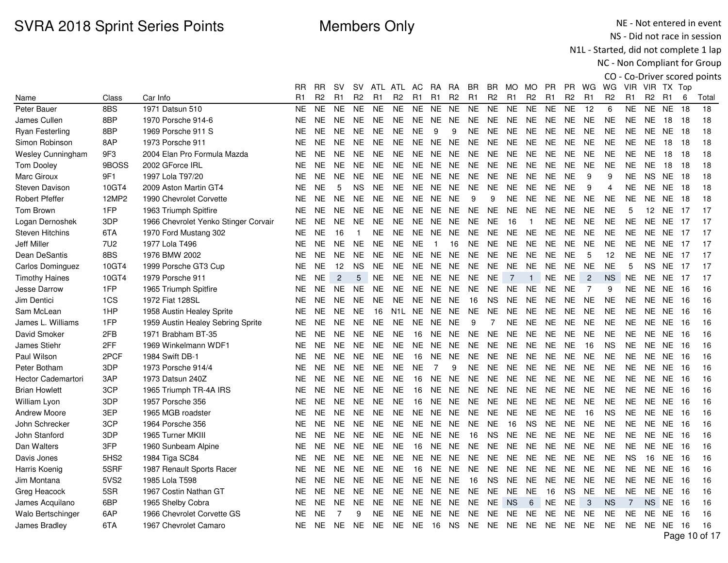NE - Not entered in event NS - Did not race in session

N1L - Started, did not complete 1 lap

|                          |                  |                                      |           |                |                |                |           |                  |                |                |                |                |                |                |                |                |                |                |                |                |                |                 |      | CO - Co-Driver scored points |
|--------------------------|------------------|--------------------------------------|-----------|----------------|----------------|----------------|-----------|------------------|----------------|----------------|----------------|----------------|----------------|----------------|----------------|----------------|----------------|----------------|----------------|----------------|----------------|-----------------|------|------------------------------|
|                          |                  |                                      | RR        | <b>RR</b>      | sv             | <b>SV</b>      |           | ATL ATL          | AC.            | RA.            | <b>RA</b>      | BR.            | BR.            | MO MO          |                | <b>PR</b>      | <b>PR</b>      | WG             | WG             |                | VIR VIR TX Top |                 |      |                              |
| Name                     | Class            | Car Info                             | R1        | R <sub>2</sub> | R1             | R <sub>2</sub> | R1        | R <sub>2</sub>   | R <sub>1</sub> | R <sub>1</sub> | R <sub>2</sub> | R <sub>1</sub> | R <sub>2</sub> | R <sub>1</sub> | R <sub>2</sub> | R <sub>1</sub> | R <sub>2</sub> | R1             | R <sub>2</sub> | R1             | R <sub>2</sub> | R <sub>1</sub>  | 6    | Total                        |
| Peter Bauer              | 8BS              | 1971 Datsun 510                      | NE.       | <b>NE</b>      | <b>NE</b>      | <b>NE</b>      | <b>NE</b> | <b>NE</b>        | <b>NE</b>      | <b>NE</b>      | <b>NE</b>      | <b>NE</b>      | <b>NE</b>      | <b>NE</b>      | <b>NE</b>      | <b>NE</b>      | <b>NE</b>      | 12             | 6              | <b>NE</b>      | <b>NE</b>      | <b>NE</b>       | 18   | 18                           |
| James Cullen             | 8BP              | 1970 Porsche 914-6                   | NE.       | <b>NE</b>      | <b>NE</b>      | <b>NE</b>      | <b>NE</b> | <b>NE</b>        | NE.            | <b>NE</b>      | <b>NE</b>      | <b>NE</b>      | <b>NE</b>      | <b>NE</b>      | <b>NE</b>      | <b>NE</b>      | NE             | <b>NE</b>      | <b>NE</b>      | <b>NE</b>      | <b>NE</b>      | 18              | 18   | 18                           |
| <b>Ryan Festerling</b>   | 8BP              | 1969 Porsche 911 S                   | NE.       | <b>NE</b>      | <b>NE</b>      | <b>NE</b>      | <b>NE</b> | <b>NE</b>        | <b>NE</b>      | 9              | 9              | <b>NE</b>      | NE             | NE.            | <b>NE</b>      | <b>NE</b>      | NE             | <b>NE</b>      | <b>NE</b>      | <b>NE</b>      |                | <b>NE NE 18</b> |      | 18                           |
| Simon Robinson           | 8AP              | 1973 Porsche 911                     | NE.       | <b>NE</b>      | <b>NE</b>      | <b>NE</b>      | <b>NE</b> | <b>NE</b>        | <b>NE</b>      | <b>NE</b>      | <b>NE</b>      | NE.            | <b>NE</b>      | NE             | <b>NE</b>      | <b>NE</b>      | <b>NE</b>      | <b>NE</b>      | <b>NE</b>      | <b>NE</b>      | <b>NE</b>      | 18              | 18   | 18                           |
| <b>Wesley Cunningham</b> | 9F3              | 2004 Elan Pro Formula Mazda          | NE.       | <b>NE</b>      | <b>NE</b>      | <b>NE</b>      | <b>NE</b> | <b>NE</b>        | <b>NE</b>      | NE.            | <b>NE</b>      | NE.            | <b>NE</b>      | NE.            | <b>NE</b>      | <b>NE</b>      | <b>NE</b>      | <b>NE</b>      | <b>NE</b>      | <b>NE</b>      | <b>NE</b>      | 18              | 18   | 18                           |
| <b>Tom Dooley</b>        | 9BOSS            | 2002 GForce IRL                      | NE.       | <b>NE</b>      | <b>NE</b>      | <b>NE</b>      | <b>NE</b> | <b>NE</b>        | <b>NE</b>      | <b>NE</b>      | <b>NE</b>      | <b>NE</b>      | <b>NE</b>      | NE.            | <b>NE</b>      | <b>NE</b>      | <b>NE</b>      | <b>NE</b>      | <b>NE</b>      | <b>NE</b>      | <b>NE</b>      | 18              | 18   | 18                           |
| Marc Giroux              | 9F1              | 1997 Lola T97/20                     | NE.       | <b>NE</b>      | <b>NE</b>      | <b>NE</b>      | <b>NE</b> | <b>NE</b>        | <b>NE</b>      | <b>NE</b>      | <b>NE</b>      | <b>NE</b>      | <b>NE</b>      | <b>NE</b>      | <b>NE</b>      | <b>NE</b>      | <b>NE</b>      | 9              | 9              | <b>NE</b>      | <b>NS</b>      | <b>NE</b>       | 18   | 18                           |
| <b>Steven Davison</b>    | 10GT4            | 2009 Aston Martin GT4                | NE.       | <b>NE</b>      | 5              | <b>NS</b>      | <b>NE</b> | <b>NE</b>        |                | NE NE          | NE.            | <b>NE</b>      | <b>NE</b>      | <b>NE</b>      | <b>NE</b>      | <b>NE</b>      | <b>NE</b>      | 9              | 4              | <b>NE</b>      |                | <b>NE NE 18</b> |      | 18                           |
| <b>Robert Pfeffer</b>    | 12MP2            | 1990 Chevrolet Corvette              | NE.       | <b>NE</b>      | <b>NE</b>      | <b>NE</b>      | <b>NE</b> | <b>NE</b>        | NE.            | NE.            | <b>NE</b>      | 9              | 9              | NE.            | <b>NE</b>      | <b>NE</b>      | NE             | <b>NE</b>      | <b>NE</b>      | <b>NE</b>      | NE             | NE.             | -18  | 18                           |
| Tom Brown                | 1FP              | 1963 Triumph Spitfire                | NE.       | <b>NE</b>      | <b>NE</b>      | <b>NE</b>      | NE        | <b>NE</b>        | <b>NE</b>      | NE.            | <b>NE</b>      | <b>NE</b>      | <b>NE</b>      | <b>NE</b>      | <b>NE</b>      | <b>NE</b>      | <b>NE</b>      | <b>NE</b>      | <b>NE</b>      | 5              | 12             | NE.             | -17  | 17                           |
| Logan Dernoshek          | 3DP              | 1966 Chevrolet Yenko Stinger Corvair | NE.       | <b>NE</b>      | <b>NE</b>      | <b>NE</b>      | <b>NE</b> | <b>NE</b>        | NE.            | NE.            | NE.            | NE.            | <b>NE</b>      | 16             | $\overline{1}$ | <b>NE</b>      | NE.            | NE.            | <b>NE</b>      | <b>NE</b>      | NE.            | NE.             | -17  | 17                           |
| <b>Steven Hitchins</b>   | 6TA              | 1970 Ford Mustang 302                | <b>NE</b> | <b>NE</b>      | 16             | -1             | NE        | <b>NE</b>        | NE             | NE.            | <b>NE</b>      | <b>NE</b>      | <b>NE</b>      | <b>NE</b>      | <b>NE</b>      | <b>NE</b>      | NE.            | <b>NE</b>      | <b>NE</b>      | <b>NE</b>      | NE.            | NE.             | -17  | 17                           |
| <b>Jeff Miller</b>       | 7U2              | 1977 Lola T496                       | NE        | <b>NE</b>      | <b>NE</b>      | <b>NE</b>      | <b>NE</b> | <b>NE</b>        | <b>NE</b>      | $\overline{1}$ | 16             | NE.            | <b>NE</b>      | NE             | <b>NE</b>      | <b>NE</b>      | <b>NE</b>      | <b>NE</b>      | <b>NE</b>      | <b>NE</b>      |                | NE NE           | 17   | 17                           |
| Dean DeSantis            | 8BS              | 1976 BMW 2002                        | NE.       | <b>NE</b>      | <b>NE</b>      | <b>NE</b>      | <b>NE</b> | <b>NE</b>        | NE.            | NE             | NE.            | <b>NE</b>      | <b>NE</b>      | <b>NE</b>      | <b>NE</b>      | <b>NE</b>      | <b>NE</b>      | 5              | 12             | <b>NE</b>      | <b>NE</b>      | NE.             | 17   | 17                           |
| <b>Carlos Dominguez</b>  | 10GT4            | 1999 Porsche GT3 Cup                 | NE.       | <b>NE</b>      | 12             | <b>NS</b>      | <b>NE</b> | <b>NE</b>        | <b>NE</b>      | <b>NE</b>      | <b>NE</b>      | <b>NE</b>      | <b>NE</b>      | <b>NE</b>      | <b>NE</b>      | <b>NE</b>      | <b>NE</b>      | <b>NE</b>      | <b>NE</b>      | 5              | <b>NS</b>      | NE.             | -17  | 17                           |
| <b>Timothy Haines</b>    | 10GT4            | 1979 Porsche 911                     | NE.       | <b>NE</b>      | $\overline{c}$ | 5              | <b>NE</b> | <b>NE</b>        | <b>NE</b>      | <b>NE</b>      | NE.            | <b>NE</b>      | <b>NE</b>      | $\overline{7}$ | $\mathbf{1}$   | <b>NE</b>      | <b>NE</b>      | $\overline{2}$ | <b>NS</b>      | <b>NE</b>      | NE.            | NE.             | -17  | 17                           |
| <b>Jesse Darrow</b>      | 1FP              | 1965 Triumph Spitfire                | NE.       | <b>NE</b>      | <b>NE</b>      | <b>NE</b>      | <b>NE</b> | <b>NE</b>        | <b>NE</b>      | <b>NE</b>      | <b>NE</b>      | <b>NE</b>      | <b>NE</b>      | <b>NE</b>      | <b>NE</b>      | <b>NE</b>      | <b>NE</b>      | $\overline{7}$ | 9              | <b>NE</b>      | <b>NE</b>      | <b>NE</b>       | -16  | 16                           |
| Jim Dentici              | 1CS              | 1972 Fiat 128SL                      | NE.       | <b>NE</b>      | <b>NE</b>      | <b>NE</b>      | <b>NE</b> | <b>NE</b>        | <b>NE</b>      | <b>NE</b>      | <b>NE</b>      | 16             | <b>NS</b>      | <b>NE</b>      | <b>NE</b>      | <b>NE</b>      | <b>NE</b>      | <b>NE</b>      | <b>NE</b>      | <b>NE</b>      |                | <b>NE NE 16</b> |      | 16                           |
| Sam McLean               | 1HP              | 1958 Austin Healey Sprite            | NE.       | <b>NE</b>      | <b>NE</b>      | <b>NE</b>      | 16        | N <sub>1</sub> L | NE.            | <b>NE</b>      | <b>NE</b>      | <b>NE</b>      | <b>NE</b>      | <b>NE</b>      | <b>NE</b>      | <b>NE</b>      | <b>NE</b>      | <b>NE</b>      | <b>NE</b>      | <b>NE</b>      | NE.            | <b>NE</b>       | - 16 | 16                           |
| James L. Williams        | 1FP              | 1959 Austin Healey Sebring Sprite    | NE.       | <b>NE</b>      | <b>NE</b>      | <b>NE</b>      | <b>NE</b> | <b>NE</b>        | <b>NE</b>      | <b>NE</b>      | <b>NE</b>      | 9              | $\overline{7}$ | <b>NE</b>      | <b>NE</b>      | <b>NE</b>      | <b>NE</b>      | <b>NE</b>      | <b>NE</b>      | <b>NE</b>      | <b>NE</b>      | <b>NE</b>       | 16   | 16                           |
| David Smoker             | 2FB              | 1971 Brabham BT-35                   | NE.       | <b>NE</b>      | <b>NE</b>      | <b>NE</b>      | NE.       | <b>NE</b>        | 16             | <b>NE</b>      | <b>NE</b>      | <b>NE</b>      | <b>NE</b>      | <b>NE</b>      | <b>NE</b>      | <b>NE</b>      | <b>NE</b>      | <b>NE</b>      | <b>NE</b>      | <b>NE</b>      | <b>NE</b>      | NE.             | -16  | 16                           |
| James Stiehr             | 2FF              | 1969 Winkelmann WDF1                 | NE.       | <b>NE</b>      | <b>NE</b>      | <b>NE</b>      | <b>NE</b> | <b>NE</b>        | <b>NE</b>      | <b>NE</b>      | <b>NE</b>      | <b>NE</b>      | <b>NE</b>      | <b>NE</b>      | <b>NE</b>      | <b>NE</b>      | <b>NE</b>      | 16             | <b>NS</b>      | <b>NE</b>      | <b>NE</b>      | <b>NE</b>       | 16   | 16                           |
| Paul Wilson              | 2PCF             | 1984 Swift DB-1                      | NE.       | <b>NE</b>      | <b>NE</b>      | <b>NE</b>      | NE.       | <b>NE</b>        | 16             | NE.            | <b>NE</b>      | NE.            | NE.            | NE.            | <b>NE</b>      | <b>NE</b>      | <b>NE</b>      | <b>NE</b>      | <b>NE</b>      | NE             |                | <b>NE NE 16</b> |      | 16                           |
| Peter Botham             | 3DP              | 1973 Porsche 914/4                   | NE.       | <b>NE</b>      | NE.            | <b>NE</b>      | <b>NE</b> | <b>NE</b>        | <b>NE</b>      | $\overline{7}$ | 9              | <b>NE</b>      | <b>NE</b>      | <b>NE</b>      | <b>NE</b>      | <b>NE</b>      | <b>NE</b>      | <b>NE</b>      | <b>NE</b>      | <b>NE</b>      | <b>NE</b>      | NE              | - 16 | 16                           |
| Hector Cademartori       | 3AP              | 1973 Datsun 240Z                     | NE.       | <b>NE</b>      | <b>NE</b>      | <b>NE</b>      | <b>NE</b> | <b>NE</b>        | 16             | <b>NE</b>      | <b>NE</b>      | <b>NE</b>      | <b>NE</b>      | NE             | <b>NE</b>      | <b>NE</b>      | <b>NE</b>      | <b>NE</b>      | <b>NE</b>      | <b>NE</b>      | <b>NE</b>      | <b>NE</b>       | 16   | 16                           |
| <b>Brian Howlett</b>     | 3CP              | 1965 Triumph TR-4A IRS               | NE.       | <b>NE</b>      | <b>NE</b>      | <b>NE</b>      | <b>NE</b> | <b>NE</b>        | 16             | <b>NE</b>      | <b>NE</b>      | <b>NE</b>      | <b>NE</b>      | <b>NE</b>      | <b>NE</b>      | <b>NE</b>      | <b>NE</b>      | <b>NE</b>      | <b>NE</b>      | <b>NE</b>      | NE.            | <b>NE</b>       | -16  | 16                           |
| William Lyon             | 3DP              | 1957 Porsche 356                     | NE.       | <b>NE</b>      | <b>NE</b>      | <b>NE</b>      | <b>NE</b> | <b>NE</b>        | 16             | <b>NE</b>      | <b>NE</b>      | <b>NE</b>      | <b>NE</b>      | <b>NE</b>      | <b>NE</b>      | <b>NE</b>      | NE.            | <b>NE</b>      | <b>NE</b>      | <b>NE</b>      | NE.            | <b>NE</b>       | 16   | 16                           |
| <b>Andrew Moore</b>      | 3EP              | 1965 MGB roadster                    | NE.       | <b>NE</b>      | <b>NE</b>      | <b>NE</b>      | <b>NE</b> | <b>NE</b>        | NE.            | <b>NE</b>      | <b>NE</b>      | <b>NE</b>      | <b>NE</b>      | NE.            | <b>NE</b>      | <b>NE</b>      | <b>NE</b>      | 16             | <b>NS</b>      | <b>NE</b>      |                | NE NE           | - 16 | 16                           |
| John Schrecker           | 3CP              | 1964 Porsche 356                     | NE.       | <b>NE</b>      | <b>NE</b>      | <b>NE</b>      | <b>NE</b> | <b>NE</b>        | <b>NE</b>      | <b>NE</b>      | <b>NE</b>      | <b>NE</b>      | <b>NE</b>      | 16             | <b>NS</b>      | <b>NE</b>      | <b>NE</b>      | <b>NE</b>      | <b>NE</b>      | <b>NE</b>      |                | NE NE           | - 16 | 16                           |
| John Stanford            | 3DP              | 1965 Turner MKIII                    | <b>NE</b> | <b>NE</b>      | <b>NE</b>      | <b>NE</b>      | NE.       | <b>NE</b>        | <b>NE</b>      | NE.            | NE             | 16             | <b>NS</b>      | NE.            | <b>NE</b>      | <b>NE</b>      | <b>NE</b>      | <b>NE</b>      | <b>NE</b>      | <b>NE</b>      |                | NE NE           | 16   | 16                           |
| Dan Walters              | 3FP              | 1960 Sunbeam Alpine                  | <b>NE</b> | <b>NE</b>      | <b>NE</b>      | <b>NE</b>      | <b>NE</b> | <b>NE</b>        | 16             | <b>NE</b>      | <b>NE</b>      | <b>NE</b>      | <b>NE</b>      | <b>NE</b>      | <b>NE</b>      | <b>NE</b>      | <b>NE</b>      | <b>NE</b>      | <b>NE</b>      | <b>NE</b>      | NE.            | <b>NE</b>       | 16   | 16                           |
| Davis Jones              | 5HS <sub>2</sub> | 1984 Tiga SC84                       | <b>NE</b> | <b>NE</b>      | <b>NE</b>      | <b>NE</b>      | <b>NE</b> | <b>NE</b>        | <b>NE</b>      | <b>NE</b>      | <b>NE</b>      | <b>NE</b>      | <b>NE</b>      | <b>NE</b>      | <b>NE</b>      | <b>NE</b>      | <b>NE</b>      | <b>NE</b>      | <b>NE</b>      | <b>NS</b>      | 16             | <b>NE</b>       | 16   | 16                           |
| Harris Koenig            | 5SRF             | 1987 Renault Sports Racer            | NE.       | <b>NE</b>      | <b>NE</b>      | <b>NE</b>      | <b>NE</b> | <b>NE</b>        | 16             | <b>NE</b>      | NE.            | <b>NE</b>      | <b>NE</b>      | <b>NE</b>      | <b>NE</b>      | NE.            | <b>NE</b>      | <b>NE</b>      | <b>NE</b>      | <b>NE</b>      |                | <b>NE NE 16</b> |      | 16                           |
| Jim Montana              | 5VS2             | 1985 Lola T598                       | NE.       | <b>NE</b>      | <b>NE</b>      | <b>NE</b>      | <b>NE</b> | <b>NE</b>        | NE.            | <b>NE</b>      | <b>NE</b>      | 16             | <b>NS</b>      | <b>NE</b>      | <b>NE</b>      | <b>NE</b>      | <b>NE</b>      | <b>NE</b>      | <b>NE</b>      | <b>NE</b>      |                | NE NE           | - 16 | 16                           |
| Greg Heacock             | 5SR              | 1967 Costin Nathan GT                | NE.       | <b>NE</b>      | <b>NE</b>      | <b>NE</b>      | NE.       | <b>NE</b>        | <b>NE</b>      | <b>NE</b>      | NE.            | <b>NE</b>      | <b>NE</b>      | <b>NE</b>      | <b>NE</b>      | 16             | <b>NS</b>      | <b>NE</b>      | <b>NE</b>      | <b>NE</b>      |                | NE NE           | -16  | 16                           |
| James Acquilano          | 6BP              | 1965 Shelby Cobra                    | NE.       | <b>NE</b>      | <b>NE</b>      | <b>NE</b>      | <b>NE</b> | <b>NE</b>        | <b>NE</b>      | <b>NE</b>      | NE.            | <b>NE</b>      | <b>NE</b>      | <b>NS</b>      | 6              | <b>NE</b>      | <b>NE</b>      | 3              | <b>NS</b>      | $\overline{7}$ |                | NS NE           | - 16 | 16                           |
| Walo Bertschinger        | 6AP              | 1966 Chevrolet Corvette GS           | <b>NE</b> | <b>NE</b>      | 7              | 9              | <b>NE</b> | <b>NE</b>        | <b>NE</b>      | NE.            | <b>NE</b>      | <b>NE</b>      | <b>NE</b>      | NE.            | <b>NE</b>      | <b>NE</b>      | <b>NE</b>      | <b>NE</b>      | <b>NE</b>      | <b>NE</b>      | NE             | NE.             | 16   | 16                           |
| James Bradley            | 6TA              | 1967 Chevrolet Camaro                | NE.       | <b>NE</b>      | <b>NE</b>      | <b>NE</b>      | <b>NE</b> | <b>NE</b>        | <b>NE</b>      | 16             | <b>NS</b>      | NE NE          |                | NE.            | <b>NE</b>      | NE.            | <b>NE</b>      | <b>NE</b>      | <b>NE</b>      | <b>NE</b>      |                | NE NE           | 16   | 16                           |
|                          |                  |                                      |           |                |                |                |           |                  |                |                |                |                |                |                |                |                |                |                |                |                |                |                 |      | Page 10 of 17                |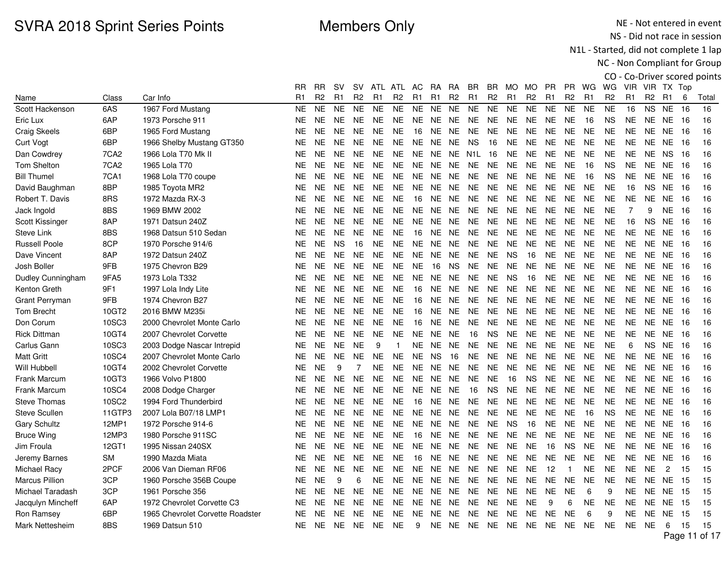NE - Not entered in event NS - Did not race in session

N1L - Started, did not complete 1 lap

|                       |                   |                                  |           |           |                |                |                |                |           |                |                |                |           |                |                |                |                |                |                |                |                |                 |      | CO - Co-Driver scored points |
|-----------------------|-------------------|----------------------------------|-----------|-----------|----------------|----------------|----------------|----------------|-----------|----------------|----------------|----------------|-----------|----------------|----------------|----------------|----------------|----------------|----------------|----------------|----------------|-----------------|------|------------------------------|
|                       |                   |                                  | RR        | <b>RR</b> | .SV            | SV.            |                | ATL ATL        | AC.       | RA.            | RA.            | BR             | BR.       | MO MO          |                | <b>PR</b>      | <b>PR</b>      | WG WG          |                |                |                | VIR VIR TX Top  |      |                              |
| Name                  | Class             | Car Info                         | R1        | R2        | R <sub>1</sub> | R <sub>2</sub> | R <sub>1</sub> | R <sub>2</sub> | R1        | R <sub>1</sub> | R <sub>2</sub> | R <sub>1</sub> | R2        | R <sub>1</sub> | R <sub>2</sub> | R <sub>1</sub> | R <sub>2</sub> | R <sub>1</sub> | R <sub>2</sub> | R1             | R <sub>2</sub> | R <sub>1</sub>  | 6    | Total                        |
| Scott Hackenson       | 6AS               | 1967 Ford Mustang                | <b>NE</b> | <b>NE</b> | <b>NE</b>      | <b>NE</b>      | <b>NE</b>      | <b>NE</b>      | <b>NE</b> | <b>NE</b>      | <b>NE</b>      | <b>NE</b>      | <b>NE</b> | <b>NE</b>      | <b>NE</b>      | <b>NE</b>      | <b>NE</b>      | <b>NE</b>      | <b>NE</b>      | 16             | <b>NS</b>      | <b>NE</b>       | 16   | 16                           |
| Eric Lux              | 6AP               | 1973 Porsche 911                 | NE.       | NE.       | <b>NE</b>      | <b>NE</b>      | <b>NE</b>      | NE             | NE.       | NE.            | NE.            | NE.            | NE.       | <b>NE</b>      | NE.            | NE.            | <b>NE</b>      | 16             | <b>NS</b>      | NE.            | NE.            | NE 16           |      | 16                           |
| <b>Craig Skeels</b>   | 6BP               | 1965 Ford Mustang                | <b>NE</b> | <b>NE</b> | <b>NE</b>      | <b>NE</b>      | <b>NE</b>      | <b>NE</b>      | 16        | <b>NE</b>      | <b>NE</b>      | <b>NE</b>      | <b>NE</b> | <b>NE</b>      | <b>NE</b>      | <b>NE</b>      | <b>NE</b>      | <b>NE</b>      | <b>NE</b>      | <b>NE</b>      | <b>NE</b>      | <b>NE</b>       | - 16 | 16                           |
| Curt Vogt             | 6BP               | 1966 Shelby Mustang GT350        | NE        | <b>NE</b> | NE.            | <b>NE</b>      | NE.            | NE.            |           | NE NE NE       |                | <b>NS</b>      | 16        | <b>NE</b>      | <b>NE</b>      | NE.            | NE.            | <b>NE</b>      | NE.            | NE.            |                | <b>NE NE 16</b> |      | 16                           |
| Dan Cowdrey           | 7CA <sub>2</sub>  | 1966 Lola T70 Mk II              | NE.       | NE.       | <b>NE</b>      | <b>NE</b>      | <b>NE</b>      | <b>NE</b>      | <b>NE</b> | <b>NE</b>      | <b>NE</b>      | N1L            | 16        | <b>NE</b>      | <b>NE</b>      | <b>NE</b>      | <b>NE</b>      | <b>NE</b>      | <b>NE</b>      | NE.            | NE             | <b>NS</b>       | -16  | 16                           |
| <b>Tom Shelton</b>    | 7CA <sub>2</sub>  | 1965 Lola T70                    | <b>NE</b> | <b>NE</b> | <b>NE</b>      | <b>NE</b>      | <b>NE</b>      | <b>NE</b>      | <b>NE</b> | <b>NE</b>      | NE.            | NE.            | <b>NE</b> | <b>NE</b>      | <b>NE</b>      | <b>NE</b>      | <b>NE</b>      | 16             | <b>NS</b>      | NE.            | NE.            | NE.             | 16   | 16                           |
| <b>Bill Thumel</b>    | <b>7CA1</b>       | 1968 Lola T70 coupe              | NE.       | NE.       | <b>NE</b>      | <b>NE</b>      | NE.            | <b>NE</b>      | <b>NE</b> | <b>NE</b>      | NE.            | NE.            | <b>NE</b> | <b>NE</b>      | <b>NE</b>      | <b>NE</b>      | <b>NE</b>      | 16             | <b>NS</b>      | <b>NE</b>      | NE.            | NE.             | 16   | 16                           |
| David Baughman        | 8BP               | 1985 Toyota MR2                  | <b>NE</b> | <b>NE</b> | <b>NE</b>      | <b>NE</b>      | <b>NE</b>      | <b>NE</b>      | <b>NE</b> | <b>NE</b>      | <b>NE</b>      | <b>NE</b>      | <b>NE</b> | <b>NE</b>      | <b>NE</b>      | <b>NE</b>      | <b>NE</b>      | <b>NE</b>      | <b>NE</b>      | 16             | <b>NS</b>      | NE.             | 16   | 16                           |
| Robert T. Davis       | 8RS               | 1972 Mazda RX-3                  | NE        | <b>NE</b> | <b>NE</b>      | <b>NE</b>      | <b>NE</b>      | <b>NE</b>      | 16        | <b>NE</b>      | <b>NE</b>      | NE.            | <b>NE</b> | <b>NE</b>      | <b>NE</b>      | <b>NE</b>      | <b>NE</b>      | <b>NE</b>      | <b>NE</b>      | <b>NE</b>      | <b>NE</b>      | <b>NE</b>       | -16  | 16                           |
| Jack Ingold           | 8BS               | 1969 BMW 2002                    | NΕ        | NE.       | <b>NE</b>      | <b>NE</b>      | NE.            | <b>NE</b>      | <b>NE</b> | NE.            | NE.            | NE.            | <b>NE</b> | <b>NE</b>      | <b>NE</b>      | NE.            | NE.            | NE.            | <b>NE</b>      | $\overline{7}$ | 9              | NE.             | 16   | 16                           |
| Scott Kissinger       | 8AP               | 1971 Datsun 240Z                 | <b>NE</b> | <b>NE</b> | <b>NE</b>      | <b>NE</b>      | <b>NE</b>      | <b>NE</b>      | NE.       | <b>NE</b>      | <b>NE</b>      | <b>NE</b>      | <b>NE</b> | <b>NE</b>      | <b>NE</b>      | <b>NE</b>      | <b>NE</b>      | <b>NE</b>      | <b>NE</b>      | 16             | <b>NS</b>      | <b>NE</b>       | 16   | 16                           |
| <b>Steve Link</b>     | 8BS               | 1968 Datsun 510 Sedan            | NΕ        | <b>NE</b> | <b>NE</b>      | <b>NE</b>      | <b>NE</b>      | <b>NE</b>      | 16        | NE.            | <b>NE</b>      | <b>NE</b>      | NE.       | <b>NE</b>      | <b>NE</b>      | <b>NE</b>      | <b>NE</b>      | <b>NE</b>      | <b>NE</b>      | <b>NE</b>      | <b>NE</b>      | NE.             | -16  | 16                           |
| <b>Russell Poole</b>  | 8CP               | 1970 Porsche 914/6               | NE.       | <b>NE</b> | <b>NS</b>      | 16             | <b>NE</b>      | <b>NE</b>      | <b>NE</b> | <b>NE</b>      | <b>NE</b>      | <b>NE</b>      | <b>NE</b> | <b>NE</b>      | <b>NE</b>      | <b>NE</b>      | <b>NE</b>      | <b>NE</b>      | <b>NE</b>      | <b>NE</b>      | NE.            | <b>NE</b>       | 16   | 16                           |
| Dave Vincent          | 8AP               | 1972 Datsun 240Z                 | <b>NE</b> | NE.       | <b>NE</b>      | <b>NE</b>      | <b>NE</b>      | <b>NE</b>      | <b>NE</b> | NE.            | <b>NE</b>      | <b>NE</b>      | <b>NE</b> | <b>NS</b>      | 16             | <b>NE</b>      | <b>NE</b>      | <b>NE</b>      | <b>NE</b>      | NE.            | NE.            | NE.             | -16  | 16                           |
| Josh Boller           | 9FB               | 1975 Chevron B29                 | NE.       | <b>NE</b> | <b>NE</b>      | <b>NE</b>      | NE.            | <b>NE</b>      | <b>NE</b> | 16             | <b>NS</b>      | <b>NE</b>      | <b>NE</b> | <b>NE</b>      | <b>NE</b>      | <b>NE</b>      | <b>NE</b>      | <b>NE</b>      | <b>NE</b>      | <b>NE</b>      |                | <b>NE NE 16</b> |      | 16                           |
| Dudley Cunningham     | 9FA5              | 1973 Lola T332                   | NΕ        | NE.       | <b>NE</b>      | <b>NE</b>      | NE.            | <b>NE</b>      | NE.       | NE.            | <b>NE</b>      | NE.            | NE.       | <b>NS</b>      | 16             | <b>NE</b>      | <b>NE</b>      | NE.            | <b>NE</b>      | NE.            | NE             | NE.             | - 16 | 16                           |
| Kenton Greth          | 9F1               | 1997 Lola Indy Lite              | NE.       | NE.       | <b>NE</b>      | <b>NE</b>      | <b>NE</b>      | <b>NE</b>      | 16        | <b>NE</b>      | <b>NE</b>      | <b>NE</b>      | <b>NE</b> | <b>NE</b>      | <b>NE</b>      | <b>NE</b>      | <b>NE</b>      | <b>NE</b>      | <b>NE</b>      | <b>NE</b>      | NE.            | NE.             | 16   | 16                           |
| Grant Perryman        | 9FB               | 1974 Chevron B27                 | NE.       | <b>NE</b> | <b>NE</b>      | <b>NE</b>      | NE.            | <b>NE</b>      | 16        | NE.            | <b>NE</b>      | <b>NE</b>      | NE.       | <b>NE</b>      | <b>NE</b>      | <b>NE</b>      | <b>NE</b>      | <b>NE</b>      | <b>NE</b>      | <b>NE</b>      | NE.            | NE.             | 16   | 16                           |
| <b>Tom Brecht</b>     | 10GT2             | 2016 BMW M235i                   | <b>NE</b> | <b>NE</b> | <b>NE</b>      | <b>NE</b>      | <b>NE</b>      | <b>NE</b>      | 16        | <b>NE</b>      | <b>NE</b>      | <b>NE</b>      | <b>NE</b> | <b>NE</b>      | <b>NE</b>      | <b>NE</b>      | <b>NE</b>      | <b>NE</b>      | <b>NE</b>      | NE.            | NE.            | NE.             | 16   | 16                           |
| Don Corum             | 10SC3             | 2000 Chevrolet Monte Carlo       | NE        | NE.       | <b>NE</b>      | <b>NE</b>      | <b>NE</b>      | <b>NE</b>      | 16        | <b>NE</b>      | <b>NE</b>      | <b>NE</b>      | <b>NE</b> | <b>NE</b>      | <b>NE</b>      | <b>NE</b>      | <b>NE</b>      | <b>NE</b>      | <b>NE</b>      | NE.            | NE.            | NE.             | -16  | 16                           |
| <b>Rick Dittman</b>   | 10GT4             | 2007 Chevrolet Corvette          | NE.       | NE.       | <b>NE</b>      | <b>NE</b>      | <b>NE</b>      | <b>NE</b>      | NE.       | <b>NE</b>      | <b>NE</b>      | 16             | <b>NS</b> | <b>NE</b>      | <b>NE</b>      | <b>NE</b>      | NE.            | <b>NE</b>      | <b>NE</b>      | <b>NE</b>      | NE.            | NE.             | 16   | 16                           |
| Carlus Gann           | 10SC3             | 2003 Dodge Nascar Intrepid       | NE.       | NE.       | <b>NE</b>      | <b>NE</b>      | 9              |                | NE        | NE.            | NE             | <b>NE</b>      | <b>NE</b> | <b>NE</b>      | <b>NE</b>      | <b>NE</b>      | <b>NE</b>      | <b>NE</b>      | <b>NE</b>      | 6              | NS.            | NE              | 16   | 16                           |
| <b>Matt Gritt</b>     | 10SC4             | 2007 Chevrolet Monte Carlo       | <b>NE</b> | <b>NE</b> | <b>NE</b>      | <b>NE</b>      | <b>NE</b>      | <b>NE</b>      | NE.       | <b>NS</b>      | 16             | <b>NE</b>      | <b>NE</b> | <b>NE</b>      | <b>NE</b>      | <b>NE</b>      | <b>NE</b>      | <b>NE</b>      | <b>NE</b>      | <b>NE</b>      | NE.            | NE.             | -16  | 16                           |
| Will Hubbell          | 10GT4             | 2002 Chevrolet Corvette          | NE.       | <b>NE</b> | 9              | 7              | <b>NE</b>      | <b>NE</b>      | <b>NE</b> | NE.            | <b>NE</b>      | <b>NE</b>      | NE.       | <b>NE</b>      | <b>NE</b>      | <b>NE</b>      | <b>NE</b>      | NE.            | <b>NE</b>      | <b>NE</b>      | NE.            | NE.             | 16   | 16                           |
| Frank Marcum          | 10GT3             | 1966 Volvo P1800                 | <b>NE</b> | <b>NE</b> | <b>NE</b>      | <b>NE</b>      | <b>NE</b>      | <b>NE</b>      | <b>NE</b> | <b>NE</b>      | <b>NE</b>      | <b>NE</b>      | <b>NE</b> | 16             | <b>NS</b>      | <b>NE</b>      | <b>NE</b>      | <b>NE</b>      | <b>NE</b>      | <b>NE</b>      | NE.            | <b>NE</b>       | -16  | 16                           |
| Frank Marcum          | 10SC4             | 2008 Dodge Charger               | NE        | <b>NE</b> | <b>NE</b>      | <b>NE</b>      | NE.            | <b>NE</b>      | <b>NE</b> | NE.            | NE.            | 16             | <b>NS</b> | <b>NE</b>      | <b>NE</b>      | <b>NE</b>      | <b>NE</b>      | <b>NE</b>      | <b>NE</b>      | <b>NE</b>      |                | <b>NE NE 16</b> |      | 16                           |
| <b>Steve Thomas</b>   | 10SC <sub>2</sub> | 1994 Ford Thunderbird            | NE.       | NE.       | <b>NE</b>      | <b>NE</b>      | NE.            | <b>NE</b>      | 16        | NE.            | NE.            | <b>NE</b>      | <b>NE</b> | <b>NE</b>      | <b>NE</b>      | <b>NE</b>      | NE.            | <b>NE</b>      | <b>NE</b>      | NE.            | NE             | NE 16           |      | 16                           |
| Steve Scullen         | 11GTP3            | 2007 Lola B07/18 LMP1            | NE.       | NE.       | <b>NE</b>      | <b>NE</b>      | NE.            | <b>NE</b>      | <b>NE</b> | <b>NE</b>      | NE.            | <b>NE</b>      | <b>NE</b> | <b>NE</b>      | <b>NE</b>      | <b>NE</b>      | <b>NE</b>      | 16             | <b>NS</b>      | NE.            | NE             | NE.             | -16  | 16                           |
| <b>Gary Schultz</b>   | 12MP1             | 1972 Porsche 914-6               | <b>NE</b> | <b>NE</b> | <b>NE</b>      | <b>NE</b>      | NE.            | <b>NE</b>      | NE.       | <b>NE</b>      | <b>NE</b>      | <b>NE</b>      | <b>NE</b> | <b>NS</b>      | 16             | <b>NE</b>      | <b>NE</b>      | <b>NE</b>      | NE.            | NE.            | NE.            | NE.             | - 16 | 16                           |
| <b>Bruce Wing</b>     | 12MP3             | 1980 Porsche 911SC               | NE        | <b>NE</b> | <b>NE</b>      | <b>NE</b>      | NE.            | <b>NE</b>      | 16        | NE.            | <b>NE</b>      | NE.            | <b>NE</b> | <b>NE</b>      | <b>NE</b>      | NE.            | <b>NE</b>      | <b>NE</b>      | <b>NE</b>      | <b>NE</b>      | NE.            | NE.             | 16   | 16                           |
| Jim Froula            | 12GT1             | 1995 Nissan 240SX                | NE        | <b>NE</b> | <b>NE</b>      | <b>NE</b>      | <b>NE</b>      | <b>NE</b>      | <b>NE</b> | <b>NE</b>      | <b>NE</b>      | <b>NE</b>      | <b>NE</b> | <b>NE</b>      | <b>NE</b>      | 16             | <b>NS</b>      | <b>NE</b>      | <b>NE</b>      | <b>NE</b>      | NE.            | NE.             | 16   | 16                           |
| Jeremy Barnes         | SM                | 1990 Mazda Miata                 | NE.       | <b>NE</b> | <b>NE</b>      | <b>NE</b>      | NE.            | <b>NE</b>      | 16        | NE.            | NE.            | NE.            | NE.       | <b>NE</b>      | <b>NE</b>      | <b>NE</b>      | NE.            | <b>NE</b>      | NE.            | <b>NE</b>      | NE.            | NE 16           |      | 16                           |
| Michael Racy          | 2PCF              | 2006 Van Dieman RF06             | NE        | <b>NE</b> | <b>NE</b>      | <b>NE</b>      | <b>NE</b>      | <b>NE</b>      | <b>NE</b> | <b>NE</b>      | <b>NE</b>      | <b>NE</b>      | <b>NE</b> | <b>NE</b>      | <b>NE</b>      | 12             | $\mathbf{1}$   | <b>NE</b>      | <b>NE</b>      | <b>NE</b>      | <b>NE</b>      | 2               | 15   | 15                           |
| <b>Marcus Pillion</b> | 3CP               | 1960 Porsche 356B Coupe          | NE.       | <b>NE</b> | 9              | 6              | NΕ             | <b>NE</b>      | <b>NE</b> | NE.            | <b>NE</b>      | <b>NE</b>      | <b>NE</b> | NE             | <b>NE</b>      | <b>NE</b>      | <b>NE</b>      | <b>NE</b>      | <b>NE</b>      | <b>NE</b>      | NE.            | NE.             | 15   | 15                           |
| Michael Taradash      | 3CP               | 1961 Porsche 356                 | NE.       | NE.       | <b>NE</b>      | <b>NE</b>      | NE.            | <b>NE</b>      | <b>NE</b> | <b>NE</b>      | NE.            | <b>NE</b>      | <b>NE</b> | <b>NE</b>      | <b>NE</b>      | <b>NE</b>      | <b>NE</b>      | 6              | 9              | <b>NE</b>      | NE.            | NE.             | 15   | 15                           |
| Jacqulyn Mincheff     | 6AP               | 1972 Chevrolet Corvette C3       | NE        | <b>NE</b> | <b>NE</b>      | <b>NE</b>      | <b>NE</b>      | <b>NE</b>      | <b>NE</b> | <b>NE</b>      | <b>NE</b>      | <b>NE</b>      | <b>NE</b> | <b>NE</b>      | <b>NE</b>      | 9              | 6              | <b>NE</b>      | <b>NE</b>      | <b>NE</b>      | NE.            | NE.             | -15  | 15                           |
| Ron Ramsey            | 6BP               | 1965 Chevrolet Corvette Roadster | NΕ        | NE.       | <b>NE</b>      | <b>NE</b>      | <b>NE</b>      | <b>NE</b>      | NE.       | NE.            | <b>NE</b>      | NE.            | NE.       | <b>NE</b>      | <b>NE</b>      | <b>NE</b>      | <b>NE</b>      | 6              | 9              | <b>NE</b>      | NE             | NE.             | -15  | 15                           |
| Mark Nettesheim       | 8BS               | 1969 Datsun 510                  | NE.       | NE.       | NE.            | <b>NE</b>      | NE.            | <b>NE</b>      | 9         |                | NE NE          | NE NE NE       |           |                | NE             | NE.            | NE.            | NE.            | <b>NE</b>      | NE.            | NE.            | 6               | 15   | 15                           |
|                       |                   |                                  |           |           |                |                |                |                |           |                |                |                |           |                |                |                |                |                |                |                |                | D               |      |                              |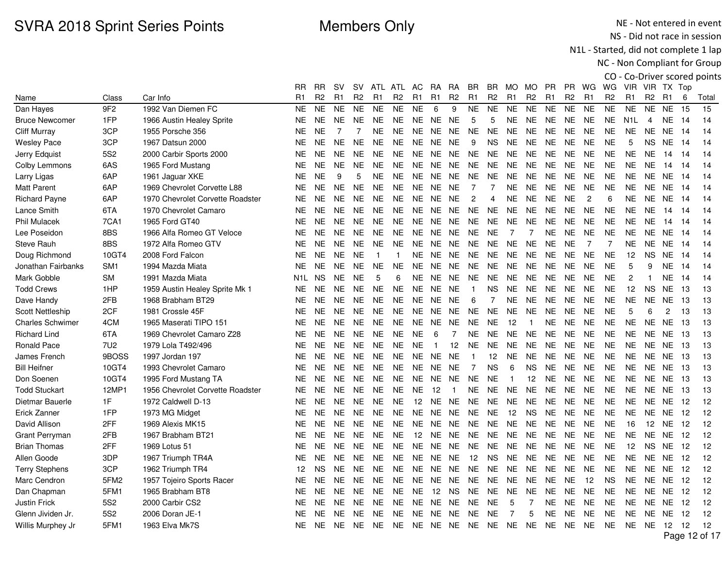NE - Not entered in event NS - Did not race in session

N1L - Started, did not complete 1 lap

|                         |                  |                                  |                  |           |                |                |                |                |                |                |                |                |                |                 |                |           |                |                |                |                  |                 |                 |      | CO - Co-Driver scored points |
|-------------------------|------------------|----------------------------------|------------------|-----------|----------------|----------------|----------------|----------------|----------------|----------------|----------------|----------------|----------------|-----------------|----------------|-----------|----------------|----------------|----------------|------------------|-----------------|-----------------|------|------------------------------|
|                         |                  |                                  | RR               | <b>RR</b> | <b>SV</b>      | <b>SV</b>      |                | ATL ATL AC     |                | RA             | <b>RA</b>      | BR.            | BR.            | MO MO           |                | <b>PR</b> |                | PR WG          | WG             |                  | VIR VIR TX Top  |                 |      |                              |
| Name                    | Class            | Car Info                         | R <sub>1</sub>   | R2        | R <sub>1</sub> | R <sub>2</sub> | R <sub>1</sub> | R <sub>2</sub> | R <sub>1</sub> | R <sub>1</sub> | R <sub>2</sub> | R1             | R <sub>2</sub> | R <sub>1</sub>  | R <sub>2</sub> | R1        | R <sub>2</sub> | R <sub>1</sub> | R <sub>2</sub> | R <sub>1</sub>   | R <sub>2</sub>  | R <sub>1</sub>  | 6    | Total                        |
| Dan Hayes               | 9F <sub>2</sub>  | 1992 Van Diemen FC               | <b>NE</b>        | <b>NE</b> | <b>NE</b>      | <b>NE</b>      | <b>NE</b>      | <b>NE</b>      | <b>NE</b>      | 6              | 9              | <b>NE</b>      | <b>NE</b>      | <b>NE</b>       | <b>NE</b>      | <b>NE</b> | <b>NE</b>      | <b>NE</b>      | <b>NE</b>      | <b>NE</b>        | <b>NE</b>       | <b>NE</b>       | 15   | 15                           |
| <b>Bruce Newcomer</b>   | 1FP              | 1966 Austin Healey Sprite        | <b>NE</b>        | <b>NE</b> | <b>NE</b>      | <b>NE</b>      | <b>NE</b>      | <b>NE</b>      | NE.            | NE             | <b>NE</b>      | 5              | 5              | NE.             | <b>NE</b>      | NE.       | <b>NE</b>      | <b>NE</b>      | <b>NE</b>      | N <sub>1</sub> L | 4               | <b>NE</b>       | - 14 | 14                           |
| <b>Cliff Murray</b>     | 3CP              | 1955 Porsche 356                 | NE.              | <b>NE</b> | $\overline{7}$ | $\overline{7}$ | <b>NE</b>      | NE.            | NE NE          |                | NE.            | <b>NE</b>      | <b>NE</b>      | <b>NE</b>       | <b>NE</b>      | <b>NE</b> | <b>NE</b>      | <b>NE</b>      | <b>NE</b>      | <b>NE</b>        |                 | NE NE 14        |      | 14                           |
| <b>Wesley Pace</b>      | 3CP              | 1967 Datsun 2000                 | NE               | NE.       | <b>NE</b>      | <b>NE</b>      | <b>NE</b>      | NE             | NE.            | NE.            | <b>NE</b>      | 9              | NS.            | NE.             | <b>NE</b>      | <b>NE</b> | <b>NE</b>      | <b>NE</b>      | <b>NE</b>      | 5                | NS.             | NE.             | - 14 | 14                           |
| Jerry Edquist           | <b>5S2</b>       | 2000 Carbir Sports 2000          | <b>NE</b>        | <b>NE</b> | <b>NE</b>      | <b>NE</b>      | <b>NE</b>      | <b>NE</b>      | <b>NE</b>      | NE.            | NE.            | NE.            | NE.            | <b>NE</b>       | <b>NE</b>      | <b>NE</b> | <b>NE</b>      | <b>NE</b>      | <b>NE</b>      | <b>NE</b>        | <b>NE</b>       | 14              | -14  | 14                           |
| Colby Lemmons           | 6AS              | 1965 Ford Mustang                | NE               | <b>NE</b> | <b>NE</b>      | <b>NE</b>      | NE.            | <b>NE</b>      | <b>NE</b>      | <b>NE</b>      | <b>NE</b>      | <b>NE</b>      | <b>NE</b>      | <b>NE</b>       | <b>NE</b>      | <b>NE</b> | <b>NE</b>      | <b>NE</b>      | <b>NE</b>      | <b>NE</b>        | <b>NE</b>       | 14              | -14  | 14                           |
| Larry Ligas             | 6AP              | 1961 Jaguar XKE                  | <b>NE</b>        | <b>NE</b> | 9              | 5              | <b>NE</b>      | <b>NE</b>      | <b>NE</b>      | <b>NE</b>      | <b>NE</b>      | <b>NE</b>      | <b>NE</b>      | <b>NE</b>       | <b>NE</b>      | <b>NE</b> | <b>NE</b>      | <b>NE</b>      | <b>NE</b>      | <b>NE</b>        | <b>NE</b>       | <b>NE</b>       | - 14 | 14                           |
| <b>Matt Parent</b>      | 6AP              | 1969 Chevrolet Corvette L88      | NE.              | <b>NE</b> | <b>NE</b>      | <b>NE</b>      | NE.            | NE.            |                | NE NE          | <b>NE</b>      | $\overline{7}$ | $\overline{7}$ | <b>NE</b>       | <b>NE</b>      | <b>NE</b> | <b>NE</b>      | <b>NE</b>      | <b>NE</b>      | <b>NE</b>        |                 | NE NE 14        |      | 14                           |
| <b>Richard Payne</b>    | 6AP              | 1970 Chevrolet Corvette Roadster | NE.              | NE.       | <b>NE</b>      | <b>NE</b>      | <b>NE</b>      | <b>NE</b>      | <b>NE</b>      | NE.            | <b>NE</b>      | $\overline{c}$ | 4              | <b>NE</b>       | <b>NE</b>      | <b>NE</b> | <b>NE</b>      | $\overline{c}$ | 6              | <b>NE</b>        |                 | NE NE 14        |      | 14                           |
| Lance Smith             | 6TA              | 1970 Chevrolet Camaro            | <b>NE</b>        | <b>NE</b> | <b>NE</b>      | <b>NE</b>      | <b>NE</b>      | <b>NE</b>      | <b>NE</b>      | NE.            | NE.            | <b>NE</b>      | <b>NE</b>      | <b>NE</b>       | <b>NE</b>      | <b>NE</b> | <b>NE</b>      | <b>NE</b>      | <b>NE</b>      | <b>NE</b>        | <b>NE</b>       | 14              | -14  | 14                           |
| <b>Phil Mulacek</b>     | 7CA1             | 1965 Ford GT40                   | <b>NE</b>        | <b>NE</b> | <b>NE</b>      | <b>NE</b>      | NE.            | <b>NE</b>      | NE.            | NE.            | NE.            | NE.            | <b>NE</b>      | <b>NE</b>       | <b>NE</b>      | <b>NE</b> | <b>NE</b>      | <b>NE</b>      | <b>NE</b>      | <b>NE</b>        | <b>NE</b>       | 14              | -14  | 14                           |
| Lee Poseidon            | 8BS              | 1966 Alfa Romeo GT Veloce        | <b>NE</b>        | <b>NE</b> | <b>NE</b>      | <b>NE</b>      | <b>NE</b>      | <b>NE</b>      | <b>NE</b>      | <b>NE</b>      | NE.            | <b>NE</b>      | <b>NE</b>      | $\overline{7}$  | 7              | <b>NE</b> | <b>NE</b>      | <b>NE</b>      | <b>NE</b>      | <b>NE</b>        | <b>NE</b>       | <b>NE</b>       | -14  | 14                           |
| Steve Rauh              | 8BS              | 1972 Alfa Romeo GTV              | NE.              | <b>NE</b> | <b>NE</b>      | <b>NE</b>      | NE.            | NE.            |                | NE NE          | NE.            | <b>NE</b>      | <b>NE</b>      | <b>NE</b>       | <b>NE</b>      | NE.       | <b>NE</b>      | $\overline{7}$ | $\overline{7}$ | <b>NE</b>        |                 | NE NE 14        |      | 14                           |
| Doug Richmond           | 10GT4            | 2008 Ford Falcon                 | NE.              | NE.       | <b>NE</b>      | <b>NE</b>      | $\mathbf{1}$   | $\mathbf{1}$   | <b>NE</b>      | <b>NE</b>      | NE.            | <b>NE</b>      | NE.            | <b>NE</b>       | <b>NE</b>      | <b>NE</b> | <b>NE</b>      | <b>NE</b>      | <b>NE</b>      | 12 <sup>2</sup>  | <b>NS</b>       | <b>NE</b>       | - 14 | 14                           |
| Jonathan Fairbanks      | SM <sub>1</sub>  | 1994 Mazda Miata                 | <b>NE</b>        | <b>NE</b> | <b>NE</b>      | <b>NE</b>      | <b>NE</b>      | <b>NE</b>      | <b>NE</b>      | <b>NE</b>      | NE.            | <b>NE</b>      | <b>NE</b>      | <b>NE</b>       | <b>NE</b>      | <b>NE</b> | <b>NE</b>      | <b>NE</b>      | <b>NE</b>      | 5                | 9               | <b>NE</b>       | -14  | 14                           |
| Mark Gobble             | <b>SM</b>        | 1991 Mazda Miata                 | N <sub>1</sub> L | <b>NS</b> | <b>NE</b>      | <b>NE</b>      | 5              | 6              | NE.            | NE.            | <b>NE</b>      | <b>NE</b>      | <b>NE</b>      | <b>NE</b>       | <b>NE</b>      | <b>NE</b> | <b>NE</b>      | <b>NE</b>      | <b>NE</b>      | 2                | $\overline{1}$  | NE.             | -14  | 14                           |
| <b>Todd Crews</b>       | 1HP              | 1959 Austin Healey Sprite Mk 1   | <b>NE</b>        | <b>NE</b> | <b>NE</b>      | <b>NE</b>      | <b>NE</b>      | <b>NE</b>      | <b>NE</b>      | <b>NE</b>      | <b>NE</b>      | $\mathbf{1}$   | NS.            | <b>NE</b>       | <b>NE</b>      | <b>NE</b> | <b>NE</b>      | <b>NE</b>      | <b>NE</b>      | 12               | <b>NS</b>       | NE              | -13  | 13                           |
| Dave Handy              | 2FB              | 1968 Brabham BT29                | NE.              | <b>NE</b> | <b>NE</b>      | <b>NE</b>      | <b>NE</b>      | <b>NE</b>      |                | NE NE          | <b>NE</b>      | 6              | $\overline{7}$ | <b>NE</b>       | <b>NE</b>      | <b>NE</b> | <b>NE</b>      | <b>NE</b>      | <b>NE</b>      | <b>NE</b>        | <b>NE</b>       | NE 13           |      | 13                           |
| <b>Scott Nettleship</b> | 2CF              | 1981 Crossle 45F                 | NE.              | NE.       | <b>NE</b>      | <b>NE</b>      | <b>NE</b>      | <b>NE</b>      | <b>NE</b>      | NE.            | <b>NE</b>      | <b>NE</b>      | NE.            | <b>NE</b>       | <b>NE</b>      | <b>NE</b> | <b>NE</b>      | <b>NE</b>      | <b>NE</b>      | 5                | 6               | $\overline{c}$  | 13   | 13                           |
| <b>Charles Schwimer</b> | 4CM              | 1965 Maserati TIPO 151           | <b>NE</b>        | <b>NE</b> | <b>NE</b>      | <b>NE</b>      | <b>NE</b>      | <b>NE</b>      | <b>NE</b>      | <b>NE</b>      | <b>NE</b>      | <b>NE</b>      | <b>NE</b>      | 12              | $\overline{1}$ | <b>NE</b> | <b>NE</b>      | <b>NE</b>      | <b>NE</b>      | <b>NE</b>        | <b>NE</b>       | <b>NE</b>       | -13  | 13                           |
| <b>Richard Lind</b>     | 6TA              | 1969 Chevrolet Camaro Z28        | NE.              | <b>NE</b> | <b>NE</b>      | <b>NE</b>      | <b>NE</b>      | <b>NE</b>      | <b>NE</b>      | 6              | $\overline{7}$ | <b>NE</b>      | NE.            | <b>NE</b>       | <b>NE</b>      | <b>NE</b> | <b>NE</b>      | <b>NE</b>      | <b>NE</b>      | <b>NE</b>        | <b>NE</b>       | NE.             | - 13 | 13                           |
| <b>Ronald Pace</b>      | <b>7U2</b>       | 1979 Lola T492/496               | <b>NE</b>        | <b>NE</b> | <b>NE</b>      | <b>NE</b>      | <b>NE</b>      | <b>NE</b>      | <b>NE</b>      | $\mathbf{1}$   | 12             | <b>NE</b>      | NE.            | <b>NE</b>       | <b>NE</b>      | <b>NE</b> | <b>NE</b>      | <b>NE</b>      | <b>NE</b>      | <b>NE</b>        |                 | NE NE           | - 13 | 13                           |
| James French            | 9BOSS            | 1997 Jordan 197                  | NE               | <b>NE</b> | <b>NE</b>      | <b>NE</b>      | <b>NE</b>      | <b>NE</b>      |                | NE NE          | <b>NE</b>      | $\mathbf{1}$   | 12             | NE.             | <b>NE</b>      | <b>NE</b> | <b>NE</b>      | <b>NE</b>      | <b>NE</b>      | NE.              |                 | <b>NE NE 13</b> |      | 13                           |
| <b>Bill Heifner</b>     | 10GT4            | 1993 Chevrolet Camaro            | NE               | <b>NE</b> | <b>NE</b>      | NE.            | <b>NE</b>      | NE             | NE.            | NE.            | NE.            | $\overline{7}$ | <b>NS</b>      | $6\phantom{1}6$ | <b>NS</b>      | <b>NE</b> | <b>NE</b>      | <b>NE</b>      | <b>NE</b>      | <b>NE</b>        |                 | <b>NE NE 13</b> |      | 13                           |
| Don Soenen              | 10GT4            | 1995 Ford Mustang TA             | <b>NE</b>        | <b>NE</b> | <b>NE</b>      | <b>NE</b>      | <b>NE</b>      | <b>NE</b>      | <b>NE</b>      | NE             | <b>NE</b>      | <b>NE</b>      | <b>NE</b>      | $\overline{1}$  | 12             | <b>NE</b> | <b>NE</b>      | <b>NE</b>      | <b>NE</b>      | <b>NE</b>        |                 | NE NE           | -13  | 13                           |
| <b>Todd Stuckart</b>    | 12MP1            | 1956 Chevrolet Corvette Roadster | NE.              | <b>NE</b> | NE.            | <b>NE</b>      | <b>NE</b>      | <b>NE</b>      | <b>NE</b>      | 12             | $\overline{1}$ | <b>NE</b>      | NE.            | <b>NE</b>       | <b>NE</b>      | <b>NE</b> | <b>NE</b>      | <b>NE</b>      | <b>NE</b>      | <b>NE</b>        |                 | NE NE           | - 13 | 13                           |
| Dietmar Bauerle         | 1F               | 1972 Caldwell D-13               | <b>NE</b>        | <b>NE</b> | <b>NE</b>      | <b>NE</b>      | <b>NE</b>      | <b>NE</b>      | 12             | <b>NE</b>      | <b>NE</b>      | <b>NE</b>      | <b>NE</b>      | <b>NE</b>       | <b>NE</b>      | <b>NE</b> | <b>NE</b>      | <b>NE</b>      | <b>NE</b>      | <b>NE</b>        |                 | NE NE           | 12   | 12                           |
| Erick Zanner            | 1FP              | 1973 MG Midget                   | NE               | <b>NE</b> | <b>NE</b>      | <b>NE</b>      | <b>NE</b>      | <b>NE</b>      |                | NE NE          | <b>NE</b>      | <b>NE</b>      | <b>NE</b>      | 12              | <b>NS</b>      | <b>NE</b> | <b>NE</b>      | <b>NE</b>      | <b>NE</b>      | <b>NE</b>        |                 | NE NE           | 12   | 12                           |
| David Allison           | 2FF              | 1969 Alexis MK15                 | NE               | NE.       | <b>NE</b>      | <b>NE</b>      | <b>NE</b>      | NE             | NE             | NE.            | NE             | NE.            | NE.            | <b>NE</b>       | <b>NE</b>      | <b>NE</b> | NE.            | <b>NE</b>      | <b>NE</b>      | 16               | 12 <sup>°</sup> | NE.             | -12  | 12                           |
| <b>Grant Perryman</b>   | 2FB              | 1967 Brabham BT21                | <b>NE</b>        | <b>NE</b> | <b>NE</b>      | <b>NE</b>      | <b>NE</b>      | <b>NE</b>      | 12             | NE.            | NE.            | NE.            | NE.            | <b>NE</b>       | <b>NE</b>      | <b>NE</b> | <b>NE</b>      | <b>NE</b>      | <b>NE</b>      | <b>NE</b>        |                 | NE NE           | 12   | 12                           |
| <b>Brian Thomas</b>     | 2FF              | 1969 Lotus 51                    | <b>NE</b>        | <b>NE</b> | <b>NE</b>      | <b>NE</b>      | NE.            | <b>NE</b>      | <b>NE</b>      | <b>NE</b>      | <b>NE</b>      | <b>NE</b>      | <b>NE</b>      | <b>NE</b>       | <b>NE</b>      | <b>NE</b> | <b>NE</b>      | <b>NE</b>      | <b>NE</b>      | 12               | <b>NS</b>       | <b>NE</b>       | 12   | 12                           |
| Allen Goode             | 3DP              | 1967 Triumph TR4A                | <b>NE</b>        | <b>NE</b> | <b>NE</b>      | <b>NE</b>      | <b>NE</b>      | <b>NE</b>      | <b>NE</b>      | <b>NE</b>      | <b>NE</b>      | 12             | <b>NS</b>      | <b>NE</b>       | <b>NE</b>      | <b>NE</b> | <b>NE</b>      | <b>NE</b>      | <b>NE</b>      | <b>NE</b>        |                 | NE NE           | 12   | 12                           |
| <b>Terry Stephens</b>   | 3CP              | 1962 Triumph TR4                 | 12               | <b>NS</b> | <b>NE</b>      | <b>NE</b>      | NE.            | NE.            |                | NE NE          | <b>NE</b>      | <b>NE</b>      | <b>NE</b>      | NE.             | <b>NE</b>      | <b>NE</b> | <b>NE</b>      | <b>NE</b>      | <b>NE</b>      | <b>NE</b>        |                 | <b>NE NE 12</b> |      | 12                           |
| Marc Cendron            | 5FM <sub>2</sub> | 1957 Tojeiro Sports Racer        | NE               | <b>NE</b> | <b>NE</b>      | <b>NE</b>      | <b>NE</b>      | <b>NE</b>      | <b>NE</b>      | <b>NE</b>      | NE.            | NE.            | <b>NE</b>      | <b>NE</b>       | <b>NE</b>      | <b>NE</b> | <b>NE</b>      | 12             | <b>NS</b>      | <b>NE</b>        |                 | NE NE           | 12   | 12                           |
| Dan Chapman             | 5FM1             | 1965 Brabham BT8                 | <b>NE</b>        | <b>NE</b> | <b>NE</b>      | <b>NE</b>      | <b>NE</b>      | <b>NE</b>      | <b>NE</b>      | 12             | <b>NS</b>      | NE.            | <b>NE</b>      | <b>NE</b>       | <b>NE</b>      | <b>NE</b> | <b>NE</b>      | <b>NE</b>      | <b>NE</b>      | <b>NE</b>        |                 | NE NE           | 12   | 12                           |
| <b>Justin Frick</b>     | 5S <sub>2</sub>  | 2000 Carbir CS2                  | <b>NE</b>        | <b>NE</b> | <b>NE</b>      | NE.            | NE.            | <b>NE</b>      | NE.            | NE             | <b>NE</b>      | NE.            | <b>NE</b>      | 5               | $\overline{7}$ | <b>NE</b> | <b>NE</b>      | <b>NE</b>      | <b>NE</b>      | <b>NE</b>        |                 | NE NE           | 12   | 12                           |
| Glenn Jividen Jr.       | 5S2              | 2006 Doran JE-1                  | <b>NE</b>        | <b>NE</b> | <b>NE</b>      | <b>NE</b>      | <b>NE</b>      | <b>NE</b>      | <b>NE</b>      | <b>NE</b>      | NE.            | <b>NE</b>      | <b>NE</b>      | $\overline{7}$  | 5              | <b>NE</b> | <b>NE</b>      | <b>NE</b>      | <b>NE</b>      | <b>NE</b>        | <b>NE</b>       | NE.             | -12  | 12                           |
| Willis Murphey Jr       | 5FM1             | 1963 Elva Mk7S                   | <b>NE</b>        | <b>NE</b> | <b>NE</b>      | <b>NE</b>      | NE.            | NE NE NE NE NE |                |                |                |                | NE NE          |                 | <b>NE</b>      | <b>NE</b> | <b>NE</b>      | <b>NE</b>      | <b>NE</b>      | <b>NE</b>        | <b>NE</b>       | 12              | 12   | 12                           |
|                         |                  |                                  |                  |           |                |                |                |                |                |                |                |                |                |                 |                |           |                |                |                |                  |                 |                 |      | Page 12 of 17                |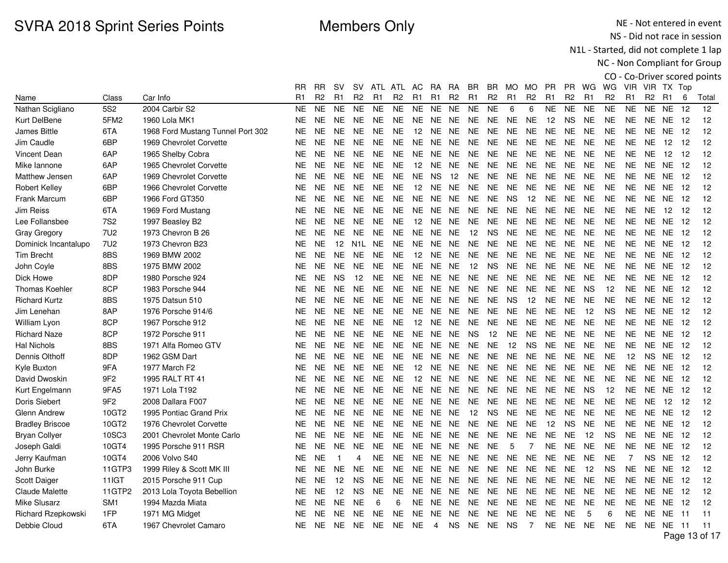NE - Not entered in event NS - Did not race in session

N1L - Started, did not complete 1 lap

|                        |                 |                                   |                |                |           |                |                |                |                   |                |                |                |                |                |                |                |                |                |                |                |                |                |       | CO - Co-Driver scored points |
|------------------------|-----------------|-----------------------------------|----------------|----------------|-----------|----------------|----------------|----------------|-------------------|----------------|----------------|----------------|----------------|----------------|----------------|----------------|----------------|----------------|----------------|----------------|----------------|----------------|-------|------------------------------|
|                        |                 |                                   | RR             | <b>RR</b>      | <b>SV</b> | <b>SV</b>      |                | ATL ATL AC     |                   | - RA           | RA             | BR             | BR.            | MO MO          |                | <b>PR</b>      |                | PR WG          | WG             |                | VIR VIR TX Top |                |       |                              |
| Name                   | Class           | Car Info                          | R <sub>1</sub> | R <sub>2</sub> | R1        | R <sub>2</sub> | R <sub>1</sub> | R <sub>2</sub> | R <sub>1</sub>    | R <sub>1</sub> | R <sub>2</sub> | R <sub>1</sub> | R <sub>2</sub> | R <sub>1</sub> | R <sub>2</sub> | R <sub>1</sub> | R <sub>2</sub> | R <sub>1</sub> | R <sub>2</sub> | R <sub>1</sub> | R <sub>2</sub> | R <sub>1</sub> | 6     | Total                        |
| Nathan Scigliano       | 5S <sub>2</sub> | 2004 Carbir S2                    | <b>NE</b>      | <b>NE</b>      | <b>NE</b> | <b>NE</b>      | <b>NE</b>      | <b>NE</b>      | <b>NE</b>         | <b>NE</b>      | <b>NE</b>      | <b>NE</b>      | <b>NE</b>      | 6              | 6              | <b>NE</b>      | <b>NE</b>      | <b>NE</b>      | <b>NE</b>      | <b>NE</b>      | <b>NE</b>      | <b>NE</b>      | 12    | 12                           |
| Kurt DelBene           | 5FM2            | 1960 Lola MK1                     | <b>NE</b>      | <b>NE</b>      | <b>NE</b> | <b>NE</b>      | <b>NE</b>      | <b>NE</b>      | <b>NE</b>         | NE             | NE.            | <b>NE</b>      | <b>NE</b>      | <b>NE</b>      | <b>NE</b>      | 12             | <b>NS</b>      | <b>NE</b>      | <b>NE</b>      | NE.            | <b>NE</b>      | NE.            | 12    | 12                           |
| <b>James Bittle</b>    | 6TA             | 1968 Ford Mustang Tunnel Port 302 | <b>NE</b>      | <b>NE</b>      | <b>NE</b> | <b>NE</b>      | <b>NE</b>      | <b>NE</b>      | 12                | NE             | NE             | NE.            | <b>NE</b>      | NE.            | NE.            | <b>NE</b>      | <b>NE</b>      | <b>NE</b>      | <b>NE</b>      | NE.            | NE.            | NE 12          |       | 12                           |
| Jim Caudle             | 6BP             | 1969 Chevrolet Corvette           | NE.            | NE.            | <b>NE</b> | <b>NE</b>      | <b>NE</b>      | <b>NE</b>      | <b>NE</b>         | NE             | <b>NE</b>      | <b>NE</b>      | <b>NE</b>      | <b>NE</b>      | <b>NE</b>      | $N\mathsf{E}$  | <b>NE</b>      | <b>NE</b>      | <b>NE</b>      | <b>NE</b>      | <b>NE</b>      | 12             | -12   | 12                           |
| Vincent Dean           | 6AP             | 1965 Shelby Cobra                 | NE             | <b>NE</b>      | <b>NE</b> | <b>NE</b>      | <b>NE</b>      | NE.            | NE.               | NE.            | <b>NE</b>      | <b>NE</b>      | NE             | <b>NE</b>      | NE.            | NE             | <b>NE</b>      | <b>NE</b>      | <b>NE</b>      | <b>NE</b>      | <b>NE</b>      | 12             | 12    | 12                           |
| Mike lannone           | 6AP             | 1965 Chevrolet Corvette           | NE             | <b>NE</b>      | <b>NE</b> | <b>NE</b>      | <b>NE</b>      | <b>NE</b>      | 12                | <b>NE</b>      | <b>NE</b>      | NE.            | <b>NE</b>      | <b>NE</b>      | <b>NE</b>      | <b>NE</b>      | <b>NE</b>      | <b>NE</b>      | <b>NE</b>      | <b>NE</b>      | NE.            | <b>NE</b>      | 12    | 12                           |
| Matthew Jensen         | 6AP             | 1969 Chevrolet Corvette           | <b>NE</b>      | <b>NE</b>      | <b>NE</b> | <b>NE</b>      | <b>NE</b>      | <b>NE</b>      | <b>NE</b>         | <b>NS</b>      | 12             | <b>NE</b>      | <b>NE</b>      | <b>NE</b>      | <b>NE</b>      | <b>NE</b>      | <b>NE</b>      | <b>NE</b>      | <b>NE</b>      | <b>NE</b>      | <b>NE</b>      | <b>NE</b>      | 12    | 12                           |
| <b>Robert Kelley</b>   | 6BP             | 1966 Chevrolet Corvette           | NE.            | <b>NE</b>      | <b>NE</b> | <b>NE</b>      | <b>NE</b>      | <b>NE</b>      | 12                | <b>NE</b>      | <b>NE</b>      | NE.            | <b>NE</b>      | NE.            | <b>NE</b>      | <b>NE</b>      | <b>NE</b>      | <b>NE</b>      | <b>NE</b>      | NE.            | <b>NE</b>      | <b>NE</b>      | 12    | 12                           |
| <b>Frank Marcum</b>    | 6BP             | 1966 Ford GT350                   | NE.            | NE.            | <b>NE</b> | <b>NE</b>      | <b>NE</b>      | <b>NE</b>      | <b>NE</b>         | NE.            | <b>NE</b>      | NE.            | <b>NE</b>      | <b>NS</b>      | 12             | <b>NE</b>      | <b>NE</b>      | <b>NE</b>      | <b>NE</b>      | <b>NE</b>      | <b>NE</b>      | <b>NE</b>      | 12    | 12                           |
| Jim Reiss              | 6TA             | 1969 Ford Mustang                 | <b>NE</b>      | <b>NE</b>      | <b>NE</b> | <b>NE</b>      | <b>NE</b>      | <b>NE</b>      | NE.               | NE.            | <b>NE</b>      | <b>NE</b>      | <b>NE</b>      | <b>NE</b>      | <b>NE</b>      | <b>NE</b>      | <b>NE</b>      | <b>NE</b>      | <b>NE</b>      | <b>NE</b>      | <b>NE</b>      | 12             | 12    | 12                           |
| Lee Follansbee         | <b>7S2</b>      | 1997 Beasley B2                   | NE.            | <b>NE</b>      | <b>NE</b> | <b>NE</b>      | <b>NE</b>      | <b>NE</b>      | 12                | NE.            | NE.            | NE.            | NE.            | NE.            | NE.            | <b>NE</b>      | <b>NE</b>      | <b>NE</b>      | <b>NE</b>      | <b>NE</b>      | NE.            | NE.            | -12   | 12                           |
| <b>Gray Gregory</b>    | <b>7U2</b>      | 1973 Chevron B 26                 | <b>NE</b>      | <b>NE</b>      | <b>NE</b> | <b>NE</b>      | <b>NE</b>      | <b>NE</b>      | <b>NE</b>         | <b>NE</b>      | <b>NE</b>      | 12             | <b>NS</b>      | <b>NE</b>      | <b>NE</b>      | <b>NE</b>      | <b>NE</b>      | <b>NE</b>      | <b>NE</b>      | <b>NE</b>      | NE.            | NE             | -12   | 12                           |
| Dominick Incantalupo   | 7U2             | 1973 Chevron B23                  | NE.            | <b>NE</b>      | 12        | N1L            | <b>NE</b>      | <b>NE</b>      |                   | NE NE NE       |                | NE.            | <b>NE</b>      | <b>NE</b>      | <b>NE</b>      | <b>NE</b>      | <b>NE</b>      | <b>NE</b>      | <b>NE</b>      | <b>NE</b>      | NE.            | NE 12          |       | 12                           |
| <b>Tim Brecht</b>      | 8BS             | 1969 BMW 2002                     | NE.            | <b>NE</b>      | <b>NE</b> | <b>NE</b>      | <b>NE</b>      | <b>NE</b>      | $12 \overline{ }$ | NE.            | NE.            | <b>NE</b>      | <b>NE</b>      | <b>NE</b>      | <b>NE</b>      | <b>NE</b>      | <b>NE</b>      | <b>NE</b>      | <b>NE</b>      | NE.            | <b>NE</b>      | <b>NE</b>      | 12    | 12                           |
| John Coyle             | 8BS             | 1975 BMW 2002                     | <b>NE</b>      | <b>NE</b>      | <b>NE</b> | <b>NE</b>      | <b>NE</b>      | <b>NE</b>      | <b>NE</b>         | <b>NE</b>      | <b>NE</b>      | 12             | <b>NS</b>      | <b>NE</b>      | <b>NE</b>      | <b>NE</b>      | <b>NE</b>      | <b>NE</b>      | <b>NE</b>      | <b>NE</b>      | NE.            | NE.            | 12    | 12                           |
| Dick Howe              | 8DP             | 1980 Porsche 924                  | <b>NE</b>      | <b>NE</b>      | <b>NS</b> | 12             | NE.            | <b>NE</b>      | NE.               | <b>NE</b>      | <b>NE</b>      | NE.            | <b>NE</b>      | NE.            | <b>NE</b>      | <b>NE</b>      | <b>NE</b>      | <b>NE</b>      | <b>NE</b>      | <b>NE</b>      | NE.            | NE.            | 12    | 12                           |
| Thomas Koehler         | 8CP             | 1983 Porsche 944                  | <b>NE</b>      | <b>NE</b>      | <b>NE</b> | <b>NE</b>      | <b>NE</b>      | <b>NE</b>      | <b>NE</b>         | NE             | NE.            | <b>NE</b>      | <b>NE</b>      | <b>NE</b>      | <b>NE</b>      | <b>NE</b>      | <b>NE</b>      | <b>NS</b>      | 12             | <b>NE</b>      | <b>NE</b>      | NE.            | 12    | 12                           |
| <b>Richard Kurtz</b>   | 8BS             | 1975 Datsun 510                   | NE             | <b>NE</b>      | <b>NE</b> | <b>NE</b>      | <b>NE</b>      | <b>NE</b>      | <b>NE</b>         | NE NE          |                | <b>NE</b>      | <b>NE</b>      | <b>NS</b>      | 12             | <b>NE</b>      | <b>NE</b>      | <b>NE</b>      | <b>NE</b>      | NE             | <b>NE</b>      | <b>NE</b>      | 12    | 12                           |
| Jim Lenehan            | 8AP             | 1976 Porsche 914/6                | NE.            | NE.            | <b>NE</b> | <b>NE</b>      | <b>NE</b>      | <b>NE</b>      | <b>NE</b>         | NE.            | NE.            | <b>NE</b>      | <b>NE</b>      | <b>NE</b>      | NE             | <b>NE</b>      | <b>NE</b>      | 12             | <b>NS</b>      | <b>NE</b>      | <b>NE</b>      | <b>NE</b>      | 12    | 12                           |
| William Lyon           | 8CP             | 1967 Porsche 912                  | <b>NE</b>      | <b>NE</b>      | <b>NE</b> | <b>NE</b>      | <b>NE</b>      | <b>NE</b>      | 12                | <b>NE</b>      | <b>NE</b>      | <b>NE</b>      | <b>NE</b>      | <b>NE</b>      | <b>NE</b>      | <b>NE</b>      | <b>NE</b>      | <b>NE</b>      | <b>NE</b>      | <b>NE</b>      | <b>NE</b>      | <b>NE</b>      | 12    | 12                           |
| <b>Richard Naze</b>    | 8CP             | 1972 Porsche 911                  | <b>NE</b>      | <b>NE</b>      | <b>NE</b> | <b>NE</b>      | <b>NE</b>      | <b>NE</b>      | <b>NE</b>         | NE.            | NE.            | <b>NS</b>      | 12             | NE.            | <b>NE</b>      | <b>NE</b>      | <b>NE</b>      | <b>NE</b>      | <b>NE</b>      | <b>NE</b>      | NE.            | NE.            | 12    | 12                           |
| <b>Hal Nichols</b>     | 8BS             | 1971 Alfa Romeo GTV               | <b>NE</b>      | <b>NE</b>      | <b>NE</b> | <b>NE</b>      | <b>NE</b>      | <b>NE</b>      | <b>NE</b>         | NE             | NE.            | <b>NE</b>      | <b>NE</b>      | 12             | <b>NS</b>      | <b>NE</b>      | <b>NE</b>      | <b>NE</b>      | <b>NE</b>      | <b>NE</b>      | <b>NE</b>      | <b>NE</b>      | 12    | 12                           |
| Dennis Olthoff         | 8DP             | 1962 GSM Dart                     | NE.            | <b>NE</b>      | <b>NE</b> | <b>NE</b>      | <b>NE</b>      | <b>NE</b>      |                   | NE NE NE       |                | NE.            | <b>NE</b>      | <b>NE</b>      | <b>NE</b>      | <b>NE</b>      | <b>NE</b>      | <b>NE</b>      | <b>NE</b>      | 12             | <b>NS</b>      | <b>NE</b>      | 12    | 12                           |
| Kyle Buxton            | 9FA             | 1977 March F2                     | NE             | <b>NE</b>      | <b>NE</b> | NE.            | <b>NE</b>      | NE.            | 12                | NE.            | NE.            | NE.            | NE.            | NE.            | NE.            | NE             | NE.            | <b>NE</b>      | <b>NE</b>      | NE             | NE.            | NE.            | -12   | 12                           |
| David Dwoskin          | 9F <sub>2</sub> | 1995 RALT RT 41                   | <b>NE</b>      | <b>NE</b>      | <b>NE</b> | <b>NE</b>      | <b>NE</b>      | <b>NE</b>      | 12                | <b>NE</b>      | <b>NE</b>      | <b>NE</b>      | <b>NE</b>      | <b>NE</b>      | <b>NE</b>      | <b>NE</b>      | <b>NE</b>      | <b>NE</b>      | <b>NE</b>      | <b>NE</b>      | <b>NE</b>      | <b>NE</b>      | 12    | 12                           |
| Kurt Engelmann         | 9FA5            | 1971 Lola T192                    | NE.            | <b>NE</b>      | <b>NE</b> | <b>NE</b>      | <b>NE</b>      | <b>NE</b>      | <b>NE</b>         | NE.            | <b>NE</b>      | <b>NE</b>      | <b>NE</b>      | <b>NE</b>      | <b>NE</b>      | <b>NE</b>      | <b>NE</b>      | <b>NS</b>      | 12             | <b>NE</b>      | NE.            | NE.            | 12    | 12                           |
| Doris Siebert          | 9F <sub>2</sub> | 2008 Dallara F007                 | <b>NE</b>      | <b>NE</b>      | <b>NE</b> | <b>NE</b>      | <b>NE</b>      | <b>NE</b>      | <b>NE</b>         | NE.            | <b>NE</b>      | <b>NE</b>      | <b>NE</b>      | <b>NE</b>      | <b>NE</b>      | <b>NE</b>      | <b>NE</b>      | <b>NE</b>      | <b>NE</b>      | <b>NE</b>      | <b>NE</b>      | 12             | 12    | 12                           |
| Glenn Andrew           | 10GT2           | 1995 Pontiac Grand Prix           | NE             | <b>NE</b>      | <b>NE</b> | <b>NE</b>      | <b>NE</b>      | <b>NE</b>      | <b>NE</b>         | NE             | <b>NE</b>      | 12             | <b>NS</b>      | <b>NE</b>      | <b>NE</b>      | <b>NE</b>      | <b>NE</b>      | <b>NE</b>      | <b>NE</b>      | <b>NE</b>      | <b>NE</b>      | NE             | 12    | 12                           |
| <b>Bradley Briscoe</b> | 10GT2           | 1976 Chevrolet Corvette           | NE.            | NE.            | <b>NE</b> | <b>NE</b>      | <b>NE</b>      | <b>NE</b>      | NE.               | NE.            | <b>NE</b>      | <b>NE</b>      | <b>NE</b>      | NE             | <b>NE</b>      | 12             | <b>NS</b>      | <b>NE</b>      | <b>NE</b>      | <b>NE</b>      | NE.            | NE             | -12   | 12                           |
| <b>Bryan Collyer</b>   | 10SC3           | 2001 Chevrolet Monte Carlo        | NE             | <b>NE</b>      | <b>NE</b> | <b>NE</b>      | <b>NE</b>      | NE.            | NE.               | NE             | <b>NE</b>      | <b>NE</b>      | NE             | NE             | <b>NE</b>      | NE             | <b>NE</b>      | 12             | <b>NS</b>      | <b>NE</b>      | <b>NE</b>      | NE.            | 12    | 12                           |
| Joseph Galdi           | 10GT4           | 1995 Porsche 911 RSR              | NE             | <b>NE</b>      | <b>NE</b> | <b>NE</b>      | <b>NE</b>      | <b>NE</b>      | <b>NE</b>         | NE             | <b>NE</b>      | <b>NE</b>      | <b>NE</b>      | 5              | $\overline{7}$ | <b>NE</b>      | <b>NE</b>      | <b>NE</b>      | <b>NE</b>      | <b>NE</b>      | <b>NE</b>      | <b>NE</b>      | 12    | 12                           |
| Jerry Kaufman          | 10GT4           | 2006 Volvo S40                    | <b>NE</b>      | <b>NE</b>      | -1        | 4              | <b>NE</b>      | <b>NE</b>      | <b>NE</b>         | NE.            | <b>NE</b>      | <b>NE</b>      | <b>NE</b>      | <b>NE</b>      | <b>NE</b>      | <b>NE</b>      | <b>NE</b>      | <b>NE</b>      | <b>NE</b>      | $\overline{7}$ | <b>NS</b>      | <b>NE</b>      | 12    | 12                           |
| John Burke             | 11GTP3          | 1999 Riley & Scott MK III         | NE.            | <b>NE</b>      | <b>NE</b> | <b>NE</b>      | <b>NE</b>      | <b>NE</b>      | <b>NE</b>         | <b>NE</b>      | NE.            | NE.            | <b>NE</b>      | <b>NE</b>      | NE.            | <b>NE</b>      | <b>NE</b>      | 12             | <b>NS</b>      | <b>NE</b>      | NE.            | NE             | 12    | 12                           |
| Scott Daiger           | 11IGT           | 2015 Porsche 911 Cup              | NE.            | <b>NE</b>      | 12        | <b>NS</b>      | <b>NE</b>      | <b>NE</b>      | NE                | NE             | <b>NE</b>      | NE.            | <b>NE</b>      | <b>NE</b>      | <b>NE</b>      | <b>NE</b>      | <b>NE</b>      | <b>NE</b>      | <b>NE</b>      | NE.            | NE.            | NE.            | 12    | 12                           |
| Claude Malette         | 11GTP2          | 2013 Lola Toyota Bebellion        | <b>NE</b>      | <b>NE</b>      | 12        | <b>NS</b>      | <b>NE</b>      | <b>NE</b>      | NE.               | NE             | <b>NE</b>      | <b>NE</b>      | <b>NE</b>      | <b>NE</b>      | <b>NE</b>      | <b>NE</b>      | <b>NE</b>      | <b>NE</b>      | <b>NE</b>      | <b>NE</b>      | NE.            | NE.            | 12    | 12                           |
| <b>Mike Slusarz</b>    | SM <sub>1</sub> | 1994 Mazda Miata                  | NE.            | <b>NE</b>      | <b>NE</b> | <b>NE</b>      | 6              | 6              | NE                | NE             | NE.            | NE.            | <b>NE</b>      | <b>NE</b>      | <b>NE</b>      | <b>NE</b>      | <b>NE</b>      | <b>NE</b>      | <b>NE</b>      | NE.            | NE.            | NE.            | -12   | 12                           |
| Richard Rzepkowski     | 1FP             | 1971 MG Midget                    | <b>NE</b>      | <b>NE</b>      | <b>NE</b> | <b>NE</b>      | <b>NE</b>      | <b>NE</b>      | NE.               | NE.            | NE.            | <b>NE</b>      | NE.            | <b>NE</b>      | <b>NE</b>      | <b>NE</b>      | <b>NE</b>      | 5              | 6              | <b>NE</b>      | NE.            | NE.            | -11   | 11                           |
| Debbie Cloud           | 6TA             | 1967 Chevrolet Camaro             | NE.            | <b>NE</b>      | <b>NE</b> | <b>NE</b>      | <b>NE</b>      | NE.            | <b>NE</b>         | 4              | <b>NS</b>      | NE.            | NE.            | <b>NS</b>      | $\overline{7}$ | <b>NE</b>      | <b>NE</b>      | <b>NE</b>      | <b>NE</b>      | NE.            | NE NE          |                | $-11$ | 11                           |
|                        |                 |                                   |                |                |           |                |                |                |                   |                |                |                |                |                |                |                |                |                |                |                |                |                |       | Page 13 of 17                |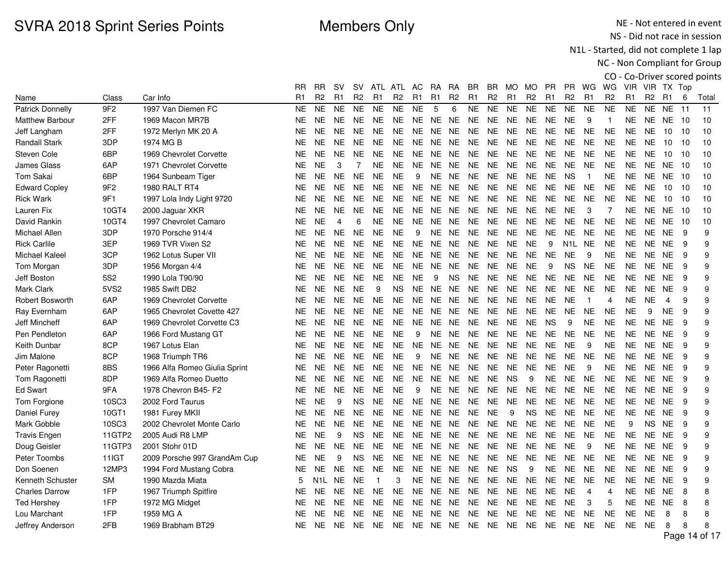NE - Not entered in event NS - Did not race in session

N1L - Started, did not complete 1 lap

|                         |                 |                               |           |                |                |                |                |                |                |                |                |                |                |           |                |                |                                 |                |                |                |                |                 |    | CO - Co-Driver scored points |
|-------------------------|-----------------|-------------------------------|-----------|----------------|----------------|----------------|----------------|----------------|----------------|----------------|----------------|----------------|----------------|-----------|----------------|----------------|---------------------------------|----------------|----------------|----------------|----------------|-----------------|----|------------------------------|
|                         |                 |                               | RR        | <b>RR</b>      | <b>SV</b>      |                |                | SV ATL ATL AC  |                | RA             | RA             | BR.            | BR.            | MO MO     |                | <b>PR</b>      | PR.                             | WG             | WG             |                | VIR VIR TX Top |                 |    |                              |
| Name                    | Class           | Car Info                      | R1        | R <sub>2</sub> | R <sub>1</sub> | R <sub>2</sub> | R <sub>1</sub> | R <sub>2</sub> | R <sub>1</sub> | R <sub>1</sub> | R <sub>2</sub> | R <sub>1</sub> | R <sub>2</sub> | R1        | R <sub>2</sub> | R <sub>1</sub> | R <sub>2</sub>                  | R1             | R <sub>2</sub> | R <sub>1</sub> | R <sub>2</sub> | R <sub>1</sub>  | 6  | Total                        |
| <b>Patrick Donnelly</b> | 9F <sub>2</sub> | 1997 Van Diemen FC            | <b>NE</b> | <b>NE</b>      | <b>NE</b>      | <b>NE</b>      | <b>NE</b>      | <b>NE</b>      | <b>NE</b>      | 5              | 6              | <b>NE</b>      | <b>NE</b>      | <b>NE</b> | <b>NE</b>      | NE.            | <b>NE</b>                       | <b>NE</b>      | <b>NE</b>      | <b>NE</b>      | <b>NE</b>      | <b>NE</b>       | 11 | 11                           |
| <b>Matthew Barbour</b>  | 2FF             | 1969 Macon MR7B               | <b>NE</b> | <b>NE</b>      | <b>NE</b>      | NE.            | <b>NE</b>      | <b>NE</b>      | NE.            | <b>NE</b>      | <b>NE</b>      | <b>NE</b>      | <b>NE</b>      | <b>NE</b> | <b>NE</b>      | <b>NE</b>      | <b>NE</b>                       | 9              | $\mathbf{1}$   | NE.            | NE.            | NE 10           |    | 10                           |
| Jeff Langham            | 2FF             | 1972 Merlyn MK 20 A           | <b>NE</b> | <b>NE</b>      | NE.            | <b>NE</b>      | <b>NE</b>      | <b>NE</b>      | NE.            | NE NE          |                | <b>NE</b>      | <b>NE</b>      | <b>NE</b> | <b>NE</b>      | <b>NE</b>      | <b>NE</b>                       | <b>NE</b>      | <b>NE</b>      | <b>NE</b>      | <b>NE</b>      | 10 <sup>°</sup> | 10 | 10                           |
| <b>Randall Stark</b>    | 3DP             | 1974 MG B                     | <b>NE</b> | <b>NE</b>      | <b>NE</b>      | NE.            | <b>NE</b>      | <b>NE</b>      | NE.            | <b>NE</b>      | NE.            | <b>NE</b>      | <b>NE</b>      | <b>NE</b> | <b>NE</b>      | <b>NE</b>      | <b>NE</b>                       | <b>NE</b>      | <b>NE</b>      | <b>NE</b>      | <b>NE</b>      | 10              | 10 | 10                           |
| Steven Cole             | 6BP             | 1969 Chevrolet Corvette       | <b>NE</b> | <b>NE</b>      | <b>NE</b>      | NE.            | <b>NE</b>      | <b>NE</b>      | <b>NE</b>      | NE             | <b>NE</b>      | <b>NE</b>      | <b>NE</b>      | <b>NE</b> | <b>NE</b>      | <b>NE</b>      | <b>NE</b>                       | <b>NE</b>      | <b>NE</b>      | <b>NE</b>      | <b>NE</b>      | 10              | 10 | 10                           |
| <b>James Glass</b>      | 6AP             | 1971 Chevrolet Corvette       | <b>NE</b> | <b>NE</b>      | 3              | $\overline{7}$ | <b>NE</b>      | <b>NE</b>      | NE.            | NE.            | NE.            | <b>NE</b>      | <b>NE</b>      | <b>NE</b> | <b>NE</b>      | <b>NE</b>      | <b>NE</b>                       | <b>NE</b>      | <b>NE</b>      | <b>NE</b>      | NE.            | <b>NE</b>       | 10 | 10                           |
| Tom Sakai               | 6BP             | 1964 Sunbeam Tiger            | <b>NE</b> | <b>NE</b>      | <b>NE</b>      | <b>NE</b>      | <b>NE</b>      | <b>NE</b>      | 9              | <b>NE</b>      | <b>NE</b>      | <b>NE</b>      | <b>NE</b>      | <b>NE</b> | <b>NE</b>      | <b>NE</b>      | <b>NS</b>                       | $\overline{1}$ | <b>NE</b>      | <b>NE</b>      | <b>NE</b>      | <b>NE</b>       | 10 | 10                           |
| <b>Edward Copley</b>    | 9F <sub>2</sub> | 1980 RALT RT4                 | <b>NE</b> | <b>NE</b>      | <b>NE</b>      | <b>NE</b>      | <b>NE</b>      | <b>NE</b>      |                | NE NE NE       |                | <b>NE</b>      | <b>NE</b>      | <b>NE</b> | <b>NE</b>      | <b>NE</b>      | <b>NE</b>                       | <b>NE</b>      | <b>NE</b>      | <b>NE</b>      | <b>NE</b>      | 10              | 10 | 10                           |
| <b>Rick Wark</b>        | 9F1             | 1997 Lola Indy Light 9720     | <b>NE</b> | <b>NE</b>      | <b>NE</b>      | <b>NE</b>      | <b>NE</b>      | <b>NE</b>      | NE             | <b>NE</b>      | <b>NE</b>      | <b>NE</b>      | <b>NE</b>      | <b>NE</b> | <b>NE</b>      | <b>NE</b>      | <b>NE</b>                       | <b>NE</b>      | <b>NE</b>      | <b>NE</b>      | <b>NE</b>      | 10              | 10 | 10                           |
| Lauren Fix              | 10GT4           | 2000 Jaguar XKR               | <b>NE</b> | <b>NE</b>      | <b>NE</b>      | NE.            | <b>NE</b>      | <b>NE</b>      | NE.            |                | NE NE          | <b>NE</b>      | <b>NE</b>      | <b>NE</b> | <b>NE</b>      | <b>NE</b>      | <b>NE</b>                       | 3              | $\overline{7}$ | <b>NE</b>      | NE.            | NE.             | 10 | 10                           |
| David Rankin            | 10GT4           | 1997 Chevrolet Camaro         | <b>NE</b> | <b>NE</b>      | 4              | 6              | <b>NE</b>      | <b>NE</b>      | NE.            | NE.            | NE.            | <b>NE</b>      | <b>NE</b>      | <b>NE</b> | <b>NE</b>      | <b>NE</b>      | <b>NE</b>                       | <b>NE</b>      | <b>NE</b>      | <b>NE</b>      | <b>NE</b>      | <b>NE</b>       | 10 | 10                           |
| Michael Allen           | 3DP             | 1970 Porsche 914/4            | <b>NE</b> | <b>NE</b>      | <b>NE</b>      | <b>NE</b>      | <b>NE</b>      | <b>NE</b>      | 9              | <b>NE</b>      | <b>NE</b>      | <b>NE</b>      | <b>NE</b>      | <b>NE</b> | <b>NE</b>      | <b>NE</b>      | <b>NE</b>                       | <b>NE</b>      | <b>NE</b>      | <b>NE</b>      | NE.            | <b>NE</b>       | 9  | 9                            |
| <b>Rick Carlile</b>     | 3EP             | 1969 TVR Vixen S2             | <b>NE</b> | NE.            | NE.            | NE.            | NE.            | <b>NE</b>      |                |                | NE NE NE       | NE.            | <b>NE</b>      | NE.       | <b>NE</b>      | 9              | N <sub>1</sub> L N <sub>E</sub> |                | <b>NE</b>      | NE.            | NE.            | <b>NE</b>       | 9  | 9                            |
| Michael Kaleel          | 3CP             | 1962 Lotus Super VII          | <b>NE</b> | <b>NE</b>      | <b>NE</b>      | NE.            | <b>NE</b>      | <b>NE</b>      | NE             | NE.            | <b>NE</b>      | <b>NE</b>      | <b>NE</b>      | <b>NE</b> | <b>NE</b>      | <b>NE</b>      | <b>NE</b>                       | 9              | <b>NE</b>      | <b>NE</b>      | <b>NE</b>      | <b>NE</b>       | 9  | 9                            |
| Tom Morgan              | 3DP             | 1956 Morgan 4/4               | NE        | <b>NE</b>      | <b>NE</b>      | NE.            | <b>NE</b>      | <b>NE</b>      | <b>NE</b>      | NE.            | NE.            | NE.            | <b>NE</b>      | <b>NE</b> | <b>NE</b>      | 9              | <b>NS</b>                       | <b>NE</b>      | <b>NE</b>      | <b>NE</b>      | <b>NE</b>      | <b>NE</b>       | 9  | 9                            |
| Jeff Boston             | <b>5S2</b>      | 1990 Lola T90/90              | <b>NE</b> | <b>NE</b>      | <b>NE</b>      | NE.            | <b>NE</b>      | <b>NE</b>      | <b>NE</b>      | 9              | <b>NS</b>      | <b>NE</b>      | <b>NE</b>      | <b>NE</b> | <b>NE</b>      | <b>NE</b>      | <b>NE</b>                       | <b>NE</b>      | <b>NE</b>      | <b>NE</b>      | NE.            | <b>NE</b>       | 9  | 9                            |
| Mark Clark              | 5VS2            | 1985 Swift DB2                | <b>NE</b> | <b>NE</b>      | <b>NE</b>      | <b>NE</b>      | 9              | <b>NS</b>      | <b>NE</b>      | <b>NE</b>      | <b>NE</b>      | <b>NE</b>      | <b>NE</b>      | <b>NE</b> | <b>NE</b>      | <b>NE</b>      | <b>NE</b>                       | <b>NE</b>      | <b>NE</b>      | <b>NE</b>      | <b>NE</b>      | <b>NE</b>       | 9  | 9                            |
| <b>Robert Bosworth</b>  | 6AP             | 1969 Chevrolet Corvette       | <b>NE</b> | <b>NE</b>      | NE.            | NE.            | NE.            | <b>NE</b>      | NE.            | NE NE          |                | <b>NE</b>      | NE.            | <b>NE</b> | <b>NE</b>      | <b>NE</b>      | <b>NE</b>                       | $\overline{1}$ | 4              | <b>NE</b>      | <b>NE</b>      | $\overline{4}$  | 9  | 9                            |
| Ray Evernham            | 6AP             | 1965 Chevrolet Covette 427    | <b>NE</b> | <b>NE</b>      | <b>NE</b>      | NE.            | <b>NE</b>      | <b>NE</b>      | NE.            | NE.            | <b>NE</b>      | <b>NE</b>      | <b>NE</b>      | <b>NE</b> | <b>NE</b>      | <b>NE</b>      | <b>NE</b>                       | <b>NE</b>      | <b>NE</b>      | <b>NE</b>      | 9              | <b>NE</b>       | 9  | 9                            |
| Jeff Mincheff           | 6AP             | 1969 Chevrolet Corvette C3    | <b>NE</b> | <b>NE</b>      | NE.            | NE.            | <b>NE</b>      | <b>NE</b>      | NE.            |                | NE NE          | <b>NE</b>      | <b>NE</b>      | <b>NE</b> | <b>NE</b>      | <b>NS</b>      | 9                               | <b>NE</b>      | <b>NE</b>      | <b>NE</b>      | <b>NE</b>      | <b>NE</b>       | 9  | 9                            |
| Pen Pendleton           | 6AP             | 1966 Ford Mustang GT          | <b>NE</b> | <b>NE</b>      | <b>NE</b>      | NE.            | <b>NE</b>      | <b>NE</b>      | 9              | <b>NE</b>      | NE.            | <b>NE</b>      | <b>NE</b>      | NE.       | <b>NE</b>      | NE.            | <b>NE</b>                       | <b>NE</b>      | <b>NE</b>      | <b>NE</b>      | <b>NE</b>      | <b>NE</b>       | 9  | 9                            |
| Keith Dunbar            | 8CP             | 1967 Lotus Elan               | <b>NE</b> | <b>NE</b>      | <b>NE</b>      | NE.            | <b>NE</b>      | <b>NE</b>      | NE.            | <b>NE</b>      | <b>NE</b>      | <b>NE</b>      | <b>NE</b>      | <b>NE</b> | <b>NE</b>      | <b>NE</b>      | <b>NE</b>                       | 9              | <b>NE</b>      | <b>NE</b>      | NE.            | <b>NE</b>       | 9  | 9                            |
| Jim Malone              | 8CP             | 1968 Triumph TR6              | <b>NE</b> | <b>NE</b>      | NE.            | NE.            | NE.            | <b>NE</b>      | 9              |                | NE NE          | <b>NE</b>      | NE.            | NE.       | <b>NE</b>      | NE.            | <b>NE</b>                       | <b>NE</b>      | <b>NE</b>      | NE.            | NE.            | <b>NE</b>       | 9  | 9                            |
| Peter Ragonetti         | 8BS             | 1966 Alfa Romeo Giulia Sprint | <b>NE</b> | <b>NE</b>      | <b>NE</b>      | NE.            | <b>NE</b>      | <b>NE</b>      | <b>NE</b>      | <b>NE</b>      | <b>NE</b>      | <b>NE</b>      | <b>NE</b>      | <b>NE</b> | <b>NE</b>      | <b>NE</b>      | <b>NE</b>                       | 9              | <b>NE</b>      | <b>NE</b>      | NE.            | <b>NE</b>       | 9  | 9                            |
| Tom Ragonetti           | 8DP             | 1969 Alfa Romeo Duetto        | <b>NE</b> | <b>NE</b>      | <b>NE</b>      | NE.            | <b>NE</b>      | <b>NE</b>      | <b>NE</b>      |                | NE NE          | NE.            | <b>NE</b>      | <b>NS</b> | 9              | <b>NE</b>      | <b>NE</b>                       | <b>NE</b>      | <b>NE</b>      | <b>NE</b>      | NE.            | <b>NE</b>       | 9  | 9                            |
| <b>Ed Swart</b>         | 9FA             | 1978 Chevron B45- F2          | <b>NE</b> | <b>NE</b>      | <b>NE</b>      | <b>NE</b>      | <b>NE</b>      | <b>NE</b>      | 9              | <b>NE</b>      | NE.            | <b>NE</b>      | <b>NE</b>      | <b>NE</b> | <b>NE</b>      | <b>NE</b>      | <b>NE</b>                       | <b>NE</b>      | <b>NE</b>      | <b>NE</b>      | NE.            | <b>NE</b>       | 9  | 9                            |
| Tom Forgione            | 10SC3           | 2002 Ford Taurus              | <b>NE</b> | <b>NE</b>      | 9              | <b>NS</b>      | <b>NE</b>      | <b>NE</b>      | <b>NE</b>      | <b>NE</b>      | <b>NE</b>      | <b>NE</b>      | <b>NE</b>      | <b>NE</b> | <b>NE</b>      | <b>NE</b>      | <b>NE</b>                       | <b>NE</b>      | <b>NE</b>      | <b>NE</b>      | NE.            | <b>NE</b>       | 9  | 9                            |
| Daniel Furey            | 10GT1           | 1981 Furey MKII               | <b>NE</b> | <b>NE</b>      | <b>NE</b>      | NE.            | <b>NE</b>      | <b>NE</b>      | NE.            | NE NE          |                | <b>NE</b>      | <b>NE</b>      | 9         | <b>NS</b>      | <b>NE</b>      | <b>NE</b>                       | <b>NE</b>      | <b>NE</b>      | <b>NE</b>      | <b>NE</b>      | <b>NE</b>       | 9  | 9                            |
| Mark Gobble             | 10SC3           | 2002 Chevrolet Monte Carlo    | <b>NE</b> | <b>NE</b>      | <b>NE</b>      | NE.            | <b>NE</b>      | <b>NE</b>      | NE.            | NE             | <b>NE</b>      | <b>NE</b>      | <b>NE</b>      | <b>NE</b> | <b>NE</b>      | <b>NE</b>      | <b>NE</b>                       | <b>NE</b>      | <b>NE</b>      | 9              | <b>NS</b>      | <b>NE</b>       | 9  | 9                            |
| <b>Travis Engen</b>     | 11GTP2          | 2005 Audi R8 LMP              | <b>NE</b> | <b>NE</b>      | 9              | <b>NS</b>      | <b>NE</b>      | <b>NE</b>      | NE.            | NE NE          |                | <b>NE</b>      | <b>NE</b>      | <b>NE</b> | <b>NE</b>      | <b>NE</b>      | <b>NE</b>                       | <b>NE</b>      | <b>NE</b>      | <b>NE</b>      | <b>NE</b>      | <b>NE</b>       | 9  | 9                            |
| Doug Geisler            | 11GTP3          | 2001 Stohr 01D                | <b>NE</b> | <b>NE</b>      | <b>NE</b>      | <b>NE</b>      | <b>NE</b>      | <b>NE</b>      | NE.            | NE.            | NE.            | <b>NE</b>      | <b>NE</b>      | NE.       | <b>NE</b>      | <b>NE</b>      | <b>NE</b>                       | 9              | <b>NE</b>      | <b>NE</b>      | NE.            | <b>NE</b>       | 9  | 9                            |
| Peter Toombs            | 11IGT           | 2009 Porsche 997 GrandAm Cup  | <b>NE</b> | <b>NE</b>      | 9              | <b>NS</b>      | <b>NE</b>      | <b>NE</b>      | <b>NE</b>      |                | NE NE          | <b>NE</b>      | <b>NE</b>      | NE.       | <b>NE</b>      | <b>NE</b>      | <b>NE</b>                       | <b>NE</b>      | <b>NE</b>      | <b>NE</b>      | <b>NE</b>      | <b>NE</b>       | 9  | 9                            |
| Don Soenen              | 12MP3           | 1994 Ford Mustang Cobra       | <b>NE</b> | <b>NE</b>      | <b>NE</b>      | NE.            | <b>NE</b>      | <b>NE</b>      | NE.            | NE NE          |                | <b>NE</b>      | <b>NE</b>      | <b>NS</b> | 9              | <b>NE</b>      | <b>NE</b>                       | <b>NE</b>      | NE.            | <b>NE</b>      | NE.            | <b>NE</b>       | 9  | 9                            |
| Kenneth Schuster        | <b>SM</b>       | 1990 Mazda Miata              | 5         | N1L            | <b>NE</b>      | <b>NE</b>      |                | 3              | NE.            | <b>NE</b>      | <b>NE</b>      | <b>NE</b>      | $N\mathsf{E}$  | <b>NE</b> | <b>NE</b>      | <b>NE</b>      | <b>NE</b>                       | <b>NE</b>      | <b>NE</b>      | <b>NE</b>      | <b>NE</b>      | <b>NE</b>       | 9  | 9                            |
| <b>Charles Darrow</b>   | 1FP             | 1967 Triumph Spitfire         | <b>NE</b> | <b>NE</b>      | <b>NE</b>      | NE.            | <b>NE</b>      | <b>NE</b>      | NE.            |                | NE NE          | <b>NE</b>      | <b>NE</b>      | <b>NE</b> | <b>NE</b>      | <b>NE</b>      | <b>NE</b>                       | $\overline{4}$ | 4              | <b>NE</b>      | NE.            | <b>NE</b>       | 8  | 8                            |
| <b>Ted Hershev</b>      | 1FP             | 1972 MG Midget                | <b>NE</b> | <b>NE</b>      | <b>NE</b>      | NE.            | <b>NE</b>      | <b>NE</b>      | NE.            | <b>NE</b>      | <b>NE</b>      | <b>NE</b>      | <b>NE</b>      | NE.       | <b>NE</b>      | <b>NE</b>      | <b>NE</b>                       | 3              | 5              | <b>NE</b>      | <b>NE</b>      | <b>NE</b>       | 8  | 8                            |
| Lou Marchant            | 1FP             | 1959 MG A                     | <b>NE</b> | <b>NE</b>      | <b>NE</b>      | <b>NE</b>      | <b>NE</b>      | <b>NE</b>      | <b>NE</b>      | <b>NE</b>      | <b>NE</b>      | <b>NE</b>      | <b>NE</b>      | <b>NE</b> | <b>NE</b>      | <b>NE</b>      | <b>NE</b>                       | <b>NE</b>      | <b>NE</b>      | <b>NE</b>      | <b>NE</b>      | 8               | 8  | 8                            |
| Jeffrey Anderson        | 2FB             | 1969 Brabham BT29             | <b>NE</b> | <b>NE</b>      | <b>NE</b>      | NE             | NE             | NE.            |                |                |                | NE NE NE NE NE |                | <b>NE</b> | NE.            | NE.            | <b>NE</b>                       | <b>NE</b>      | <b>NE</b>      | NE.            | <b>NE</b>      | 8               | 8  | 8                            |
|                         |                 |                               |           |                |                |                |                |                |                |                |                |                |                |           |                |                |                                 |                |                |                |                |                 |    | Page 14 of 17                |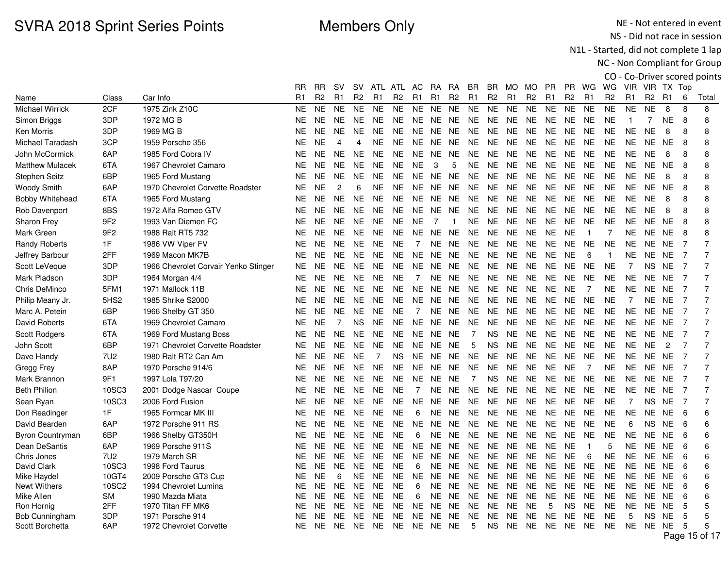NE - Not entered in event NS - Did not race in session

N1L - Started, did not complete 1 lap

|                                     |                  |                                       |                |                        |                        |                        |                        |                        |                |                |                |                  |                 |                        |                        |                |                        |                        |                        |                        |                |                        |                | CO - Co-Driver scored points |
|-------------------------------------|------------------|---------------------------------------|----------------|------------------------|------------------------|------------------------|------------------------|------------------------|----------------|----------------|----------------|------------------|-----------------|------------------------|------------------------|----------------|------------------------|------------------------|------------------------|------------------------|----------------|------------------------|----------------|------------------------------|
|                                     |                  |                                       | RR.            | <b>RR</b>              | sv                     | SV.                    |                        | ATL ATL AC             |                | - RA           | <b>RA</b>      | BR.              | BR.             | MO MO                  |                        | <b>PR</b>      | PR                     | WG WG                  |                        |                        |                | VIR VIR TX Top         |                |                              |
| Name                                | Class            | Car Info                              | R <sub>1</sub> | R <sub>2</sub>         | R <sub>1</sub>         | R <sub>2</sub>         | R <sub>1</sub>         | R <sub>2</sub>         | R <sub>1</sub> | R <sub>1</sub> | R <sub>2</sub> | R <sub>1</sub>   | R <sub>2</sub>  | R <sub>1</sub>         | R <sub>2</sub>         | R <sub>1</sub> | R <sub>2</sub>         | R <sub>1</sub>         | R <sub>2</sub>         | R <sub>1</sub>         | R <sub>2</sub> | R1                     | 6              | Total                        |
| <b>Michael Wirrick</b>              | 2CF              | 1975 Zink Z10C                        | NE.            | <b>NE</b>              | <b>NE</b>              | <b>NE</b>              | <b>NE</b>              | <b>NE</b>              | <b>NE</b>      | NE.            | <b>NE</b>      | NE.              | <b>NE</b>       | <b>NE</b>              | <b>NE</b>              | <b>NE</b>      | NE.                    | <b>NE</b>              | <b>NE</b>              | <b>NE</b>              | <b>NE</b>      | 8                      | 8              | 8                            |
| Simon Briggs                        | 3DP              | 1972 MG B                             | <b>NE</b>      | <b>NE</b>              | <b>NE</b>              | <b>NE</b>              | <b>NE</b>              | <b>NE</b>              |                | NE NE          | <b>NE</b>      | <b>NE</b>        | <b>NE</b>       | <b>NE</b>              | NE.                    | <b>NE</b>      | <b>NE</b>              | <b>NE</b>              | <b>NE</b>              | $\overline{1}$         | 7              | <b>NE</b>              | 8              | 8                            |
| Ken Morris                          | 3DP              | 1969 MG B                             | NE.            | <b>NE</b>              | <b>NE</b>              | <b>NE</b>              | <b>NE</b>              | NE.                    |                | NE NE          | NE.            | <b>NE</b>        | NE.             | <b>NE</b>              | <b>NE</b>              | <b>NE</b>      | <b>NE</b>              | <b>NE</b>              | <b>NE</b>              | <b>NE</b>              | <b>NE</b>      | 8                      | 8              | 8                            |
| Michael Taradash                    | 3CP              | 1959 Porsche 356                      | NΕ             | <b>NE</b>              | $\overline{4}$         | 4                      | <b>NE</b>              | <b>NE</b>              | NE.            | <b>NE</b>      | <b>NE</b>      | NE               | <b>NE</b>       | <b>NE</b>              | <b>NE</b>              | <b>NE</b>      | <b>NE</b>              | <b>NE</b>              | <b>NE</b>              | <b>NE</b>              | <b>NE</b>      | <b>NE</b>              | 8              | 8                            |
| John McCormick                      | 6AP              | 1985 Ford Cobra IV                    | NE.            | <b>NE</b>              | <b>NE</b>              | <b>NE</b>              | <b>NE</b>              | <b>NE</b>              | <b>NE</b>      | NE             | NE.            | NE               | <b>NE</b>       | <b>NE</b>              | <b>NE</b>              | <b>NE</b>      | <b>NE</b>              | <b>NE</b>              | <b>NE</b>              | <b>NE</b>              | <b>NE</b>      | 8                      | 8              | 8                            |
| <b>Matthew Mulacek</b>              | 6TA              | 1967 Chevrolet Camaro                 | NE.            | <b>NE</b>              | <b>NE</b>              | <b>NE</b>              | <b>NE</b>              | <b>NE</b>              | <b>NE</b>      | 3              | 5              | <b>NE</b>        | <b>NE</b>       | <b>NE</b>              | <b>NE</b>              | <b>NE</b>      | <b>NE</b>              | <b>NE</b>              | <b>NE</b>              | <b>NE</b>              | NE.            | <b>NE</b>              | 8              | 8                            |
| Stephen Seitz                       | 6BP              | 1965 Ford Mustang                     | NE             | <b>NE</b>              | <b>NE</b>              | <b>NE</b>              | <b>NE</b>              | <b>NE</b>              | <b>NE</b>      | <b>NE</b>      | <b>NE</b>      | <b>NE</b>        | <b>NE</b>       | <b>NE</b>              | <b>NE</b>              | <b>NE</b>      | <b>NE</b>              | <b>NE</b>              | <b>NE</b>              | <b>NE</b>              | <b>NE</b>      | 8                      | 8              | 8                            |
| <b>Woody Smith</b>                  | 6AP              | 1970 Chevrolet Corvette Roadster      | NE             | <b>NE</b>              | $\overline{c}$         | 6                      | <b>NE</b>              | <b>NE</b>              |                | NE NE          | NE.            | <b>NE</b>        | <b>NE</b>       | <b>NE</b>              | <b>NE</b>              | <b>NE</b>      | <b>NE</b>              | <b>NE</b>              | <b>NE</b>              | <b>NE</b>              | NE.            | NE.                    | 8              | 8                            |
| <b>Bobby Whitehead</b>              | 6TA              | 1965 Ford Mustang                     | NΕ             | <b>NE</b>              | <b>NE</b>              | <b>NE</b>              | <b>NE</b>              | <b>NE</b>              | <b>NE</b>      | <b>NE</b>      | <b>NE</b>      | NE               | <b>NE</b>       | <b>NE</b>              | <b>NE</b>              | NE             | <b>NE</b>              | <b>NE</b>              | <b>NE</b>              | <b>NE</b>              | <b>NE</b>      | 8                      | 8              | 8                            |
| Rob Davenport                       | 8BS              | 1972 Alfa Romeo GTV                   | NE.            | <b>NE</b>              | <b>NE</b>              | <b>NE</b>              | <b>NE</b>              | <b>NE</b>              | <b>NE</b>      | NE             | <b>NE</b>      | <b>NE</b>        | NE              | <b>NE</b>              | <b>NE</b>              | <b>NE</b>      | <b>NE</b>              | <b>NE</b>              | <b>NE</b>              | <b>NE</b>              | <b>NE</b>      | 8                      | 8              | 8                            |
| Sharon Frey                         | 9F <sub>2</sub>  | 1993 Van Diemen FC                    | NE.            | <b>NE</b>              | <b>NE</b>              | <b>NE</b>              | <b>NE</b>              | <b>NE</b>              | <b>NE</b>      | 7              | -1             | <b>NE</b>        | <b>NE</b>       | <b>NE</b>              | <b>NE</b>              | <b>NE</b>      | <b>NE</b>              | <b>NE</b>              | <b>NE</b>              | <b>NE</b>              | NE.            | <b>NE</b>              | 8              | 8                            |
| Mark Green                          | 9F <sub>2</sub>  | 1988 Ralt RT5 732                     | <b>NE</b>      | <b>NE</b>              | <b>NE</b>              | <b>NE</b>              | <b>NE</b>              | <b>NE</b>              | <b>NE</b>      | <b>NE</b>      | <b>NE</b>      | <b>NE</b>        | <b>NE</b>       | <b>NE</b>              | <b>NE</b>              | <b>NE</b>      | <b>NE</b>              | $\overline{1}$         | $\overline{7}$         | <b>NE</b>              | NE.            | <b>NE</b>              | 8              | 8                            |
| <b>Randy Roberts</b>                | 1F               | 1986 VW Viper FV                      | NΕ             | <b>NE</b>              | <b>NE</b>              | <b>NE</b>              | NE.                    | <b>NE</b>              | $\overline{7}$ | NE.            | <b>NE</b>      | <b>NE</b>        | <b>NE</b>       | <b>NE</b>              | <b>NE</b>              | <b>NE</b>      | <b>NE</b>              | <b>NE</b>              | <b>NE</b>              | <b>NE</b>              | NE             | <b>NE</b>              | $\overline{7}$ | 7                            |
| Jeffrey Barbour                     | 2FF              | 1969 Macon MK7B                       | NΕ             | <b>NE</b>              | <b>NE</b>              | <b>NE</b>              | <b>NE</b>              | <b>NE</b>              | <b>NE</b>      | NE.            | NE.            | NE               | <b>NE</b>       | <b>NE</b>              | <b>NE</b>              | <b>NE</b>      | <b>NE</b>              | 6                      | $\mathbf{1}$           | NE.                    | NE             | <b>NE</b>              | $\overline{7}$ |                              |
| Scott LeVeque                       | 3DP              | 1966 Chevrolet Corvair Yenko Stinger  | NE.            | <b>NE</b>              | <b>NE</b>              | <b>NE</b>              | <b>NE</b>              | <b>NE</b>              | <b>NE</b>      | NE.            | <b>NE</b>      | NE.              | <b>NE</b>       | NE                     | <b>NE</b>              | <b>NE</b>      | <b>NE</b>              | <b>NE</b>              | <b>NE</b>              | 7                      | NS.            | <b>NE</b>              | $\overline{7}$ | 7                            |
| Mark Pladson                        | 3DP              | 1964 Morgan 4/4                       | NE             | <b>NE</b>              | <b>NE</b>              | <b>NE</b>              | <b>NE</b>              | <b>NE</b>              | 7              | NE.            | NE.            | NE               | <b>NE</b>       | <b>NE</b>              | <b>NE</b>              | <b>NE</b>      | NE.                    | <b>NE</b>              | <b>NE</b>              | <b>NE</b>              | NE.            | <b>NE</b>              | $\overline{7}$ | $\overline{7}$               |
| Chris DeMinco                       | 5FM1             | 1971 Mallock 11B                      | NE             | <b>NE</b>              | <b>NE</b>              | <b>NE</b>              | <b>NE</b>              | <b>NE</b>              | <b>NE</b>      | <b>NE</b>      | <b>NE</b>      | <b>NE</b>        | <b>NE</b>       | <b>NE</b>              | <b>NE</b>              | <b>NE</b>      | <b>NE</b>              | $\overline{7}$         | <b>NE</b>              | <b>NE</b>              | NE.            | <b>NE</b>              | $\overline{7}$ | $\overline{7}$               |
| Philip Meany Jr.                    | 5HS <sub>2</sub> | 1985 Shrike S2000                     | NE.            | <b>NE</b>              | <b>NE</b>              | <b>NE</b>              | NE.                    | NE.                    | NE.            | <b>NE</b>      | <b>NE</b>      | <b>NE</b>        | <b>NE</b>       | NE.                    | <b>NE</b>              | <b>NE</b>      | <b>NE</b>              | <b>NE</b>              | <b>NE</b>              | $\overline{7}$         |                | NE NE                  | $\overline{7}$ | 7                            |
| Marc A. Petein                      | 6BP              | 1966 Shelby GT 350                    | <b>NE</b>      | <b>NE</b>              | <b>NE</b>              | <b>NE</b>              | NE.                    | <b>NE</b>              | $\overline{7}$ | <b>NE</b>      | <b>NE</b>      | <b>NE</b>        | <b>NE</b>       | <b>NE</b>              | <b>NE</b>              | <b>NE</b>      | <b>NE</b>              | <b>NE</b>              | <b>NE</b>              | <b>NE</b>              | NE.            | <b>NE</b>              | $\overline{7}$ |                              |
| David Roberts                       | 6TA              | 1969 Chevrolet Camaro                 | NE.            | <b>NE</b>              | $\overline{7}$         | <b>NS</b>              | <b>NE</b>              | <b>NE</b>              | NE.            | <b>NE</b>      | <b>NE</b>      | <b>NE</b>        | <b>NE</b>       | <b>NE</b>              | <b>NE</b>              | <b>NE</b>      | <b>NE</b>              | <b>NE</b>              | <b>NE</b>              | <b>NE</b>              | NE.            | <b>NE</b>              | $\overline{7}$ | $\overline{7}$               |
| Scott Rodgers                       | 6TA              | 1969 Ford Mustang Boss                | NE.            | <b>NE</b>              | <b>NE</b>              | <b>NE</b>              | <b>NE</b>              | <b>NE</b>              | NE.            | NE.            | <b>NE</b>      | $\overline{7}$   | <b>NS</b>       | <b>NE</b>              | <b>NE</b>              | <b>NE</b>      | <b>NE</b>              | <b>NE</b>              | NE.                    | <b>NE</b>              | NE.            | <b>NE</b>              | $\overline{7}$ | $\overline{7}$               |
| John Scott                          | 6BP              | 1971 Chevrolet Corvette Roadster      | NΕ             | <b>NE</b>              | <b>NE</b>              | <b>NE</b>              | <b>NE</b>              | <b>NE</b>              | NE.            | <b>NE</b>      | <b>NE</b>      | 5                | <b>NS</b>       | <b>NE</b>              | <b>NE</b>              | <b>NE</b>      | <b>NE</b>              | <b>NE</b>              | <b>NE</b>              | <b>NE</b>              | <b>NE</b>      | $\overline{2}$         | $\overline{7}$ | 7                            |
| Dave Handy                          | 7U <sub>2</sub>  | 1980 Ralt RT2 Can Am                  | NΕ             | <b>NE</b>              | <b>NE</b>              | <b>NE</b>              | $\overline{7}$         | NS.                    |                | NE NE          | NE.            | <b>NE</b>        | <b>NE</b>       | <b>NE</b>              | NE.                    | <b>NE</b>      | <b>NE</b>              | <b>NE</b>              | <b>NE</b>              | NE.                    |                | NE NE                  | $\overline{7}$ | 7                            |
| Gregg Frey                          | 8AP              | 1970 Porsche 914/6                    | NE             | <b>NE</b>              | <b>NE</b>              | <b>NE</b>              | <b>NE</b>              | <b>NE</b>              | <b>NE</b>      | <b>NE</b>      | NE.            | <b>NE</b>        | <b>NE</b>       | <b>NE</b>              | <b>NE</b>              | <b>NE</b>      | <b>NE</b>              | $\overline{7}$         | <b>NE</b>              | <b>NE</b>              | NE.            | <b>NE</b>              | 7              |                              |
| Mark Brannon                        | 9F1              | 1997 Lola T97/20                      | NE.            | <b>NE</b>              | <b>NE</b>              | <b>NE</b>              | <b>NE</b>              | <b>NE</b>              | <b>NE</b>      | <b>NE</b>      | <b>NE</b>      | $\overline{7}$   | <b>NS</b>       | <b>NE</b>              | <b>NE</b>              | <b>NE</b>      | <b>NE</b>              | <b>NE</b>              | <b>NE</b>              | <b>NE</b>              | NE.            | <b>NE</b>              | $\overline{7}$ | $\overline{7}$               |
| <b>Beth Philion</b>                 | 10SC3            | 2001 Dodge Nascar Coupe               | NE.            | <b>NE</b>              | <b>NE</b>              | <b>NE</b>              | NE.                    | <b>NE</b>              | $\overline{7}$ | <b>NE</b>      | <b>NE</b>      | <b>NE</b>        | <b>NE</b>       | <b>NE</b>              | <b>NE</b>              | <b>NE</b>      | <b>NE</b>              | <b>NE</b>              | <b>NE</b>              | <b>NE</b>              | NE.            | <b>NE</b>              | $\overline{7}$ | $\overline{7}$               |
| Sean Ryan                           | 10SC3            | 2006 Ford Fusion                      | NE.            | <b>NE</b>              | <b>NE</b>              | <b>NE</b>              | <b>NE</b>              | <b>NE</b>              | <b>NE</b>      | NE.            | <b>NE</b>      | <b>NE</b>        | <b>NE</b>       | <b>NE</b>              | <b>NE</b>              | <b>NE</b>      | <b>NE</b>              | <b>NE</b>              | <b>NE</b>              | $\overline{7}$         | <b>NS</b>      | <b>NE</b>              | $\overline{7}$ | 7                            |
| Don Readinger                       | 1F               | 1965 Formcar MK III                   | NΕ             | <b>NE</b>              | <b>NE</b>              | <b>NE</b>              | NE.                    | <b>NE</b>              | 6              | NE.            | <b>NE</b>      | <b>NE</b>        | <b>NE</b>       | NE.                    | NE.                    | <b>NE</b>      | <b>NE</b>              | <b>NE</b>              | <b>NE</b>              | <b>NE</b>              | <b>NE</b>      | <b>NE</b>              | 6              | 6                            |
| David Bearden                       | 6AP              | 1972 Porsche 911 RS                   | <b>NE</b>      | <b>NE</b>              | <b>NE</b>              | <b>NE</b>              | <b>NE</b>              | <b>NE</b>              | <b>NE</b>      | <b>NE</b>      | <b>NE</b>      | <b>NE</b>        | <b>NE</b>       | <b>NE</b>              | <b>NE</b>              | <b>NE</b>      | <b>NE</b>              | <b>NE</b>              | <b>NE</b>              | 6                      | <b>NS</b>      | <b>NE</b>              | 6              | 6                            |
| <b>Byron Countryman</b>             | 6BP              | 1966 Shelby GT350H                    | NΕ             | <b>NE</b>              | <b>NE</b>              | <b>NE</b>              | <b>NE</b>              | <b>NE</b>              | 6              | NE             | NE.            | NE               | <b>NE</b>       | NE                     | <b>NE</b>              | <b>NE</b>      | <b>NE</b>              | <b>NE</b>              | <b>NE</b>              | <b>NE</b>              | <b>NE</b>      | NE.                    | 6              | 6                            |
| Dean DeSantis                       | 6AP              | 1969 Porsche 911S                     | NE.            | <b>NE</b>              | <b>NE</b>              | <b>NE</b>              | <b>NE</b>              | <b>NE</b>              | <b>NE</b>      | <b>NE</b>      | <b>NE</b>      | <b>NE</b>        | <b>NE</b>       | <b>NE</b>              | <b>NE</b>              | <b>NE</b>      | <b>NE</b>              | $\overline{1}$         | 5                      | <b>NE</b>              | NE.            | <b>NE</b>              | 6              | 6                            |
| Chris Jones                         | 7U2              | 1979 March SR                         | NE.            | NE.                    | NE.                    | <b>NE</b>              | NE.                    | <b>NE</b>              | NE.            | <b>NE</b>      | <b>NE</b>      | <b>NE</b>        | <b>NE</b>       | <b>NE</b>              | NE.                    | <b>NE</b>      | <b>NE</b>              | 6                      | NE.                    | NE.                    | <b>NE</b>      | <b>NE</b>              | 6              | 6                            |
| David Clark                         | 10SC3            | 1998 Ford Taurus                      | NΕ             | <b>NE</b>              | <b>NE</b>              | <b>NE</b>              | <b>NE</b>              | <b>NE</b>              | 6              | <b>NE</b>      | <b>NE</b>      | <b>NE</b>        | <b>NE</b>       | <b>NE</b>              | NE.                    | <b>NE</b>      | <b>NE</b>              | <b>NE</b>              | <b>NE</b>              | <b>NE</b>              | NE.            | <b>NE</b>              | 6              | 6                            |
| Mike Haydel                         | 10GT4            | 2009 Porsche GT3 Cup                  | NE.            | <b>NE</b>              | 6                      | <b>NE</b>              | <b>NE</b>              | NE.                    |                | NE NE          | <b>NE</b>      | <b>NE</b>        | <b>NE</b>       | <b>NE</b>              | <b>NE</b>              | <b>NE</b>      | <b>NE</b>              | <b>NE</b>              | <b>NE</b>              | <b>NE</b>              | <b>NE</b>      | <b>NE</b>              | 6              | 6                            |
| <b>Newt Withers</b>                 | 10SC2            | 1994 Chevrolet Lumina                 | NΕ             | <b>NE</b>              | <b>NE</b>              | <b>NE</b>              | <b>NE</b>              | <b>NE</b>              | 6              | NE             | <b>NE</b>      | NE.              | <b>NE</b>       | <b>NE</b>              | <b>NE</b>              | NE.            | NE.                    | <b>NE</b>              | NE.                    | <b>NE</b>              | NE.            | <b>NE</b>              | 6              | 6                            |
| Mike Allen                          | <b>SM</b><br>2FF | 1990 Mazda Miata                      | NΕ             | <b>NE</b><br><b>NE</b> | <b>NE</b><br><b>NE</b> | <b>NE</b><br><b>NE</b> | <b>NE</b><br><b>NE</b> | <b>NE</b><br><b>NE</b> | 6              | <b>NE</b>      | <b>NE</b>      | <b>NE</b>        | <b>NE</b>       | <b>NE</b>              | <b>NE</b>              | <b>NE</b>      | <b>NE</b>              | <b>NE</b>              | NE.                    | <b>NE</b><br><b>NE</b> | NE.<br>NE.     | <b>NE</b><br><b>NE</b> | 6<br>5         | 6<br>5                       |
| Ron Hornig<br><b>Bob Cunningham</b> | 3DP              | 1970 Titan FF MK6<br>1971 Porsche 914 | NE.<br>NE.     | <b>NE</b>              | <b>NE</b>              | <b>NE</b>              | NE.                    | <b>NE</b>              | NE<br>NE.      | NE<br>NE.      | NE<br>NE.      | <b>NE</b><br>NE. | NE<br><b>NE</b> | <b>NE</b><br><b>NE</b> | <b>NE</b><br><b>NE</b> | 5<br><b>NE</b> | <b>NS</b><br><b>NE</b> | <b>NE</b><br><b>NE</b> | <b>NE</b><br><b>NE</b> | 5                      | NS.            | <b>NE</b>              | 5              | 5                            |
| Scott Borchetta                     | 6AP              | 1972 Chevrolet Corvette               | NE.            | NE.                    | <b>NE</b>              | <b>NE</b>              | NE.                    | NE NE NE NE            |                |                |                | 5                | <b>NS</b>       | <b>NE</b>              | NE NE                  |                | <b>NE</b>              | <b>NE</b>              | <b>NE</b>              |                        | NE NE NE       |                        | 5              |                              |
|                                     |                  |                                       |                |                        |                        |                        |                        |                        |                |                |                |                  |                 |                        |                        |                |                        |                        |                        |                        |                |                        |                | Page 15 of 17                |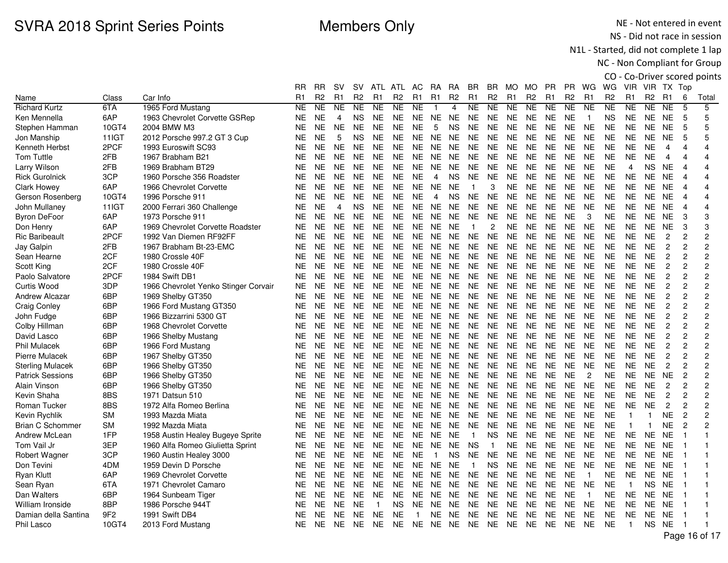NE - Not entered in event NS - Did not race in session

N1L - Started, did not complete 1 lap

NC - Non Compliant for Group

CO - Co-Driver scored points WG VIR VIR TX Top

|                         |                 |                                      | RR             | <b>RR</b>      | <b>SV</b>      | <b>SV</b>      | <b>ATL</b> | ATL            | AC             | <b>RA</b>      | RA        | <b>BR</b>      | <b>BR</b>      | MO             | MO             | <b>PR</b> | <b>PR</b>      | WG             | WG             | VIR.         | VIR          | TX Top         |                |                  |
|-------------------------|-----------------|--------------------------------------|----------------|----------------|----------------|----------------|------------|----------------|----------------|----------------|-----------|----------------|----------------|----------------|----------------|-----------|----------------|----------------|----------------|--------------|--------------|----------------|----------------|------------------|
| Name                    | Class           | Car Info                             | R <sub>1</sub> | R <sub>2</sub> | R1             | R <sub>2</sub> | R1         | R <sub>2</sub> | R1             | R1             | <b>R2</b> | R <sub>1</sub> | R <sub>2</sub> | R <sub>1</sub> | R <sub>2</sub> | R1        | R <sub>2</sub> | R1             | R <sub>2</sub> | R1           | <b>R2</b>    | R <sub>1</sub> | 6              | Total            |
| <b>Richard Kurtz</b>    | 6TA             | 1965 Ford Mustang                    | NE.            | <b>NE</b>      | <b>NE</b>      | <b>NE</b>      | <b>NE</b>  | <b>NE</b>      | <b>NE</b>      |                | 4         | <b>NE</b>      | <b>NE</b>      | <b>NE</b>      | <b>NE</b>      | <b>NE</b> | <b>NE</b>      | <b>NE</b>      | <b>NE</b>      | NE           | <b>NE</b>    | <b>NE</b>      | 5              | 5                |
| Ken Mennella            | 6AP             | 1963 Chevrolet Corvette GSRep        | NE.            | <b>NE</b>      | $\overline{4}$ | <b>NS</b>      | NE.        | <b>NE</b>      | <b>NE</b>      | <b>NE</b>      | <b>NE</b> | <b>NE</b>      | <b>NE</b>      | <b>NE</b>      | <b>NE</b>      | NE.       | <b>NE</b>      | $\overline{1}$ | NS             | NE.          | NE.          | <b>NE</b>      | 5              | 5                |
| Stephen Hamman          | 10GT4           | 2004 BMW M3                          | <b>NE</b>      | <b>NE</b>      | <b>NE</b>      | <b>NE</b>      | <b>NE</b>  | <b>NE</b>      | <b>NE</b>      | 5              | <b>NS</b> | <b>NE</b>      | <b>NE</b>      | <b>NE</b>      | <b>NE</b>      | <b>NE</b> | <b>NE</b>      | <b>NE</b>      | <b>NE</b>      | <b>NE</b>    | <b>NE</b>    | <b>NE</b>      | 5              | 5                |
| Jon Manship             | 11IGT           | 2012 Porsche 997.2 GT 3 Cup          | <b>NE</b>      | <b>NE</b>      | 5              | <b>NS</b>      | <b>NE</b>  | NE.            | <b>NE</b>      | <b>NE</b>      | <b>NE</b> | <b>NE</b>      | <b>NE</b>      | <b>NE</b>      | <b>NE</b>      | <b>NE</b> | <b>NE</b>      | <b>NE</b>      | <b>NE</b>      | <b>NE</b>    | NE           | <b>NE</b>      | 5              | 5                |
| Kenneth Herbst          | 2PCF            | 1993 Euroswift SC93                  | NE.            | <b>NE</b>      | <b>NE</b>      | <b>NE</b>      | <b>NE</b>  | <b>NE</b>      | <b>NE</b>      | <b>NE</b>      | <b>NE</b> | <b>NE</b>      | <b>NE</b>      | <b>NE</b>      | <b>NE</b>      | NE.       | <b>NE</b>      | <b>NE</b>      | <b>NE</b>      | <b>NE</b>    | NE           | 4              | $\overline{4}$ | 4                |
| <b>Tom Tuttle</b>       | 2FB             | 1967 Brabham B21                     | <b>NE</b>      | NE.            | <b>NE</b>      | <b>NE</b>      | <b>NE</b>  | <b>NE</b>      | <b>NE</b>      | <b>NE</b>      | <b>NE</b> | <b>NE</b>      | <b>NE</b>      | <b>NE</b>      | <b>NE</b>      | <b>NE</b> | <b>NE</b>      | <b>NE</b>      | <b>NE</b>      | <b>NE</b>    | <b>NE</b>    | 4              | 4              | 4                |
| Larry Wilson            | 2FB             | 1969 Brabham BT29                    | <b>NE</b>      | <b>NE</b>      | <b>NE</b>      | <b>NE</b>      | <b>NE</b>  | NE.            | <b>NE</b>      | <b>NE</b>      | <b>NE</b> | <b>NE</b>      | <b>NE</b>      | <b>NE</b>      | <b>NE</b>      | <b>NE</b> | <b>NE</b>      | <b>NE</b>      | <b>NE</b>      | 4            | <b>NS</b>    | <b>NE</b>      | $\overline{4}$ | 4                |
| <b>Rick Gurolnick</b>   | 3CP             | 1960 Porsche 356 Roadster            | NE.            | <b>NE</b>      | <b>NE</b>      | <b>NE</b>      | <b>NE</b>  | NE.            | <b>NE</b>      | $\overline{4}$ | <b>NS</b> | <b>NE</b>      | <b>NE</b>      | <b>NE</b>      | <b>NE</b>      | NE.       | <b>NE</b>      | <b>NE</b>      | <b>NE</b>      | <b>NE</b>    | <b>NE</b>    | <b>NE</b>      | $\overline{4}$ | 4                |
| Clark Howey             | 6AP             | 1966 Chevrolet Corvette              | <b>NE</b>      | NE.            | <b>NE</b>      | <b>NE</b>      | <b>NE</b>  | <b>NE</b>      | <b>NE</b>      | <b>NE</b>      | <b>NE</b> |                | 3              | <b>NE</b>      | <b>NE</b>      | <b>NE</b> | <b>NE</b>      | <b>NE</b>      | <b>NE</b>      | NE.          | NE.          | <b>NE</b>      | $\overline{4}$ | 4                |
| Gerson Rosenberg        | 10GT4           | 1996 Porsche 911                     | <b>NE</b>      | <b>NE</b>      | <b>NE</b>      | <b>NE</b>      | <b>NE</b>  | <b>NE</b>      | <b>NE</b>      | $\overline{4}$ | <b>NS</b> | <b>NE</b>      | <b>NE</b>      | <b>NE</b>      | <b>NE</b>      | <b>NE</b> | <b>NE</b>      | <b>NE</b>      | <b>NE</b>      | <b>NE</b>    | NE           | <b>NE</b>      | $\overline{4}$ | 4                |
| John Mullaney           | 11IGT           | 2000 Ferrari 360 Challenge           | <b>NE</b>      | <b>NE</b>      | $\overline{4}$ | <b>NS</b>      | <b>NE</b>  | <b>NE</b>      | <b>NE</b>      | <b>NE</b>      | <b>NE</b> | <b>NE</b>      | <b>NE</b>      | <b>NE</b>      | <b>NE</b>      | <b>NE</b> | <b>NE</b>      | <b>NE</b>      | <b>NE</b>      | <b>NE</b>    | NE.          | <b>NE</b>      | $\overline{4}$ | 4                |
| <b>Byron DeFoor</b>     | 6AP             | 1973 Porsche 911                     | NE.            | NE.            | <b>NE</b>      | NE.            | <b>NE</b>  | <b>NE</b>      | <b>NE</b>      | <b>NE</b>      | <b>NE</b> | <b>NE</b>      | <b>NE</b>      | <b>NE</b>      | <b>NE</b>      | NE.       | <b>NE</b>      | 3              | NΕ             | NE.          | NE.          | <b>NE</b>      | 3              | 3                |
| Don Henry               | 6AP             | 1969 Chevrolet Corvette Roadster     | <b>NE</b>      | <b>NE</b>      | <b>NE</b>      | <b>NE</b>      | <b>NE</b>  | <b>NE</b>      | <b>NE</b>      | <b>NE</b>      | <b>NE</b> | $\overline{1}$ | 2              | <b>NE</b>      | <b>NE</b>      | <b>NE</b> | <b>NE</b>      | <b>NE</b>      | <b>NE</b>      | <b>NE</b>    | <b>NE</b>    | <b>NE</b>      | 3              | 3                |
| <b>Ric Baribeault</b>   | 2PCF            | 1992 Van Diemen RF92FF               | <b>NE</b>      | <b>NE</b>      | <b>NE</b>      | <b>NE</b>      | <b>NE</b>  | <b>NE</b>      | <b>NE</b>      | <b>NE</b>      | <b>NE</b> | <b>NE</b>      | <b>NE</b>      | <b>NE</b>      | <b>NE</b>      | NE.       | <b>NE</b>      | <b>NE</b>      | <b>NE</b>      | <b>NE</b>    | <b>NE</b>    | $\overline{c}$ | $\overline{c}$ | $\overline{c}$   |
| Jay Galpin              | 2FB             | 1967 Brabham Bt-23-EMC               | NE.            | <b>NE</b>      | <b>NE</b>      | <b>NE</b>      | <b>NE</b>  | <b>NE</b>      | <b>NE</b>      | <b>NE</b>      | <b>NE</b> | <b>NE</b>      | <b>NE</b>      | <b>NE</b>      | <b>NE</b>      | NE.       | <b>NE</b>      | <b>NE</b>      | <b>NE</b>      | <b>NE</b>    | <b>NE</b>    | $\overline{c}$ | $\overline{c}$ | $\overline{c}$   |
| Sean Hearne             | 2CF             | 1980 Crossle 40F                     | <b>NE</b>      | <b>NE</b>      | <b>NE</b>      | <b>NE</b>      | <b>NE</b>  | <b>NE</b>      | <b>NE</b>      | <b>NE</b>      | <b>NE</b> | <b>NE</b>      | <b>NE</b>      | <b>NE</b>      | <b>NE</b>      | <b>NE</b> | <b>NE</b>      | <b>NE</b>      | <b>NE</b>      | <b>NE</b>    | <b>NE</b>    | $\overline{c}$ | $\overline{c}$ | $\overline{c}$   |
| Scott King              | 2CF             | 1980 Crossle 40F                     | <b>NE</b>      | <b>NE</b>      | <b>NE</b>      | <b>NE</b>      | <b>NE</b>  | <b>NE</b>      | <b>NE</b>      | <b>NE</b>      | <b>NE</b> | <b>NE</b>      | <b>NE</b>      | <b>NE</b>      | <b>NE</b>      | <b>NE</b> | <b>NE</b>      | <b>NE</b>      | <b>NE</b>      | <b>NE</b>    | <b>NE</b>    | $\overline{c}$ | $\overline{c}$ | 2                |
| Paolo Salvatore         | 2PCF            | 1984 Swift DB1                       | <b>NE</b>      | <b>NE</b>      | <b>NE</b>      | <b>NE</b>      | <b>NE</b>  | <b>NE</b>      | <b>NE</b>      | <b>NE</b>      | <b>NE</b> | <b>NE</b>      | <b>NE</b>      | <b>NE</b>      | <b>NE</b>      | <b>NE</b> | <b>NE</b>      | <b>NE</b>      | <b>NE</b>      | <b>NE</b>    | <b>NE</b>    | $\overline{c}$ | $\overline{c}$ | $\overline{c}$   |
| Curtis Wood             | 3DP             | 1966 Chevrolet Yenko Stinger Corvair | NE.            | NE.            | <b>NE</b>      | <b>NE</b>      | NE.        | <b>NE</b>      | <b>NE</b>      | <b>NE</b>      | <b>NE</b> | NE.            | <b>NE</b>      | <b>NE</b>      | <b>NE</b>      | NE.       | <b>NE</b>      | <b>NE</b>      | <b>NE</b>      | <b>NE</b>    | <b>NE</b>    | $\overline{2}$ | $\overline{c}$ | $\boldsymbol{2}$ |
| Andrew Alcazar          | 6BP             | 1969 Shelby GT350                    | <b>NE</b>      | <b>NE</b>      | <b>NE</b>      | <b>NE</b>      | <b>NE</b>  | <b>NE</b>      | <b>NE</b>      | <b>NE</b>      | <b>NE</b> | <b>NE</b>      | <b>NE</b>      | <b>NE</b>      | <b>NE</b>      | <b>NE</b> | <b>NE</b>      | <b>NE</b>      | <b>NE</b>      | <b>NE</b>    | <b>NE</b>    | $\overline{c}$ | $\overline{c}$ | $\mathbf 2$      |
| <b>Craig Conley</b>     | 6BP             | 1966 Ford Mustang GT350              | <b>NE</b>      | <b>NE</b>      | <b>NE</b>      | <b>NE</b>      | <b>NE</b>  | <b>NE</b>      | <b>NE</b>      | <b>NE</b>      | <b>NE</b> | <b>NE</b>      | <b>NE</b>      | <b>NE</b>      | <b>NE</b>      | <b>NE</b> | <b>NE</b>      | <b>NE</b>      | <b>NE</b>      | <b>NE</b>    | <b>NE</b>    | $\overline{c}$ | $\overline{c}$ | $\boldsymbol{2}$ |
| John Fudge              | 6BP             | 1966 Bizzarrini 5300 GT              | <b>NE</b>      | <b>NE</b>      | <b>NE</b>      | <b>NE</b>      | <b>NE</b>  | <b>NE</b>      | <b>NE</b>      | <b>NE</b>      | <b>NE</b> | <b>NE</b>      | <b>NE</b>      | <b>NE</b>      | <b>NE</b>      | <b>NE</b> | <b>NE</b>      | <b>NE</b>      | <b>NE</b>      | <b>NE</b>    | <b>NE</b>    | $\overline{c}$ | 2              | $\mathbf 2$      |
| Colby Hillman           | 6BP             | 1968 Chevrolet Corvette              | <b>NE</b>      | NE.            | NE.            | <b>NE</b>      | <b>NE</b>  | <b>NE</b>      | <b>NE</b>      | <b>NE</b>      | <b>NE</b> | <b>NE</b>      | <b>NE</b>      | <b>NE</b>      | <b>NE</b>      | <b>NE</b> | <b>NE</b>      | <b>NE</b>      | <b>NE</b>      | <b>NE</b>    | <b>NE</b>    | $\overline{c}$ | $\overline{c}$ | $\mathbf 2$      |
| David Lasco             | 6BP             | 1966 Shelby Mustang                  | <b>NE</b>      | <b>NE</b>      | <b>NE</b>      | <b>NE</b>      | <b>NE</b>  | <b>NE</b>      | <b>NE</b>      | <b>NE</b>      | <b>NE</b> | <b>NE</b>      | <b>NE</b>      | <b>NE</b>      | <b>NE</b>      | <b>NE</b> | <b>NE</b>      | <b>NE</b>      | <b>NE</b>      | <b>NE</b>    | <b>NE</b>    | $\overline{c}$ | 2              | $\boldsymbol{2}$ |
| <b>Phil Mulacek</b>     | 6BP             | 1966 Ford Mustang                    | <b>NE</b>      | <b>NE</b>      | <b>NE</b>      | <b>NE</b>      | <b>NE</b>  | <b>NE</b>      | <b>NE</b>      | <b>NE</b>      | <b>NE</b> | <b>NE</b>      | <b>NE</b>      | <b>NE</b>      | <b>NE</b>      | <b>NE</b> | <b>NE</b>      | <b>NE</b>      | <b>NE</b>      | <b>NE</b>    | <b>NE</b>    | $\overline{c}$ | 2              | $\overline{c}$   |
| <b>Pierre Mulacek</b>   | 6BP             | 1967 Shelby GT350                    | <b>NE</b>      | NE.            | <b>NE</b>      | <b>NE</b>      | <b>NE</b>  | <b>NE</b>      | <b>NE</b>      | <b>NE</b>      | <b>NE</b> | <b>NE</b>      | <b>NE</b>      | <b>NE</b>      | <b>NE</b>      | NE.       | <b>NE</b>      | <b>NE</b>      | <b>NE</b>      | <b>NE</b>    | <b>NE</b>    | $\overline{c}$ | $\overline{c}$ | $\mathbf 2$      |
| <b>Sterling Mulacek</b> | 6BP             | 1966 Shelby GT350                    | <b>NE</b>      | <b>NE</b>      | <b>NE</b>      | <b>NE</b>      | <b>NE</b>  | <b>NE</b>      | <b>NE</b>      | <b>NE</b>      | <b>NE</b> | <b>NE</b>      | <b>NE</b>      | <b>NE</b>      | <b>NE</b>      | <b>NE</b> | <b>NE</b>      | <b>NE</b>      | <b>NE</b>      | <b>NE</b>    | <b>NE</b>    | $\overline{2}$ | 2              | $\overline{c}$   |
| <b>Patrick Sessions</b> | 6BP             | 1966 Shelby GT350                    | NE             | <b>NE</b>      | <b>NE</b>      | <b>NE</b>      | <b>NE</b>  | <b>NE</b>      | <b>NE</b>      | <b>NE</b>      | <b>NE</b> | <b>NE</b>      | <b>NE</b>      | <b>NE</b>      | <b>NE</b>      | <b>NE</b> | <b>NE</b>      | $\overline{c}$ | <b>NE</b>      | <b>NE</b>    | <b>NE</b>    | <b>NE</b>      | $\overline{c}$ | $\boldsymbol{2}$ |
| Alain Vinson            | 6BP             | 1966 Shelby GT350                    | NE.            | <b>NE</b>      | <b>NE</b>      | <b>NE</b>      | <b>NE</b>  | NE.            | <b>NE</b>      | <b>NE</b>      | <b>NE</b> | <b>NE</b>      | <b>NE</b>      | <b>NE</b>      | <b>NE</b>      | <b>NE</b> | <b>NE</b>      | <b>NE</b>      | <b>NE</b>      | <b>NE</b>    | <b>NE</b>    | $\overline{c}$ | 2              | $\overline{c}$   |
| Kevin Shaha             | 8BS             | 1971 Datsun 510                      | <b>NE</b>      | <b>NE</b>      | <b>NE</b>      | <b>NE</b>      | <b>NE</b>  | <b>NE</b>      | <b>NE</b>      | <b>NE</b>      | <b>NE</b> | <b>NE</b>      | <b>NE</b>      | <b>NE</b>      | <b>NE</b>      | <b>NE</b> | <b>NE</b>      | <b>NE</b>      | <b>NE</b>      | <b>NE</b>    | <b>NE</b>    | $\overline{c}$ | 2              | $\mathbf 2$      |
| Roman Tucker            | 8BS             | 1972 Alfa Romeo Berlina              | NE.            | <b>NE</b>      | <b>NE</b>      | <b>NE</b>      | <b>NE</b>  | NE.            | <b>NE</b>      | <b>NE</b>      | <b>NE</b> | <b>NE</b>      | <b>NE</b>      | <b>NE</b>      | <b>NE</b>      | <b>NE</b> | <b>NE</b>      | <b>NE</b>      | <b>NE</b>      | <b>NE</b>    | <b>NE</b>    | $\overline{c}$ | $\overline{c}$ | $\overline{c}$   |
| Kevin Rychlik           | <b>SM</b>       | 1993 Mazda Miata                     | NE.            | <b>NE</b>      | <b>NE</b>      | <b>NE</b>      | <b>NE</b>  | NE.            | <b>NE</b>      | <b>NE</b>      | <b>NE</b> | <b>NE</b>      | <b>NE</b>      | <b>NE</b>      | <b>NE</b>      | NE.       | <b>NE</b>      | <b>NE</b>      | <b>NE</b>      | $\mathbf{1}$ | $\mathbf{1}$ | <b>NE</b>      | 2              | $\overline{c}$   |
| <b>Brian C Schommer</b> | <b>SM</b>       | 1992 Mazda Miata                     | NE.            | NE.            | <b>NE</b>      | NE.            | <b>NE</b>  | <b>NE</b>      | <b>NE</b>      | <b>NE</b>      | <b>NE</b> | <b>NE</b>      | <b>NE</b>      | <b>NE</b>      | NE.            | NE.       | <b>NE</b>      | <b>NE</b>      | <b>NE</b>      | $\mathbf{1}$ |              | <b>NE</b>      | $\overline{c}$ | $\overline{c}$   |
| Andrew McLean           | 1FP             | 1958 Austin Healey Bugeye Sprite     | <b>NE</b>      | <b>NE</b>      | <b>NE</b>      | <b>NE</b>      | <b>NE</b>  | <b>NE</b>      | <b>NE</b>      | <b>NE</b>      | <b>NE</b> | -1             | <b>NS</b>      | <b>NE</b>      | <b>NE</b>      | <b>NE</b> | <b>NE</b>      | <b>NE</b>      | <b>NE</b>      | <b>NE</b>    | <b>NE</b>    | <b>NE</b>      |                | $\mathbf{1}$     |
| Tom Vail Jr             | 3EP             | 1960 Alfa Romeo Giulietta Sprint     | NE.            | <b>NE</b>      | <b>NE</b>      | <b>NE</b>      | <b>NE</b>  | <b>NE</b>      | <b>NE</b>      | <b>NE</b>      | <b>NE</b> | <b>NS</b>      | -1             | <b>NE</b>      | <b>NE</b>      | <b>NE</b> | <b>NE</b>      | <b>NE</b>      | <b>NE</b>      | <b>NE</b>    | NE           | <b>NE</b>      |                | $\mathbf 1$      |
| Robert Wagner           | 3CP             | 1960 Austin Healey 3000              | NE.            | <b>NE</b>      | <b>NE</b>      | <b>NE</b>      | <b>NE</b>  | <b>NE</b>      | <b>NE</b>      | $\overline{1}$ | <b>NS</b> | <b>NE</b>      | <b>NE</b>      | <b>NE</b>      | <b>NE</b>      | <b>NE</b> | <b>NE</b>      | <b>NE</b>      | <b>NE</b>      | <b>NE</b>    | NE.          | <b>NE</b>      | -1             | $\mathbf{1}$     |
| Don Tevini              | 4DM             | 1959 Devin D Porsche                 | NE.            | <b>NE</b>      | <b>NE</b>      | <b>NE</b>      | <b>NE</b>  | <b>NE</b>      | <b>NE</b>      | <b>NE</b>      | <b>NE</b> | $\mathbf{1}$   | <b>NS</b>      | <b>NE</b>      | <b>NE</b>      | <b>NE</b> | <b>NE</b>      | <b>NE</b>      | <b>NE</b>      | <b>NE</b>    | <b>NE</b>    | <b>NE</b>      |                | 1                |
| <b>Ryan Klutt</b>       | 6AP             | 1969 Chevrolet Corvette              | NE.            | <b>NE</b>      | <b>NE</b>      | <b>NE</b>      | <b>NE</b>  | NE.            | <b>NE</b>      | <b>NE</b>      | <b>NE</b> | <b>NE</b>      | <b>NE</b>      | <b>NE</b>      | <b>NE</b>      | <b>NE</b> | <b>NE</b>      | $\overline{1}$ | NΕ             | NE           | NE           | <b>NE</b>      | -1             | $\mathbf{1}$     |
| Sean Ryan               | 6TA             | 1971 Chevrolet Camaro                | NE.            | <b>NE</b>      | <b>NE</b>      | <b>NE</b>      | <b>NE</b>  | <b>NE</b>      | <b>NE</b>      | <b>NE</b>      | <b>NE</b> | <b>NE</b>      | <b>NE</b>      | <b>NE</b>      | <b>NE</b>      | NE.       | <b>NE</b>      | <b>NE</b>      | <b>NE</b>      | $\mathbf{1}$ | ΝS           | <b>NE</b>      | -1             | 1                |
| Dan Walters             | 6BP             | 1964 Sunbeam Tiger                   | <b>NE</b>      | <b>NE</b>      | <b>NE</b>      | <b>NE</b>      | <b>NE</b>  | <b>NE</b>      | <b>NE</b>      | <b>NE</b>      | <b>NE</b> | <b>NE</b>      | <b>NE</b>      | <b>NE</b>      | <b>NE</b>      | <b>NE</b> | <b>NE</b>      | $\mathbf{1}$   | <b>NE</b>      | <b>NE</b>    | <b>NE</b>    | <b>NE</b>      |                | 1                |
| William Ironside        | 8BP             | 1986 Porsche 944T                    | <b>NE</b>      | <b>NE</b>      | <b>NE</b>      | <b>NE</b>      | -1         | <b>NS</b>      | <b>NE</b>      | <b>NE</b>      | <b>NE</b> | <b>NE</b>      | <b>NE</b>      | <b>NE</b>      | <b>NE</b>      | <b>NE</b> | <b>NE</b>      | <b>NE</b>      | <b>NE</b>      | <b>NE</b>    | <b>NE</b>    | <b>NE</b>      |                | 1                |
| Damian della Santina    | 9F <sub>2</sub> | 1991 Swift DB4                       | <b>NE</b>      | <b>NE</b>      | <b>NE</b>      | <b>NE</b>      | <b>NE</b>  | <b>NE</b>      | $\overline{1}$ | <b>NE</b>      | <b>NE</b> | <b>NE</b>      | <b>NE</b>      | <b>NE</b>      | <b>NE</b>      | <b>NE</b> | <b>NE</b>      | <b>NE</b>      | <b>NE</b>      | <b>NE</b>    | <b>NE</b>    | <b>NE</b>      |                | 1                |
| Phil Lasco              | 10GT4           | 2013 Ford Mustang                    | NE.            | NE.            | NE.            | NE.            | <b>NE</b>  | <b>NE</b>      | NE NE          |                | NE        | NE             | <b>NE</b>      | <b>NE</b>      | NE.            | NE        | NE.            | <b>NE</b>      | <b>NE</b>      | 1            | NS.          | <b>NE</b>      |                |                  |